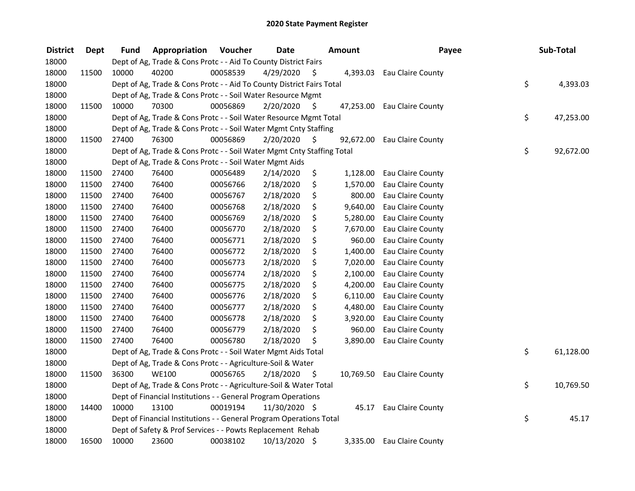| <b>District</b> | Dept  | <b>Fund</b> | Appropriation                                                          | Voucher  | <b>Date</b>   |      | <b>Amount</b> | Payee             | Sub-Total       |
|-----------------|-------|-------------|------------------------------------------------------------------------|----------|---------------|------|---------------|-------------------|-----------------|
| 18000           |       |             | Dept of Ag, Trade & Cons Protc - - Aid To County District Fairs        |          |               |      |               |                   |                 |
| 18000           | 11500 | 10000       | 40200                                                                  | 00058539 | 4/29/2020     | \$.  | 4,393.03      | Eau Claire County |                 |
| 18000           |       |             | Dept of Ag, Trade & Cons Protc - - Aid To County District Fairs Total  |          |               |      |               |                   | \$<br>4,393.03  |
| 18000           |       |             | Dept of Ag, Trade & Cons Protc - - Soil Water Resource Mgmt            |          |               |      |               |                   |                 |
| 18000           | 11500 | 10000       | 70300                                                                  | 00056869 | 2/20/2020     | \$   | 47,253.00     | Eau Claire County |                 |
| 18000           |       |             | Dept of Ag, Trade & Cons Protc - - Soil Water Resource Mgmt Total      |          |               |      |               |                   | \$<br>47,253.00 |
| 18000           |       |             | Dept of Ag, Trade & Cons Protc - - Soil Water Mgmt Cnty Staffing       |          |               |      |               |                   |                 |
| 18000           | 11500 | 27400       | 76300                                                                  | 00056869 | 2/20/2020     | - \$ | 92,672.00     | Eau Claire County |                 |
| 18000           |       |             | Dept of Ag, Trade & Cons Protc - - Soil Water Mgmt Cnty Staffing Total |          |               |      |               |                   | \$<br>92,672.00 |
| 18000           |       |             | Dept of Ag, Trade & Cons Protc - - Soil Water Mgmt Aids                |          |               |      |               |                   |                 |
| 18000           | 11500 | 27400       | 76400                                                                  | 00056489 | 2/14/2020     | \$   | 1,128.00      | Eau Claire County |                 |
| 18000           | 11500 | 27400       | 76400                                                                  | 00056766 | 2/18/2020     | \$   | 1,570.00      | Eau Claire County |                 |
| 18000           | 11500 | 27400       | 76400                                                                  | 00056767 | 2/18/2020     | \$   | 800.00        | Eau Claire County |                 |
| 18000           | 11500 | 27400       | 76400                                                                  | 00056768 | 2/18/2020     | \$   | 9,640.00      | Eau Claire County |                 |
| 18000           | 11500 | 27400       | 76400                                                                  | 00056769 | 2/18/2020     | \$   | 5,280.00      | Eau Claire County |                 |
| 18000           | 11500 | 27400       | 76400                                                                  | 00056770 | 2/18/2020     | \$   | 7,670.00      | Eau Claire County |                 |
| 18000           | 11500 | 27400       | 76400                                                                  | 00056771 | 2/18/2020     | \$   | 960.00        | Eau Claire County |                 |
| 18000           | 11500 | 27400       | 76400                                                                  | 00056772 | 2/18/2020     | \$   | 1,400.00      | Eau Claire County |                 |
| 18000           | 11500 | 27400       | 76400                                                                  | 00056773 | 2/18/2020     | \$   | 7,020.00      | Eau Claire County |                 |
| 18000           | 11500 | 27400       | 76400                                                                  | 00056774 | 2/18/2020     | \$   | 2,100.00      | Eau Claire County |                 |
| 18000           | 11500 | 27400       | 76400                                                                  | 00056775 | 2/18/2020     | \$   | 4,200.00      | Eau Claire County |                 |
| 18000           | 11500 | 27400       | 76400                                                                  | 00056776 | 2/18/2020     | \$   | 6,110.00      | Eau Claire County |                 |
| 18000           | 11500 | 27400       | 76400                                                                  | 00056777 | 2/18/2020     | \$   | 4,480.00      | Eau Claire County |                 |
| 18000           | 11500 | 27400       | 76400                                                                  | 00056778 | 2/18/2020     | \$   | 3,920.00      | Eau Claire County |                 |
| 18000           | 11500 | 27400       | 76400                                                                  | 00056779 | 2/18/2020     | \$   | 960.00        | Eau Claire County |                 |
| 18000           | 11500 | 27400       | 76400                                                                  | 00056780 | 2/18/2020     | \$   | 3,890.00      | Eau Claire County |                 |
| 18000           |       |             | Dept of Ag, Trade & Cons Protc - - Soil Water Mgmt Aids Total          |          |               |      |               |                   | \$<br>61,128.00 |
| 18000           |       |             | Dept of Ag, Trade & Cons Protc - - Agriculture-Soil & Water            |          |               |      |               |                   |                 |
| 18000           | 11500 | 36300       | <b>WE100</b>                                                           | 00056765 | 2/18/2020     | \$   | 10,769.50     | Eau Claire County |                 |
| 18000           |       |             | Dept of Ag, Trade & Cons Protc - - Agriculture-Soil & Water Total      |          |               |      |               |                   | \$<br>10,769.50 |
| 18000           |       |             | Dept of Financial Institutions - - General Program Operations          |          |               |      |               |                   |                 |
| 18000           | 14400 | 10000       | 13100                                                                  | 00019194 | 11/30/2020 \$ |      | 45.17         | Eau Claire County |                 |
| 18000           |       |             | Dept of Financial Institutions - - General Program Operations Total    |          |               |      |               |                   | \$<br>45.17     |
| 18000           |       |             | Dept of Safety & Prof Services - - Powts Replacement Rehab             |          |               |      |               |                   |                 |
| 18000           | 16500 | 10000       | 23600                                                                  | 00038102 | 10/13/2020 \$ |      | 3,335.00      | Eau Claire County |                 |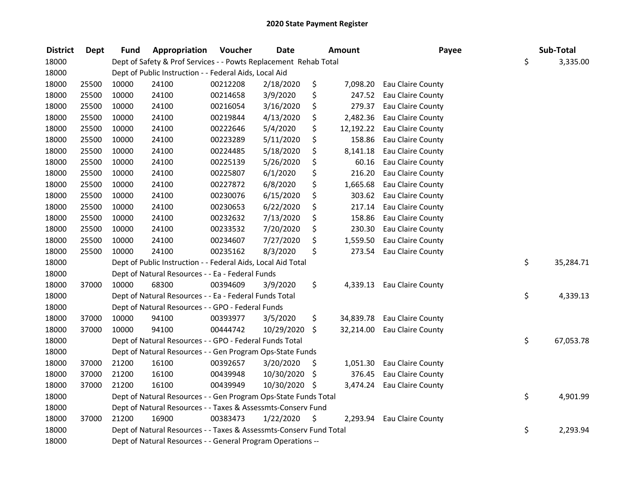| <b>District</b> | Dept  | <b>Fund</b> | Appropriation                                                      | Voucher  | <b>Date</b> |      | Amount    | Payee                       | Sub-Total       |
|-----------------|-------|-------------|--------------------------------------------------------------------|----------|-------------|------|-----------|-----------------------------|-----------------|
| 18000           |       |             | Dept of Safety & Prof Services - - Powts Replacement Rehab Total   |          |             |      |           |                             | \$<br>3,335.00  |
| 18000           |       |             | Dept of Public Instruction - - Federal Aids, Local Aid             |          |             |      |           |                             |                 |
| 18000           | 25500 | 10000       | 24100                                                              | 00212208 | 2/18/2020   | \$   | 7,098.20  | Eau Claire County           |                 |
| 18000           | 25500 | 10000       | 24100                                                              | 00214658 | 3/9/2020    | \$   | 247.52    | Eau Claire County           |                 |
| 18000           | 25500 | 10000       | 24100                                                              | 00216054 | 3/16/2020   | \$   | 279.37    | Eau Claire County           |                 |
| 18000           | 25500 | 10000       | 24100                                                              | 00219844 | 4/13/2020   | \$   | 2,482.36  | Eau Claire County           |                 |
| 18000           | 25500 | 10000       | 24100                                                              | 00222646 | 5/4/2020    | \$   |           | 12,192.22 Eau Claire County |                 |
| 18000           | 25500 | 10000       | 24100                                                              | 00223289 | 5/11/2020   | \$   | 158.86    | Eau Claire County           |                 |
| 18000           | 25500 | 10000       | 24100                                                              | 00224485 | 5/18/2020   | \$   | 8,141.18  | Eau Claire County           |                 |
| 18000           | 25500 | 10000       | 24100                                                              | 00225139 | 5/26/2020   | \$   | 60.16     | Eau Claire County           |                 |
| 18000           | 25500 | 10000       | 24100                                                              | 00225807 | 6/1/2020    | \$   | 216.20    | Eau Claire County           |                 |
| 18000           | 25500 | 10000       | 24100                                                              | 00227872 | 6/8/2020    | \$   | 1,665.68  | Eau Claire County           |                 |
| 18000           | 25500 | 10000       | 24100                                                              | 00230076 | 6/15/2020   | \$   | 303.62    | Eau Claire County           |                 |
| 18000           | 25500 | 10000       | 24100                                                              | 00230653 | 6/22/2020   | \$   | 217.14    | Eau Claire County           |                 |
| 18000           | 25500 | 10000       | 24100                                                              | 00232632 | 7/13/2020   | \$   | 158.86    | Eau Claire County           |                 |
| 18000           | 25500 | 10000       | 24100                                                              | 00233532 | 7/20/2020   | \$   | 230.30    | Eau Claire County           |                 |
| 18000           | 25500 | 10000       | 24100                                                              | 00234607 | 7/27/2020   | \$   | 1,559.50  | Eau Claire County           |                 |
| 18000           | 25500 | 10000       | 24100                                                              | 00235162 | 8/3/2020    | \$   | 273.54    | Eau Claire County           |                 |
| 18000           |       |             | Dept of Public Instruction - - Federal Aids, Local Aid Total       |          |             |      |           |                             | \$<br>35,284.71 |
| 18000           |       |             | Dept of Natural Resources - - Ea - Federal Funds                   |          |             |      |           |                             |                 |
| 18000           | 37000 | 10000       | 68300                                                              | 00394609 | 3/9/2020    | \$   |           | 4,339.13 Eau Claire County  |                 |
| 18000           |       |             | Dept of Natural Resources - - Ea - Federal Funds Total             |          |             |      |           |                             | \$<br>4,339.13  |
| 18000           |       |             | Dept of Natural Resources - - GPO - Federal Funds                  |          |             |      |           |                             |                 |
| 18000           | 37000 | 10000       | 94100                                                              | 00393977 | 3/5/2020    | \$   | 34,839.78 | Eau Claire County           |                 |
| 18000           | 37000 | 10000       | 94100                                                              | 00444742 | 10/29/2020  | \$   |           | 32,214.00 Eau Claire County |                 |
| 18000           |       |             | Dept of Natural Resources - - GPO - Federal Funds Total            |          |             |      |           |                             | \$<br>67,053.78 |
| 18000           |       |             | Dept of Natural Resources - - Gen Program Ops-State Funds          |          |             |      |           |                             |                 |
| 18000           | 37000 | 21200       | 16100                                                              | 00392657 | 3/20/2020   | \$   | 1,051.30  | Eau Claire County           |                 |
| 18000           | 37000 | 21200       | 16100                                                              | 00439948 | 10/30/2020  | -\$  | 376.45    | Eau Claire County           |                 |
| 18000           | 37000 | 21200       | 16100                                                              | 00439949 | 10/30/2020  | - \$ | 3,474.24  | Eau Claire County           |                 |
| 18000           |       |             | Dept of Natural Resources - - Gen Program Ops-State Funds Total    |          |             |      |           |                             | \$<br>4,901.99  |
| 18000           |       |             | Dept of Natural Resources - - Taxes & Assessmts-Conserv Fund       |          |             |      |           |                             |                 |
| 18000           | 37000 | 21200       | 16900                                                              | 00383473 | 1/22/2020   | \$   | 2,293.94  | Eau Claire County           |                 |
| 18000           |       |             | Dept of Natural Resources - - Taxes & Assessmts-Conserv Fund Total |          |             |      |           |                             | \$<br>2,293.94  |
| 18000           |       |             | Dept of Natural Resources - - General Program Operations --        |          |             |      |           |                             |                 |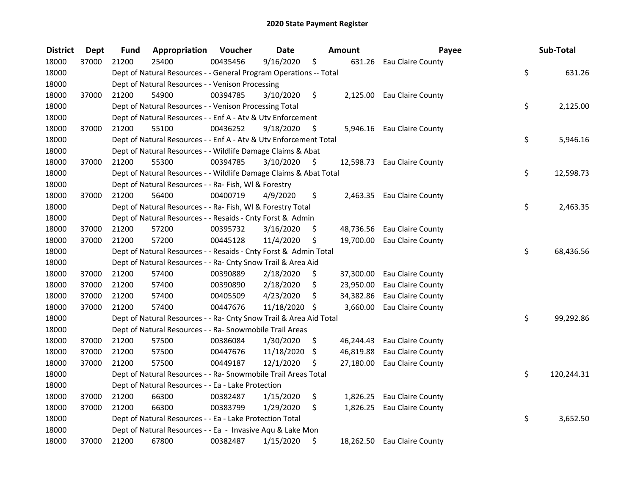| <b>District</b> | <b>Dept</b> | Fund  | Appropriation                                                      | Voucher  | <b>Date</b>   |      | <b>Amount</b> | Payee                       | Sub-Total        |
|-----------------|-------------|-------|--------------------------------------------------------------------|----------|---------------|------|---------------|-----------------------------|------------------|
| 18000           | 37000       | 21200 | 25400                                                              | 00435456 | 9/16/2020     | \$   |               | 631.26 Eau Claire County    |                  |
| 18000           |             |       | Dept of Natural Resources - - General Program Operations -- Total  |          |               |      |               |                             | \$<br>631.26     |
| 18000           |             |       | Dept of Natural Resources - - Venison Processing                   |          |               |      |               |                             |                  |
| 18000           | 37000       | 21200 | 54900                                                              | 00394785 | 3/10/2020     | \$   |               | 2,125.00 Eau Claire County  |                  |
| 18000           |             |       | Dept of Natural Resources - - Venison Processing Total             |          |               |      |               |                             | \$<br>2,125.00   |
| 18000           |             |       | Dept of Natural Resources - - Enf A - Atv & Utv Enforcement        |          |               |      |               |                             |                  |
| 18000           | 37000       | 21200 | 55100                                                              | 00436252 | 9/18/2020     | -\$  |               | 5,946.16 Eau Claire County  |                  |
| 18000           |             |       | Dept of Natural Resources - - Enf A - Atv & Utv Enforcement Total  |          |               |      |               |                             | \$<br>5,946.16   |
| 18000           |             |       | Dept of Natural Resources - - Wildlife Damage Claims & Abat        |          |               |      |               |                             |                  |
| 18000           | 37000       | 21200 | 55300                                                              | 00394785 | 3/10/2020     | - \$ |               | 12,598.73 Eau Claire County |                  |
| 18000           |             |       | Dept of Natural Resources - - Wildlife Damage Claims & Abat Total  |          |               |      |               |                             | \$<br>12,598.73  |
| 18000           |             |       | Dept of Natural Resources - - Ra- Fish, WI & Forestry              |          |               |      |               |                             |                  |
| 18000           | 37000       | 21200 | 56400                                                              | 00400719 | 4/9/2020      | \$   |               | 2,463.35 Eau Claire County  |                  |
| 18000           |             |       | Dept of Natural Resources - - Ra- Fish, WI & Forestry Total        |          |               |      |               |                             | \$<br>2,463.35   |
| 18000           |             |       | Dept of Natural Resources - - Resaids - Cnty Forst & Admin         |          |               |      |               |                             |                  |
| 18000           | 37000       | 21200 | 57200                                                              | 00395732 | 3/16/2020     | \$   |               | 48,736.56 Eau Claire County |                  |
| 18000           | 37000       | 21200 | 57200                                                              | 00445128 | 11/4/2020     | \$   |               | 19,700.00 Eau Claire County |                  |
| 18000           |             |       | Dept of Natural Resources - - Resaids - Cnty Forst & Admin Total   |          |               |      |               |                             | \$<br>68,436.56  |
| 18000           |             |       | Dept of Natural Resources - - Ra- Cnty Snow Trail & Area Aid       |          |               |      |               |                             |                  |
| 18000           | 37000       | 21200 | 57400                                                              | 00390889 | 2/18/2020     | \$   |               | 37,300.00 Eau Claire County |                  |
| 18000           | 37000       | 21200 | 57400                                                              | 00390890 | 2/18/2020     | \$   |               | 23,950.00 Eau Claire County |                  |
| 18000           | 37000       | 21200 | 57400                                                              | 00405509 | 4/23/2020     | \$   | 34,382.86     | <b>Eau Claire County</b>    |                  |
| 18000           | 37000       | 21200 | 57400                                                              | 00447676 | 11/18/2020 \$ |      |               | 3,660.00 Eau Claire County  |                  |
| 18000           |             |       | Dept of Natural Resources - - Ra- Cnty Snow Trail & Area Aid Total |          |               |      |               |                             | \$<br>99,292.86  |
| 18000           |             |       | Dept of Natural Resources - - Ra- Snowmobile Trail Areas           |          |               |      |               |                             |                  |
| 18000           | 37000       | 21200 | 57500                                                              | 00386084 | 1/30/2020     | \$   |               | 46,244.43 Eau Claire County |                  |
| 18000           | 37000       | 21200 | 57500                                                              | 00447676 | 11/18/2020    | \$   |               | 46,819.88 Eau Claire County |                  |
| 18000           | 37000       | 21200 | 57500                                                              | 00449187 | 12/1/2020     | \$   |               | 27,180.00 Eau Claire County |                  |
| 18000           |             |       | Dept of Natural Resources - - Ra- Snowmobile Trail Areas Total     |          |               |      |               |                             | \$<br>120,244.31 |
| 18000           |             |       | Dept of Natural Resources - - Ea - Lake Protection                 |          |               |      |               |                             |                  |
| 18000           | 37000       | 21200 | 66300                                                              | 00382487 | 1/15/2020     | \$   |               | 1,826.25 Eau Claire County  |                  |
| 18000           | 37000       | 21200 | 66300                                                              | 00383799 | 1/29/2020     | \$   |               | 1,826.25 Eau Claire County  |                  |
| 18000           |             |       | Dept of Natural Resources - - Ea - Lake Protection Total           |          |               |      |               |                             | \$<br>3,652.50   |
| 18000           |             |       | Dept of Natural Resources - - Ea - Invasive Aqu & Lake Mon         |          |               |      |               |                             |                  |
| 18000           | 37000       | 21200 | 67800                                                              | 00382487 | 1/15/2020     | \$   |               | 18,262.50 Eau Claire County |                  |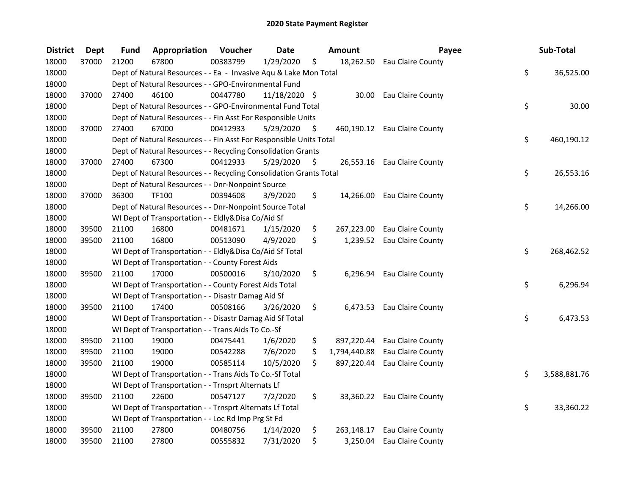| <b>District</b> | <b>Dept</b> | Fund  | Appropriation                                                      | Voucher  | <b>Date</b>   |     | Amount       | Payee                        | Sub-Total          |
|-----------------|-------------|-------|--------------------------------------------------------------------|----------|---------------|-----|--------------|------------------------------|--------------------|
| 18000           | 37000       | 21200 | 67800                                                              | 00383799 | 1/29/2020     | \$  |              | 18,262.50 Eau Claire County  |                    |
| 18000           |             |       | Dept of Natural Resources - - Ea - Invasive Aqu & Lake Mon Total   |          |               |     |              |                              | \$<br>36,525.00    |
| 18000           |             |       | Dept of Natural Resources - - GPO-Environmental Fund               |          |               |     |              |                              |                    |
| 18000           | 37000       | 27400 | 46100                                                              | 00447780 | 11/18/2020 \$ |     | 30.00        | Eau Claire County            |                    |
| 18000           |             |       | Dept of Natural Resources - - GPO-Environmental Fund Total         |          |               |     |              |                              | \$<br>30.00        |
| 18000           |             |       | Dept of Natural Resources - - Fin Asst For Responsible Units       |          |               |     |              |                              |                    |
| 18000           | 37000       | 27400 | 67000                                                              | 00412933 | 5/29/2020     | \$. |              | 460,190.12 Eau Claire County |                    |
| 18000           |             |       | Dept of Natural Resources - - Fin Asst For Responsible Units Total |          |               |     |              |                              | \$<br>460,190.12   |
| 18000           |             |       | Dept of Natural Resources - - Recycling Consolidation Grants       |          |               |     |              |                              |                    |
| 18000           | 37000       | 27400 | 67300                                                              | 00412933 | 5/29/2020     | \$  |              | 26,553.16 Eau Claire County  |                    |
| 18000           |             |       | Dept of Natural Resources - - Recycling Consolidation Grants Total |          |               |     |              |                              | \$<br>26,553.16    |
| 18000           |             |       | Dept of Natural Resources - - Dnr-Nonpoint Source                  |          |               |     |              |                              |                    |
| 18000           | 37000       | 36300 | TF100                                                              | 00394608 | 3/9/2020      | \$  | 14,266.00    | Eau Claire County            |                    |
| 18000           |             |       | Dept of Natural Resources - - Dnr-Nonpoint Source Total            |          |               |     |              |                              | \$<br>14,266.00    |
| 18000           |             |       | WI Dept of Transportation - - Eldly&Disa Co/Aid Sf                 |          |               |     |              |                              |                    |
| 18000           | 39500       | 21100 | 16800                                                              | 00481671 | 1/15/2020     | \$  | 267,223.00   | Eau Claire County            |                    |
| 18000           | 39500       | 21100 | 16800                                                              | 00513090 | 4/9/2020      | \$  | 1,239.52     | Eau Claire County            |                    |
| 18000           |             |       | WI Dept of Transportation - - Eldly&Disa Co/Aid Sf Total           |          |               |     |              |                              | \$<br>268,462.52   |
| 18000           |             |       | WI Dept of Transportation - - County Forest Aids                   |          |               |     |              |                              |                    |
| 18000           | 39500       | 21100 | 17000                                                              | 00500016 | 3/10/2020     | \$  | 6,296.94     | Eau Claire County            |                    |
| 18000           |             |       | WI Dept of Transportation - - County Forest Aids Total             |          |               |     |              |                              | \$<br>6,296.94     |
| 18000           |             |       | WI Dept of Transportation - - Disastr Damag Aid Sf                 |          |               |     |              |                              |                    |
| 18000           | 39500       | 21100 | 17400                                                              | 00508166 | 3/26/2020     | \$  | 6,473.53     | Eau Claire County            |                    |
| 18000           |             |       | WI Dept of Transportation - - Disastr Damag Aid Sf Total           |          |               |     |              |                              | \$<br>6,473.53     |
| 18000           |             |       | WI Dept of Transportation - - Trans Aids To Co.-Sf                 |          |               |     |              |                              |                    |
| 18000           | 39500       | 21100 | 19000                                                              | 00475441 | 1/6/2020      | \$  | 897,220.44   | Eau Claire County            |                    |
| 18000           | 39500       | 21100 | 19000                                                              | 00542288 | 7/6/2020      | \$  | 1,794,440.88 | Eau Claire County            |                    |
| 18000           | 39500       | 21100 | 19000                                                              | 00585114 | 10/5/2020     | \$  | 897,220.44   | Eau Claire County            |                    |
| 18000           |             |       | WI Dept of Transportation - - Trans Aids To Co.-Sf Total           |          |               |     |              |                              | \$<br>3,588,881.76 |
| 18000           |             |       | WI Dept of Transportation - - Trnsprt Alternats Lf                 |          |               |     |              |                              |                    |
| 18000           | 39500       | 21100 | 22600                                                              | 00547127 | 7/2/2020      | \$  |              | 33,360.22 Eau Claire County  |                    |
| 18000           |             |       | WI Dept of Transportation - - Trnsprt Alternats Lf Total           |          |               |     |              |                              | \$<br>33,360.22    |
| 18000           |             |       | WI Dept of Transportation - - Loc Rd Imp Prg St Fd                 |          |               |     |              |                              |                    |
| 18000           | 39500       | 21100 | 27800                                                              | 00480756 | 1/14/2020     | \$  | 263,148.17   | Eau Claire County            |                    |
| 18000           | 39500       | 21100 | 27800                                                              | 00555832 | 7/31/2020     | \$  | 3,250.04     | Eau Claire County            |                    |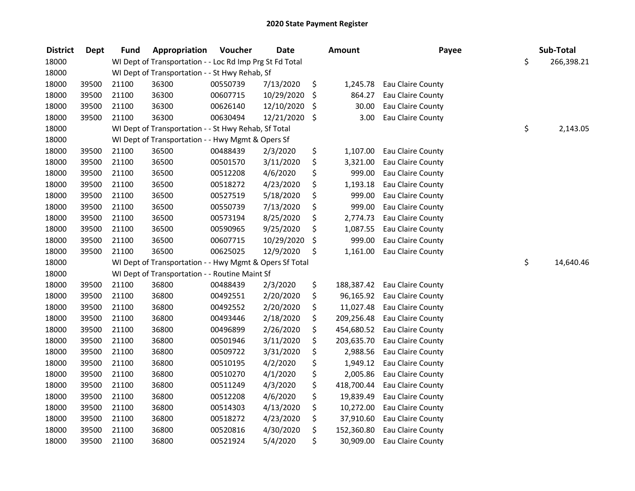| <b>District</b> | <b>Dept</b> | <b>Fund</b> | Appropriation                                            | Voucher  | <b>Date</b> | <b>Amount</b>    | Payee             | Sub-Total        |
|-----------------|-------------|-------------|----------------------------------------------------------|----------|-------------|------------------|-------------------|------------------|
| 18000           |             |             | WI Dept of Transportation - - Loc Rd Imp Prg St Fd Total |          |             |                  |                   | \$<br>266,398.21 |
| 18000           |             |             | WI Dept of Transportation - - St Hwy Rehab, Sf           |          |             |                  |                   |                  |
| 18000           | 39500       | 21100       | 36300                                                    | 00550739 | 7/13/2020   | \$<br>1,245.78   | Eau Claire County |                  |
| 18000           | 39500       | 21100       | 36300                                                    | 00607715 | 10/29/2020  | \$<br>864.27     | Eau Claire County |                  |
| 18000           | 39500       | 21100       | 36300                                                    | 00626140 | 12/10/2020  | \$<br>30.00      | Eau Claire County |                  |
| 18000           | 39500       | 21100       | 36300                                                    | 00630494 | 12/21/2020  | \$<br>3.00       | Eau Claire County |                  |
| 18000           |             |             | WI Dept of Transportation - - St Hwy Rehab, Sf Total     |          |             |                  |                   | \$<br>2,143.05   |
| 18000           |             |             | WI Dept of Transportation - - Hwy Mgmt & Opers Sf        |          |             |                  |                   |                  |
| 18000           | 39500       | 21100       | 36500                                                    | 00488439 | 2/3/2020    | \$<br>1,107.00   | Eau Claire County |                  |
| 18000           | 39500       | 21100       | 36500                                                    | 00501570 | 3/11/2020   | \$<br>3,321.00   | Eau Claire County |                  |
| 18000           | 39500       | 21100       | 36500                                                    | 00512208 | 4/6/2020    | \$<br>999.00     | Eau Claire County |                  |
| 18000           | 39500       | 21100       | 36500                                                    | 00518272 | 4/23/2020   | \$<br>1,193.18   | Eau Claire County |                  |
| 18000           | 39500       | 21100       | 36500                                                    | 00527519 | 5/18/2020   | \$<br>999.00     | Eau Claire County |                  |
| 18000           | 39500       | 21100       | 36500                                                    | 00550739 | 7/13/2020   | \$<br>999.00     | Eau Claire County |                  |
| 18000           | 39500       | 21100       | 36500                                                    | 00573194 | 8/25/2020   | \$<br>2,774.73   | Eau Claire County |                  |
| 18000           | 39500       | 21100       | 36500                                                    | 00590965 | 9/25/2020   | \$<br>1,087.55   | Eau Claire County |                  |
| 18000           | 39500       | 21100       | 36500                                                    | 00607715 | 10/29/2020  | \$<br>999.00     | Eau Claire County |                  |
| 18000           | 39500       | 21100       | 36500                                                    | 00625025 | 12/9/2020   | \$<br>1,161.00   | Eau Claire County |                  |
| 18000           |             |             | WI Dept of Transportation - - Hwy Mgmt & Opers Sf Total  |          |             |                  |                   | \$<br>14,640.46  |
| 18000           |             |             | WI Dept of Transportation - - Routine Maint Sf           |          |             |                  |                   |                  |
| 18000           | 39500       | 21100       | 36800                                                    | 00488439 | 2/3/2020    | \$<br>188,387.42 | Eau Claire County |                  |
| 18000           | 39500       | 21100       | 36800                                                    | 00492551 | 2/20/2020   | \$<br>96,165.92  | Eau Claire County |                  |
| 18000           | 39500       | 21100       | 36800                                                    | 00492552 | 2/20/2020   | \$<br>11,027.48  | Eau Claire County |                  |
| 18000           | 39500       | 21100       | 36800                                                    | 00493446 | 2/18/2020   | \$<br>209,256.48 | Eau Claire County |                  |
| 18000           | 39500       | 21100       | 36800                                                    | 00496899 | 2/26/2020   | \$<br>454,680.52 | Eau Claire County |                  |
| 18000           | 39500       | 21100       | 36800                                                    | 00501946 | 3/11/2020   | \$<br>203,635.70 | Eau Claire County |                  |
| 18000           | 39500       | 21100       | 36800                                                    | 00509722 | 3/31/2020   | \$<br>2,988.56   | Eau Claire County |                  |
| 18000           | 39500       | 21100       | 36800                                                    | 00510195 | 4/2/2020    | \$<br>1,949.12   | Eau Claire County |                  |
| 18000           | 39500       | 21100       | 36800                                                    | 00510270 | 4/1/2020    | \$<br>2,005.86   | Eau Claire County |                  |
| 18000           | 39500       | 21100       | 36800                                                    | 00511249 | 4/3/2020    | \$<br>418,700.44 | Eau Claire County |                  |
| 18000           | 39500       | 21100       | 36800                                                    | 00512208 | 4/6/2020    | \$<br>19,839.49  | Eau Claire County |                  |
| 18000           | 39500       | 21100       | 36800                                                    | 00514303 | 4/13/2020   | \$<br>10,272.00  | Eau Claire County |                  |
| 18000           | 39500       | 21100       | 36800                                                    | 00518272 | 4/23/2020   | \$<br>37,910.60  | Eau Claire County |                  |
| 18000           | 39500       | 21100       | 36800                                                    | 00520816 | 4/30/2020   | \$<br>152,360.80 | Eau Claire County |                  |
| 18000           | 39500       | 21100       | 36800                                                    | 00521924 | 5/4/2020    | \$<br>30,909.00  | Eau Claire County |                  |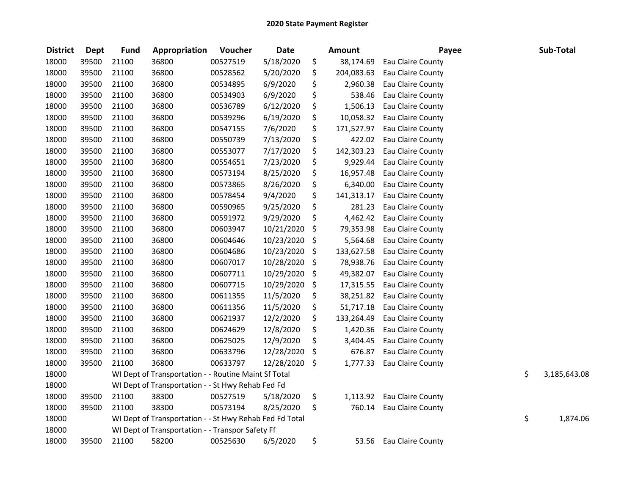| <b>District</b> | <b>Dept</b> | <b>Fund</b> | Appropriation                                           | Voucher  | <b>Date</b> | <b>Amount</b>    | Payee                    | Sub-Total          |
|-----------------|-------------|-------------|---------------------------------------------------------|----------|-------------|------------------|--------------------------|--------------------|
| 18000           | 39500       | 21100       | 36800                                                   | 00527519 | 5/18/2020   | \$<br>38,174.69  | Eau Claire County        |                    |
| 18000           | 39500       | 21100       | 36800                                                   | 00528562 | 5/20/2020   | \$<br>204,083.63 | Eau Claire County        |                    |
| 18000           | 39500       | 21100       | 36800                                                   | 00534895 | 6/9/2020    | \$<br>2,960.38   | Eau Claire County        |                    |
| 18000           | 39500       | 21100       | 36800                                                   | 00534903 | 6/9/2020    | \$<br>538.46     | Eau Claire County        |                    |
| 18000           | 39500       | 21100       | 36800                                                   | 00536789 | 6/12/2020   | \$<br>1,506.13   | Eau Claire County        |                    |
| 18000           | 39500       | 21100       | 36800                                                   | 00539296 | 6/19/2020   | \$<br>10,058.32  | Eau Claire County        |                    |
| 18000           | 39500       | 21100       | 36800                                                   | 00547155 | 7/6/2020    | \$<br>171,527.97 | Eau Claire County        |                    |
| 18000           | 39500       | 21100       | 36800                                                   | 00550739 | 7/13/2020   | \$<br>422.02     | Eau Claire County        |                    |
| 18000           | 39500       | 21100       | 36800                                                   | 00553077 | 7/17/2020   | \$<br>142,303.23 | Eau Claire County        |                    |
| 18000           | 39500       | 21100       | 36800                                                   | 00554651 | 7/23/2020   | \$<br>9,929.44   | Eau Claire County        |                    |
| 18000           | 39500       | 21100       | 36800                                                   | 00573194 | 8/25/2020   | \$<br>16,957.48  | Eau Claire County        |                    |
| 18000           | 39500       | 21100       | 36800                                                   | 00573865 | 8/26/2020   | \$<br>6,340.00   | Eau Claire County        |                    |
| 18000           | 39500       | 21100       | 36800                                                   | 00578454 | 9/4/2020    | \$<br>141,313.17 | Eau Claire County        |                    |
| 18000           | 39500       | 21100       | 36800                                                   | 00590965 | 9/25/2020   | \$<br>281.23     | <b>Eau Claire County</b> |                    |
| 18000           | 39500       | 21100       | 36800                                                   | 00591972 | 9/29/2020   | \$<br>4,462.42   | Eau Claire County        |                    |
| 18000           | 39500       | 21100       | 36800                                                   | 00603947 | 10/21/2020  | \$<br>79,353.98  | Eau Claire County        |                    |
| 18000           | 39500       | 21100       | 36800                                                   | 00604646 | 10/23/2020  | \$<br>5,564.68   | Eau Claire County        |                    |
| 18000           | 39500       | 21100       | 36800                                                   | 00604686 | 10/23/2020  | \$<br>133,627.58 | Eau Claire County        |                    |
| 18000           | 39500       | 21100       | 36800                                                   | 00607017 | 10/28/2020  | \$<br>78,938.76  | Eau Claire County        |                    |
| 18000           | 39500       | 21100       | 36800                                                   | 00607711 | 10/29/2020  | \$<br>49,382.07  | <b>Eau Claire County</b> |                    |
| 18000           | 39500       | 21100       | 36800                                                   | 00607715 | 10/29/2020  | \$<br>17,315.55  | <b>Eau Claire County</b> |                    |
| 18000           | 39500       | 21100       | 36800                                                   | 00611355 | 11/5/2020   | \$<br>38,251.82  | Eau Claire County        |                    |
| 18000           | 39500       | 21100       | 36800                                                   | 00611356 | 11/5/2020   | \$<br>51,717.18  | Eau Claire County        |                    |
| 18000           | 39500       | 21100       | 36800                                                   | 00621937 | 12/2/2020   | \$<br>133,264.49 | Eau Claire County        |                    |
| 18000           | 39500       | 21100       | 36800                                                   | 00624629 | 12/8/2020   | \$<br>1,420.36   | Eau Claire County        |                    |
| 18000           | 39500       | 21100       | 36800                                                   | 00625025 | 12/9/2020   | \$<br>3,404.45   | Eau Claire County        |                    |
| 18000           | 39500       | 21100       | 36800                                                   | 00633796 | 12/28/2020  | \$<br>676.87     | Eau Claire County        |                    |
| 18000           | 39500       | 21100       | 36800                                                   | 00633797 | 12/28/2020  | \$<br>1,777.33   | Eau Claire County        |                    |
| 18000           |             |             | WI Dept of Transportation - - Routine Maint Sf Total    |          |             |                  |                          | \$<br>3,185,643.08 |
| 18000           |             |             | WI Dept of Transportation - - St Hwy Rehab Fed Fd       |          |             |                  |                          |                    |
| 18000           | 39500       | 21100       | 38300                                                   | 00527519 | 5/18/2020   | \$<br>1,113.92   | Eau Claire County        |                    |
| 18000           | 39500       | 21100       | 38300                                                   | 00573194 | 8/25/2020   | \$<br>760.14     | Eau Claire County        |                    |
| 18000           |             |             | WI Dept of Transportation - - St Hwy Rehab Fed Fd Total |          |             |                  |                          | \$<br>1,874.06     |
| 18000           |             |             | WI Dept of Transportation - - Transpor Safety Ff        |          |             |                  |                          |                    |
| 18000           | 39500       | 21100       | 58200                                                   | 00525630 | 6/5/2020    | \$<br>53.56      | Eau Claire County        |                    |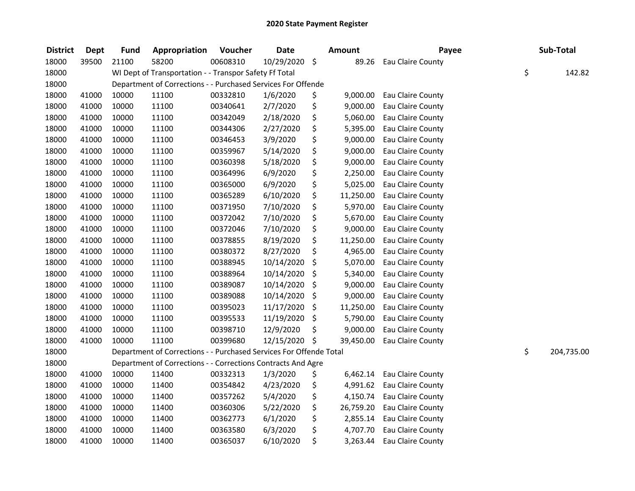| <b>District</b> | <b>Dept</b> | <b>Fund</b> | Appropriation                                                      | Voucher  | <b>Date</b>   | <b>Amount</b>   | Payee             |    | Sub-Total  |
|-----------------|-------------|-------------|--------------------------------------------------------------------|----------|---------------|-----------------|-------------------|----|------------|
| 18000           | 39500       | 21100       | 58200                                                              | 00608310 | 10/29/2020 \$ | 89.26           | Eau Claire County |    |            |
| 18000           |             |             | WI Dept of Transportation - - Transpor Safety Ff Total             |          |               |                 |                   | \$ | 142.82     |
| 18000           |             |             | Department of Corrections - - Purchased Services For Offende       |          |               |                 |                   |    |            |
| 18000           | 41000       | 10000       | 11100                                                              | 00332810 | 1/6/2020      | \$<br>9,000.00  | Eau Claire County |    |            |
| 18000           | 41000       | 10000       | 11100                                                              | 00340641 | 2/7/2020      | \$<br>9,000.00  | Eau Claire County |    |            |
| 18000           | 41000       | 10000       | 11100                                                              | 00342049 | 2/18/2020     | \$<br>5,060.00  | Eau Claire County |    |            |
| 18000           | 41000       | 10000       | 11100                                                              | 00344306 | 2/27/2020     | \$<br>5,395.00  | Eau Claire County |    |            |
| 18000           | 41000       | 10000       | 11100                                                              | 00346453 | 3/9/2020      | \$<br>9,000.00  | Eau Claire County |    |            |
| 18000           | 41000       | 10000       | 11100                                                              | 00359967 | 5/14/2020     | \$<br>9,000.00  | Eau Claire County |    |            |
| 18000           | 41000       | 10000       | 11100                                                              | 00360398 | 5/18/2020     | \$<br>9,000.00  | Eau Claire County |    |            |
| 18000           | 41000       | 10000       | 11100                                                              | 00364996 | 6/9/2020      | \$<br>2,250.00  | Eau Claire County |    |            |
| 18000           | 41000       | 10000       | 11100                                                              | 00365000 | 6/9/2020      | \$<br>5,025.00  | Eau Claire County |    |            |
| 18000           | 41000       | 10000       | 11100                                                              | 00365289 | 6/10/2020     | \$<br>11,250.00 | Eau Claire County |    |            |
| 18000           | 41000       | 10000       | 11100                                                              | 00371950 | 7/10/2020     | \$<br>5,970.00  | Eau Claire County |    |            |
| 18000           | 41000       | 10000       | 11100                                                              | 00372042 | 7/10/2020     | \$<br>5,670.00  | Eau Claire County |    |            |
| 18000           | 41000       | 10000       | 11100                                                              | 00372046 | 7/10/2020     | \$<br>9,000.00  | Eau Claire County |    |            |
| 18000           | 41000       | 10000       | 11100                                                              | 00378855 | 8/19/2020     | \$<br>11,250.00 | Eau Claire County |    |            |
| 18000           | 41000       | 10000       | 11100                                                              | 00380372 | 8/27/2020     | \$<br>4,965.00  | Eau Claire County |    |            |
| 18000           | 41000       | 10000       | 11100                                                              | 00388945 | 10/14/2020    | \$<br>5,070.00  | Eau Claire County |    |            |
| 18000           | 41000       | 10000       | 11100                                                              | 00388964 | 10/14/2020    | \$<br>5,340.00  | Eau Claire County |    |            |
| 18000           | 41000       | 10000       | 11100                                                              | 00389087 | 10/14/2020    | \$<br>9,000.00  | Eau Claire County |    |            |
| 18000           | 41000       | 10000       | 11100                                                              | 00389088 | 10/14/2020    | \$<br>9,000.00  | Eau Claire County |    |            |
| 18000           | 41000       | 10000       | 11100                                                              | 00395023 | 11/17/2020    | \$<br>11,250.00 | Eau Claire County |    |            |
| 18000           | 41000       | 10000       | 11100                                                              | 00395533 | 11/19/2020    | \$<br>5,790.00  | Eau Claire County |    |            |
| 18000           | 41000       | 10000       | 11100                                                              | 00398710 | 12/9/2020     | \$<br>9,000.00  | Eau Claire County |    |            |
| 18000           | 41000       | 10000       | 11100                                                              | 00399680 | 12/15/2020 \$ | 39,450.00       | Eau Claire County |    |            |
| 18000           |             |             | Department of Corrections - - Purchased Services For Offende Total |          |               |                 |                   | \$ | 204,735.00 |
| 18000           |             |             | Department of Corrections - - Corrections Contracts And Agre       |          |               |                 |                   |    |            |
| 18000           | 41000       | 10000       | 11400                                                              | 00332313 | 1/3/2020      | \$<br>6,462.14  | Eau Claire County |    |            |
| 18000           | 41000       | 10000       | 11400                                                              | 00354842 | 4/23/2020     | \$<br>4,991.62  | Eau Claire County |    |            |
| 18000           | 41000       | 10000       | 11400                                                              | 00357262 | 5/4/2020      | \$<br>4,150.74  | Eau Claire County |    |            |
| 18000           | 41000       | 10000       | 11400                                                              | 00360306 | 5/22/2020     | \$<br>26,759.20 | Eau Claire County |    |            |
| 18000           | 41000       | 10000       | 11400                                                              | 00362773 | 6/1/2020      | \$<br>2,855.14  | Eau Claire County |    |            |
| 18000           | 41000       | 10000       | 11400                                                              | 00363580 | 6/3/2020      | \$<br>4,707.70  | Eau Claire County |    |            |
| 18000           | 41000       | 10000       | 11400                                                              | 00365037 | 6/10/2020     | \$<br>3,263.44  | Eau Claire County |    |            |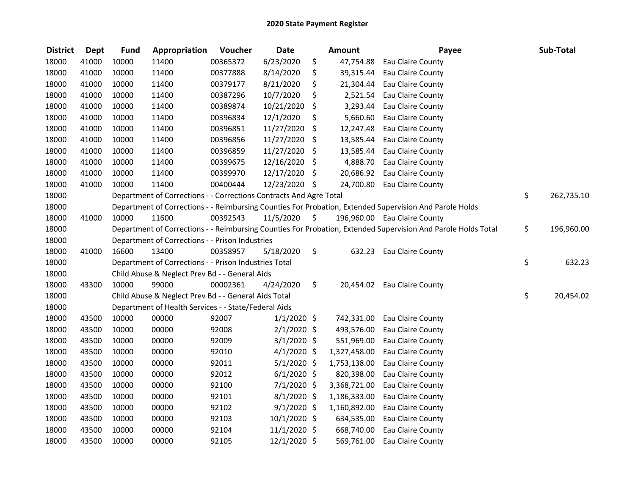| <b>District</b> | <b>Dept</b> | <b>Fund</b> | Appropriation                                                      | Voucher  | <b>Date</b>    | <b>Amount</b>   | Payee                                                                                                         | Sub-Total        |
|-----------------|-------------|-------------|--------------------------------------------------------------------|----------|----------------|-----------------|---------------------------------------------------------------------------------------------------------------|------------------|
| 18000           | 41000       | 10000       | 11400                                                              | 00365372 | 6/23/2020      | \$<br>47,754.88 | Eau Claire County                                                                                             |                  |
| 18000           | 41000       | 10000       | 11400                                                              | 00377888 | 8/14/2020      | \$<br>39,315.44 | Eau Claire County                                                                                             |                  |
| 18000           | 41000       | 10000       | 11400                                                              | 00379177 | 8/21/2020      | \$<br>21,304.44 | Eau Claire County                                                                                             |                  |
| 18000           | 41000       | 10000       | 11400                                                              | 00387296 | 10/7/2020      | \$<br>2,521.54  | Eau Claire County                                                                                             |                  |
| 18000           | 41000       | 10000       | 11400                                                              | 00389874 | 10/21/2020     | \$<br>3,293.44  | Eau Claire County                                                                                             |                  |
| 18000           | 41000       | 10000       | 11400                                                              | 00396834 | 12/1/2020      | \$<br>5,660.60  | Eau Claire County                                                                                             |                  |
| 18000           | 41000       | 10000       | 11400                                                              | 00396851 | 11/27/2020     | \$<br>12,247.48 | Eau Claire County                                                                                             |                  |
| 18000           | 41000       | 10000       | 11400                                                              | 00396856 | 11/27/2020     | \$<br>13,585.44 | Eau Claire County                                                                                             |                  |
| 18000           | 41000       | 10000       | 11400                                                              | 00396859 | 11/27/2020     | \$<br>13,585.44 | Eau Claire County                                                                                             |                  |
| 18000           | 41000       | 10000       | 11400                                                              | 00399675 | 12/16/2020     | \$<br>4,888.70  | Eau Claire County                                                                                             |                  |
| 18000           | 41000       | 10000       | 11400                                                              | 00399970 | 12/17/2020     | \$<br>20,686.92 | Eau Claire County                                                                                             |                  |
| 18000           | 41000       | 10000       | 11400                                                              | 00400444 | 12/23/2020 \$  | 24,700.80       | Eau Claire County                                                                                             |                  |
| 18000           |             |             | Department of Corrections - - Corrections Contracts And Agre Total |          |                |                 |                                                                                                               | \$<br>262,735.10 |
| 18000           |             |             |                                                                    |          |                |                 | Department of Corrections - - Reimbursing Counties For Probation, Extended Supervision And Parole Holds       |                  |
| 18000           | 41000       | 10000       | 11600                                                              | 00392543 | 11/5/2020      | \$              | 196,960.00 Eau Claire County                                                                                  |                  |
| 18000           |             |             |                                                                    |          |                |                 | Department of Corrections - - Reimbursing Counties For Probation, Extended Supervision And Parole Holds Total | \$<br>196,960.00 |
| 18000           |             |             | Department of Corrections - - Prison Industries                    |          |                |                 |                                                                                                               |                  |
| 18000           | 41000       | 16600       | 13400                                                              | 00358957 | 5/18/2020      | \$<br>632.23    | Eau Claire County                                                                                             |                  |
| 18000           |             |             | Department of Corrections - - Prison Industries Total              |          |                |                 |                                                                                                               | \$<br>632.23     |
| 18000           |             |             | Child Abuse & Neglect Prev Bd - - General Aids                     |          |                |                 |                                                                                                               |                  |
| 18000           | 43300       | 10000       | 99000                                                              | 00002361 | 4/24/2020      | \$<br>20,454.02 | <b>Eau Claire County</b>                                                                                      |                  |
| 18000           |             |             | Child Abuse & Neglect Prev Bd - - General Aids Total               |          |                |                 |                                                                                                               | \$<br>20,454.02  |
| 18000           |             |             | Department of Health Services - - State/Federal Aids               |          |                |                 |                                                                                                               |                  |
| 18000           | 43500       | 10000       | 00000                                                              | 92007    | $1/1/2020$ \$  | 742,331.00      | Eau Claire County                                                                                             |                  |
| 18000           | 43500       | 10000       | 00000                                                              | 92008    | $2/1/2020$ \$  | 493,576.00      | Eau Claire County                                                                                             |                  |
| 18000           | 43500       | 10000       | 00000                                                              | 92009    | $3/1/2020$ \$  | 551,969.00      | Eau Claire County                                                                                             |                  |
| 18000           | 43500       | 10000       | 00000                                                              | 92010    | $4/1/2020$ \$  | 1,327,458.00    | Eau Claire County                                                                                             |                  |
| 18000           | 43500       | 10000       | 00000                                                              | 92011    | $5/1/2020$ \$  | 1,753,138.00    | Eau Claire County                                                                                             |                  |
| 18000           | 43500       | 10000       | 00000                                                              | 92012    | $6/1/2020$ \$  | 820,398.00      | Eau Claire County                                                                                             |                  |
| 18000           | 43500       | 10000       | 00000                                                              | 92100    | 7/1/2020 \$    | 3,368,721.00    | Eau Claire County                                                                                             |                  |
| 18000           | 43500       | 10000       | 00000                                                              | 92101    | 8/1/2020 \$    | 1,186,333.00    | Eau Claire County                                                                                             |                  |
| 18000           | 43500       | 10000       | 00000                                                              | 92102    | $9/1/2020$ \$  | 1,160,892.00    | Eau Claire County                                                                                             |                  |
| 18000           | 43500       | 10000       | 00000                                                              | 92103    | 10/1/2020 \$   | 634,535.00      | Eau Claire County                                                                                             |                  |
| 18000           | 43500       | 10000       | 00000                                                              | 92104    | $11/1/2020$ \$ | 668,740.00      | Eau Claire County                                                                                             |                  |
| 18000           | 43500       | 10000       | 00000                                                              | 92105    | 12/1/2020 \$   | 569,761.00      | Eau Claire County                                                                                             |                  |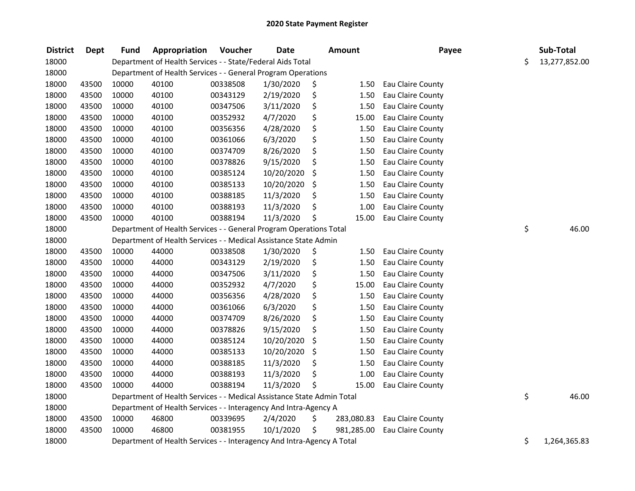| <b>District</b> | Dept  | <b>Fund</b> | Appropriation                                                          | Voucher  | <b>Date</b> |    | <b>Amount</b> | Payee                    | Sub-Total           |
|-----------------|-------|-------------|------------------------------------------------------------------------|----------|-------------|----|---------------|--------------------------|---------------------|
| 18000           |       |             | Department of Health Services - - State/Federal Aids Total             |          |             |    |               |                          | \$<br>13,277,852.00 |
| 18000           |       |             | Department of Health Services - - General Program Operations           |          |             |    |               |                          |                     |
| 18000           | 43500 | 10000       | 40100                                                                  | 00338508 | 1/30/2020   | \$ | 1.50          | Eau Claire County        |                     |
| 18000           | 43500 | 10000       | 40100                                                                  | 00343129 | 2/19/2020   | \$ | 1.50          | Eau Claire County        |                     |
| 18000           | 43500 | 10000       | 40100                                                                  | 00347506 | 3/11/2020   | \$ | 1.50          | Eau Claire County        |                     |
| 18000           | 43500 | 10000       | 40100                                                                  | 00352932 | 4/7/2020    | \$ | 15.00         | Eau Claire County        |                     |
| 18000           | 43500 | 10000       | 40100                                                                  | 00356356 | 4/28/2020   | \$ | 1.50          | Eau Claire County        |                     |
| 18000           | 43500 | 10000       | 40100                                                                  | 00361066 | 6/3/2020    | \$ | 1.50          | Eau Claire County        |                     |
| 18000           | 43500 | 10000       | 40100                                                                  | 00374709 | 8/26/2020   | \$ | 1.50          | Eau Claire County        |                     |
| 18000           | 43500 | 10000       | 40100                                                                  | 00378826 | 9/15/2020   | \$ | 1.50          | Eau Claire County        |                     |
| 18000           | 43500 | 10000       | 40100                                                                  | 00385124 | 10/20/2020  | \$ | 1.50          | Eau Claire County        |                     |
| 18000           | 43500 | 10000       | 40100                                                                  | 00385133 | 10/20/2020  | \$ | 1.50          | Eau Claire County        |                     |
| 18000           | 43500 | 10000       | 40100                                                                  | 00388185 | 11/3/2020   | \$ | 1.50          | Eau Claire County        |                     |
| 18000           | 43500 | 10000       | 40100                                                                  | 00388193 | 11/3/2020   |    | 1.00          | Eau Claire County        |                     |
| 18000           | 43500 | 10000       | 40100                                                                  | 00388194 | 11/3/2020   | Ś. | 15.00         | Eau Claire County        |                     |
| 18000           |       |             | Department of Health Services - - General Program Operations Total     |          |             |    |               |                          | \$<br>46.00         |
| 18000           |       |             | Department of Health Services - - Medical Assistance State Admin       |          |             |    |               |                          |                     |
| 18000           | 43500 | 10000       | 44000                                                                  | 00338508 | 1/30/2020   | \$ | 1.50          | Eau Claire County        |                     |
| 18000           | 43500 | 10000       | 44000                                                                  | 00343129 | 2/19/2020   | \$ | 1.50          | Eau Claire County        |                     |
| 18000           | 43500 | 10000       | 44000                                                                  | 00347506 | 3/11/2020   | \$ | 1.50          | Eau Claire County        |                     |
| 18000           | 43500 | 10000       | 44000                                                                  | 00352932 | 4/7/2020    | \$ | 15.00         | <b>Eau Claire County</b> |                     |
| 18000           | 43500 | 10000       | 44000                                                                  | 00356356 | 4/28/2020   | \$ | 1.50          | Eau Claire County        |                     |
| 18000           | 43500 | 10000       | 44000                                                                  | 00361066 | 6/3/2020    | \$ | 1.50          | <b>Eau Claire County</b> |                     |
| 18000           | 43500 | 10000       | 44000                                                                  | 00374709 | 8/26/2020   | \$ | 1.50          | Eau Claire County        |                     |
| 18000           | 43500 | 10000       | 44000                                                                  | 00378826 | 9/15/2020   | \$ | 1.50          | Eau Claire County        |                     |
| 18000           | 43500 | 10000       | 44000                                                                  | 00385124 | 10/20/2020  | \$ | 1.50          | Eau Claire County        |                     |
| 18000           | 43500 | 10000       | 44000                                                                  | 00385133 | 10/20/2020  | \$ | 1.50          | Eau Claire County        |                     |
| 18000           | 43500 | 10000       | 44000                                                                  | 00388185 | 11/3/2020   | \$ | 1.50          | Eau Claire County        |                     |
| 18000           | 43500 | 10000       | 44000                                                                  | 00388193 | 11/3/2020   | \$ | 1.00          | Eau Claire County        |                     |
| 18000           | 43500 | 10000       | 44000                                                                  | 00388194 | 11/3/2020   | \$ | 15.00         | Eau Claire County        |                     |
| 18000           |       |             | Department of Health Services - - Medical Assistance State Admin Total |          |             |    |               |                          | \$<br>46.00         |
| 18000           |       |             | Department of Health Services - - Interagency And Intra-Agency A       |          |             |    |               |                          |                     |
| 18000           | 43500 | 10000       | 46800                                                                  | 00339695 | 2/4/2020    | \$ | 283,080.83    | Eau Claire County        |                     |
| 18000           | 43500 | 10000       | 46800                                                                  | 00381955 | 10/1/2020   | \$ | 981,285.00    | Eau Claire County        |                     |
| 18000           |       |             | Department of Health Services - - Interagency And Intra-Agency A Total |          |             |    |               |                          | \$<br>1,264,365.83  |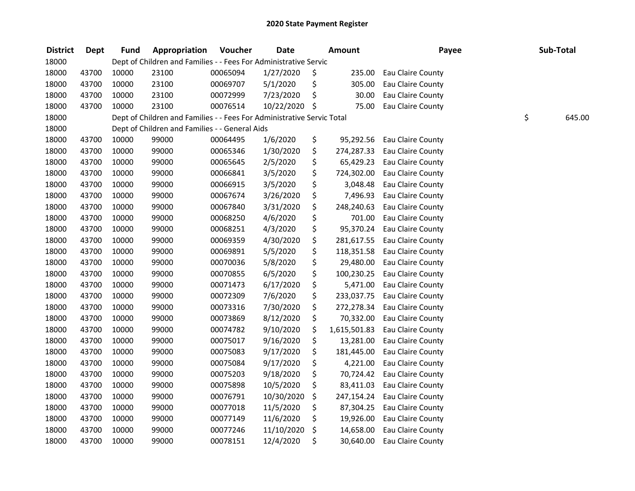| <b>District</b> | <b>Dept</b> | Fund  | Appropriation                                                          | Voucher  | <b>Date</b>   | <b>Amount</b>      | Payee             | Sub-Total    |
|-----------------|-------------|-------|------------------------------------------------------------------------|----------|---------------|--------------------|-------------------|--------------|
| 18000           |             |       | Dept of Children and Families - - Fees For Administrative Servic       |          |               |                    |                   |              |
| 18000           | 43700       | 10000 | 23100                                                                  | 00065094 | 1/27/2020     | \$<br>235.00       | Eau Claire County |              |
| 18000           | 43700       | 10000 | 23100                                                                  | 00069707 | 5/1/2020      | \$<br>305.00       | Eau Claire County |              |
| 18000           | 43700       | 10000 | 23100                                                                  | 00072999 | 7/23/2020     | \$<br>30.00        | Eau Claire County |              |
| 18000           | 43700       | 10000 | 23100                                                                  | 00076514 | 10/22/2020 \$ | 75.00              | Eau Claire County |              |
| 18000           |             |       | Dept of Children and Families - - Fees For Administrative Servic Total |          |               |                    |                   | \$<br>645.00 |
| 18000           |             |       | Dept of Children and Families - - General Aids                         |          |               |                    |                   |              |
| 18000           | 43700       | 10000 | 99000                                                                  | 00064495 | 1/6/2020      | \$<br>95,292.56    | Eau Claire County |              |
| 18000           | 43700       | 10000 | 99000                                                                  | 00065346 | 1/30/2020     | \$<br>274,287.33   | Eau Claire County |              |
| 18000           | 43700       | 10000 | 99000                                                                  | 00065645 | 2/5/2020      | \$<br>65,429.23    | Eau Claire County |              |
| 18000           | 43700       | 10000 | 99000                                                                  | 00066841 | 3/5/2020      | \$<br>724,302.00   | Eau Claire County |              |
| 18000           | 43700       | 10000 | 99000                                                                  | 00066915 | 3/5/2020      | \$<br>3,048.48     | Eau Claire County |              |
| 18000           | 43700       | 10000 | 99000                                                                  | 00067674 | 3/26/2020     | \$<br>7,496.93     | Eau Claire County |              |
| 18000           | 43700       | 10000 | 99000                                                                  | 00067840 | 3/31/2020     | \$<br>248,240.63   | Eau Claire County |              |
| 18000           | 43700       | 10000 | 99000                                                                  | 00068250 | 4/6/2020      | \$<br>701.00       | Eau Claire County |              |
| 18000           | 43700       | 10000 | 99000                                                                  | 00068251 | 4/3/2020      | \$<br>95,370.24    | Eau Claire County |              |
| 18000           | 43700       | 10000 | 99000                                                                  | 00069359 | 4/30/2020     | \$<br>281,617.55   | Eau Claire County |              |
| 18000           | 43700       | 10000 | 99000                                                                  | 00069891 | 5/5/2020      | \$<br>118,351.58   | Eau Claire County |              |
| 18000           | 43700       | 10000 | 99000                                                                  | 00070036 | 5/8/2020      | \$<br>29,480.00    | Eau Claire County |              |
| 18000           | 43700       | 10000 | 99000                                                                  | 00070855 | 6/5/2020      | \$<br>100,230.25   | Eau Claire County |              |
| 18000           | 43700       | 10000 | 99000                                                                  | 00071473 | 6/17/2020     | \$<br>5,471.00     | Eau Claire County |              |
| 18000           | 43700       | 10000 | 99000                                                                  | 00072309 | 7/6/2020      | \$<br>233,037.75   | Eau Claire County |              |
| 18000           | 43700       | 10000 | 99000                                                                  | 00073316 | 7/30/2020     | \$<br>272,278.34   | Eau Claire County |              |
| 18000           | 43700       | 10000 | 99000                                                                  | 00073869 | 8/12/2020     | \$<br>70,332.00    | Eau Claire County |              |
| 18000           | 43700       | 10000 | 99000                                                                  | 00074782 | 9/10/2020     | \$<br>1,615,501.83 | Eau Claire County |              |
| 18000           | 43700       | 10000 | 99000                                                                  | 00075017 | 9/16/2020     | \$<br>13,281.00    | Eau Claire County |              |
| 18000           | 43700       | 10000 | 99000                                                                  | 00075083 | 9/17/2020     | \$<br>181,445.00   | Eau Claire County |              |
| 18000           | 43700       | 10000 | 99000                                                                  | 00075084 | 9/17/2020     | \$<br>4,221.00     | Eau Claire County |              |
| 18000           | 43700       | 10000 | 99000                                                                  | 00075203 | 9/18/2020     | \$<br>70,724.42    | Eau Claire County |              |
| 18000           | 43700       | 10000 | 99000                                                                  | 00075898 | 10/5/2020     | \$<br>83,411.03    | Eau Claire County |              |
| 18000           | 43700       | 10000 | 99000                                                                  | 00076791 | 10/30/2020    | \$<br>247,154.24   | Eau Claire County |              |
| 18000           | 43700       | 10000 | 99000                                                                  | 00077018 | 11/5/2020     | \$<br>87,304.25    | Eau Claire County |              |
| 18000           | 43700       | 10000 | 99000                                                                  | 00077149 | 11/6/2020     | \$<br>19,926.00    | Eau Claire County |              |
| 18000           | 43700       | 10000 | 99000                                                                  | 00077246 | 11/10/2020    | \$<br>14,658.00    | Eau Claire County |              |
| 18000           | 43700       | 10000 | 99000                                                                  | 00078151 | 12/4/2020     | \$<br>30,640.00    | Eau Claire County |              |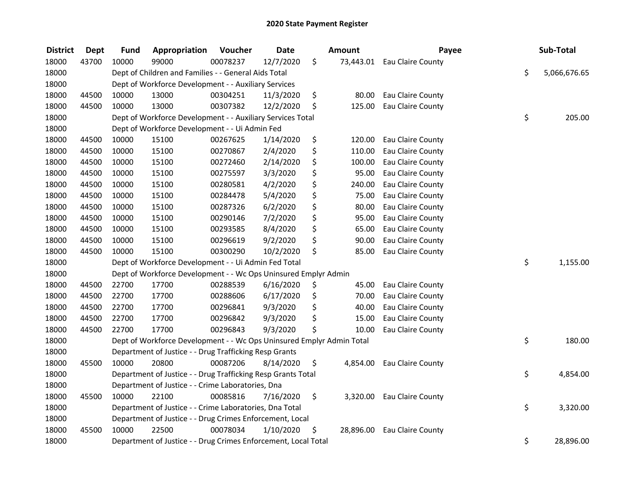| <b>District</b> | <b>Dept</b> | <b>Fund</b> | Appropriation                                                         | Voucher  | <b>Date</b> | <b>Amount</b>   | Payee                       | Sub-Total          |
|-----------------|-------------|-------------|-----------------------------------------------------------------------|----------|-------------|-----------------|-----------------------------|--------------------|
| 18000           | 43700       | 10000       | 99000                                                                 | 00078237 | 12/7/2020   | \$              | 73,443.01 Eau Claire County |                    |
| 18000           |             |             | Dept of Children and Families - - General Aids Total                  |          |             |                 |                             | \$<br>5,066,676.65 |
| 18000           |             |             | Dept of Workforce Development - - Auxiliary Services                  |          |             |                 |                             |                    |
| 18000           | 44500       | 10000       | 13000                                                                 | 00304251 | 11/3/2020   | \$<br>80.00     | Eau Claire County           |                    |
| 18000           | 44500       | 10000       | 13000                                                                 | 00307382 | 12/2/2020   | \$<br>125.00    | Eau Claire County           |                    |
| 18000           |             |             | Dept of Workforce Development - - Auxiliary Services Total            |          |             |                 |                             | \$<br>205.00       |
| 18000           |             |             | Dept of Workforce Development - - Ui Admin Fed                        |          |             |                 |                             |                    |
| 18000           | 44500       | 10000       | 15100                                                                 | 00267625 | 1/14/2020   | \$<br>120.00    | Eau Claire County           |                    |
| 18000           | 44500       | 10000       | 15100                                                                 | 00270867 | 2/4/2020    | \$<br>110.00    | Eau Claire County           |                    |
| 18000           | 44500       | 10000       | 15100                                                                 | 00272460 | 2/14/2020   | \$<br>100.00    | Eau Claire County           |                    |
| 18000           | 44500       | 10000       | 15100                                                                 | 00275597 | 3/3/2020    | \$<br>95.00     | Eau Claire County           |                    |
| 18000           | 44500       | 10000       | 15100                                                                 | 00280581 | 4/2/2020    | \$<br>240.00    | Eau Claire County           |                    |
| 18000           | 44500       | 10000       | 15100                                                                 | 00284478 | 5/4/2020    | \$<br>75.00     | Eau Claire County           |                    |
| 18000           | 44500       | 10000       | 15100                                                                 | 00287326 | 6/2/2020    | \$<br>80.00     | Eau Claire County           |                    |
| 18000           | 44500       | 10000       | 15100                                                                 | 00290146 | 7/2/2020    | \$<br>95.00     | Eau Claire County           |                    |
| 18000           | 44500       | 10000       | 15100                                                                 | 00293585 | 8/4/2020    | \$<br>65.00     | Eau Claire County           |                    |
| 18000           | 44500       | 10000       | 15100                                                                 | 00296619 | 9/2/2020    | \$<br>90.00     | Eau Claire County           |                    |
| 18000           | 44500       | 10000       | 15100                                                                 | 00300290 | 10/2/2020   | \$<br>85.00     | Eau Claire County           |                    |
| 18000           |             |             | Dept of Workforce Development - - Ui Admin Fed Total                  |          |             |                 |                             | \$<br>1,155.00     |
| 18000           |             |             | Dept of Workforce Development - - Wc Ops Uninsured Emplyr Admin       |          |             |                 |                             |                    |
| 18000           | 44500       | 22700       | 17700                                                                 | 00288539 | 6/16/2020   | \$<br>45.00     | Eau Claire County           |                    |
| 18000           | 44500       | 22700       | 17700                                                                 | 00288606 | 6/17/2020   | \$<br>70.00     | Eau Claire County           |                    |
| 18000           | 44500       | 22700       | 17700                                                                 | 00296841 | 9/3/2020    | \$<br>40.00     | Eau Claire County           |                    |
| 18000           | 44500       | 22700       | 17700                                                                 | 00296842 | 9/3/2020    | \$<br>15.00     | Eau Claire County           |                    |
| 18000           | 44500       | 22700       | 17700                                                                 | 00296843 | 9/3/2020    | \$<br>10.00     | <b>Eau Claire County</b>    |                    |
| 18000           |             |             | Dept of Workforce Development - - Wc Ops Uninsured Emplyr Admin Total |          |             |                 |                             | \$<br>180.00       |
| 18000           |             |             | Department of Justice - - Drug Trafficking Resp Grants                |          |             |                 |                             |                    |
| 18000           | 45500       | 10000       | 20800                                                                 | 00087206 | 8/14/2020   | \$<br>4,854.00  | Eau Claire County           |                    |
| 18000           |             |             | Department of Justice - - Drug Trafficking Resp Grants Total          |          |             |                 |                             | \$<br>4,854.00     |
| 18000           |             |             | Department of Justice - - Crime Laboratories, Dna                     |          |             |                 |                             |                    |
| 18000           | 45500       | 10000       | 22100                                                                 | 00085816 | 7/16/2020   | \$<br>3,320.00  | Eau Claire County           |                    |
| 18000           |             |             | Department of Justice - - Crime Laboratories, Dna Total               |          |             |                 |                             | \$<br>3,320.00     |
| 18000           |             |             | Department of Justice - - Drug Crimes Enforcement, Local              |          |             |                 |                             |                    |
| 18000           | 45500       | 10000       | 22500                                                                 | 00078034 | 1/10/2020   | \$<br>28,896.00 | Eau Claire County           |                    |
| 18000           |             |             | Department of Justice - - Drug Crimes Enforcement, Local Total        |          |             |                 |                             | \$<br>28,896.00    |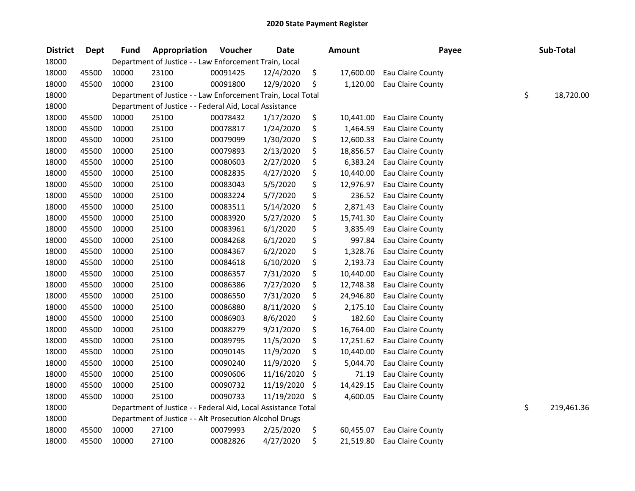| <b>District</b> | <b>Dept</b> | <b>Fund</b> | Appropriation                                                 | Voucher  | <b>Date</b>   | <b>Amount</b>   | Payee             |    | Sub-Total  |
|-----------------|-------------|-------------|---------------------------------------------------------------|----------|---------------|-----------------|-------------------|----|------------|
| 18000           |             |             | Department of Justice - - Law Enforcement Train, Local        |          |               |                 |                   |    |            |
| 18000           | 45500       | 10000       | 23100                                                         | 00091425 | 12/4/2020     | \$<br>17,600.00 | Eau Claire County |    |            |
| 18000           | 45500       | 10000       | 23100                                                         | 00091800 | 12/9/2020     | \$<br>1,120.00  | Eau Claire County |    |            |
| 18000           |             |             | Department of Justice - - Law Enforcement Train, Local Total  |          |               |                 |                   | \$ | 18,720.00  |
| 18000           |             |             | Department of Justice - - Federal Aid, Local Assistance       |          |               |                 |                   |    |            |
| 18000           | 45500       | 10000       | 25100                                                         | 00078432 | 1/17/2020     | \$<br>10,441.00 | Eau Claire County |    |            |
| 18000           | 45500       | 10000       | 25100                                                         | 00078817 | 1/24/2020     | \$<br>1,464.59  | Eau Claire County |    |            |
| 18000           | 45500       | 10000       | 25100                                                         | 00079099 | 1/30/2020     | \$<br>12,600.33 | Eau Claire County |    |            |
| 18000           | 45500       | 10000       | 25100                                                         | 00079893 | 2/13/2020     | \$<br>18,856.57 | Eau Claire County |    |            |
| 18000           | 45500       | 10000       | 25100                                                         | 00080603 | 2/27/2020     | \$<br>6,383.24  | Eau Claire County |    |            |
| 18000           | 45500       | 10000       | 25100                                                         | 00082835 | 4/27/2020     | \$<br>10,440.00 | Eau Claire County |    |            |
| 18000           | 45500       | 10000       | 25100                                                         | 00083043 | 5/5/2020      | \$<br>12,976.97 | Eau Claire County |    |            |
| 18000           | 45500       | 10000       | 25100                                                         | 00083224 | 5/7/2020      | \$<br>236.52    | Eau Claire County |    |            |
| 18000           | 45500       | 10000       | 25100                                                         | 00083511 | 5/14/2020     | \$<br>2,871.43  | Eau Claire County |    |            |
| 18000           | 45500       | 10000       | 25100                                                         | 00083920 | 5/27/2020     | \$<br>15,741.30 | Eau Claire County |    |            |
| 18000           | 45500       | 10000       | 25100                                                         | 00083961 | 6/1/2020      | \$<br>3,835.49  | Eau Claire County |    |            |
| 18000           | 45500       | 10000       | 25100                                                         | 00084268 | 6/1/2020      | \$<br>997.84    | Eau Claire County |    |            |
| 18000           | 45500       | 10000       | 25100                                                         | 00084367 | 6/2/2020      | \$<br>1,328.76  | Eau Claire County |    |            |
| 18000           | 45500       | 10000       | 25100                                                         | 00084618 | 6/10/2020     | \$<br>2,193.73  | Eau Claire County |    |            |
| 18000           | 45500       | 10000       | 25100                                                         | 00086357 | 7/31/2020     | \$<br>10,440.00 | Eau Claire County |    |            |
| 18000           | 45500       | 10000       | 25100                                                         | 00086386 | 7/27/2020     | \$<br>12,748.38 | Eau Claire County |    |            |
| 18000           | 45500       | 10000       | 25100                                                         | 00086550 | 7/31/2020     | \$<br>24,946.80 | Eau Claire County |    |            |
| 18000           | 45500       | 10000       | 25100                                                         | 00086880 | 8/11/2020     | \$<br>2,175.10  | Eau Claire County |    |            |
| 18000           | 45500       | 10000       | 25100                                                         | 00086903 | 8/6/2020      | \$<br>182.60    | Eau Claire County |    |            |
| 18000           | 45500       | 10000       | 25100                                                         | 00088279 | 9/21/2020     | \$<br>16,764.00 | Eau Claire County |    |            |
| 18000           | 45500       | 10000       | 25100                                                         | 00089795 | 11/5/2020     | \$<br>17,251.62 | Eau Claire County |    |            |
| 18000           | 45500       | 10000       | 25100                                                         | 00090145 | 11/9/2020     | \$<br>10,440.00 | Eau Claire County |    |            |
| 18000           | 45500       | 10000       | 25100                                                         | 00090240 | 11/9/2020     | \$<br>5,044.70  | Eau Claire County |    |            |
| 18000           | 45500       | 10000       | 25100                                                         | 00090606 | 11/16/2020    | \$<br>71.19     | Eau Claire County |    |            |
| 18000           | 45500       | 10000       | 25100                                                         | 00090732 | 11/19/2020    | \$<br>14,429.15 | Eau Claire County |    |            |
| 18000           | 45500       | 10000       | 25100                                                         | 00090733 | 11/19/2020 \$ | 4,600.05        | Eau Claire County |    |            |
| 18000           |             |             | Department of Justice - - Federal Aid, Local Assistance Total |          |               |                 |                   | \$ | 219,461.36 |
| 18000           |             |             | Department of Justice - - Alt Prosecution Alcohol Drugs       |          |               |                 |                   |    |            |
| 18000           | 45500       | 10000       | 27100                                                         | 00079993 | 2/25/2020     | \$<br>60,455.07 | Eau Claire County |    |            |
| 18000           | 45500       | 10000       | 27100                                                         | 00082826 | 4/27/2020     | \$<br>21,519.80 | Eau Claire County |    |            |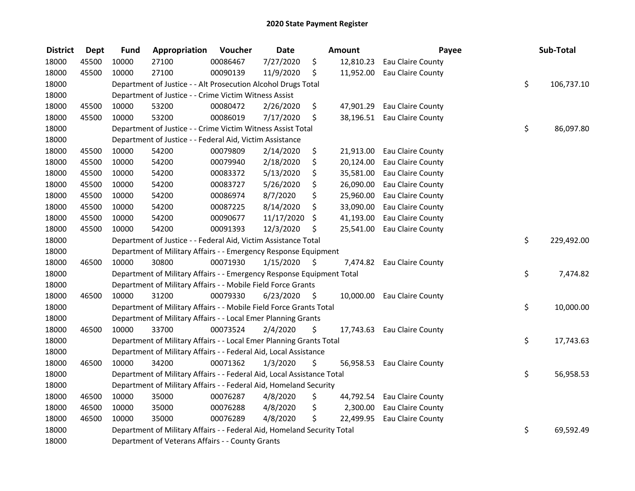| <b>District</b> | <b>Dept</b> | <b>Fund</b> | Appropriation                                                           | Voucher  | <b>Date</b> |      | Amount    | Payee                       | Sub-Total        |
|-----------------|-------------|-------------|-------------------------------------------------------------------------|----------|-------------|------|-----------|-----------------------------|------------------|
| 18000           | 45500       | 10000       | 27100                                                                   | 00086467 | 7/27/2020   | \$   | 12,810.23 | Eau Claire County           |                  |
| 18000           | 45500       | 10000       | 27100                                                                   | 00090139 | 11/9/2020   | \$   | 11,952.00 | Eau Claire County           |                  |
| 18000           |             |             | Department of Justice - - Alt Prosecution Alcohol Drugs Total           |          |             |      |           |                             | \$<br>106,737.10 |
| 18000           |             |             | Department of Justice - - Crime Victim Witness Assist                   |          |             |      |           |                             |                  |
| 18000           | 45500       | 10000       | 53200                                                                   | 00080472 | 2/26/2020   | \$   | 47,901.29 | Eau Claire County           |                  |
| 18000           | 45500       | 10000       | 53200                                                                   | 00086019 | 7/17/2020   | \$   | 38,196.51 | Eau Claire County           |                  |
| 18000           |             |             | Department of Justice - - Crime Victim Witness Assist Total             |          |             |      |           |                             | \$<br>86,097.80  |
| 18000           |             |             | Department of Justice - - Federal Aid, Victim Assistance                |          |             |      |           |                             |                  |
| 18000           | 45500       | 10000       | 54200                                                                   | 00079809 | 2/14/2020   | \$   | 21,913.00 | Eau Claire County           |                  |
| 18000           | 45500       | 10000       | 54200                                                                   | 00079940 | 2/18/2020   | \$   | 20,124.00 | Eau Claire County           |                  |
| 18000           | 45500       | 10000       | 54200                                                                   | 00083372 | 5/13/2020   | \$   | 35,581.00 | Eau Claire County           |                  |
| 18000           | 45500       | 10000       | 54200                                                                   | 00083727 | 5/26/2020   | \$   | 26,090.00 | Eau Claire County           |                  |
| 18000           | 45500       | 10000       | 54200                                                                   | 00086974 | 8/7/2020    | \$   | 25,960.00 | Eau Claire County           |                  |
| 18000           | 45500       | 10000       | 54200                                                                   | 00087225 | 8/14/2020   | \$   | 33,090.00 | Eau Claire County           |                  |
| 18000           | 45500       | 10000       | 54200                                                                   | 00090677 | 11/17/2020  | \$   | 41,193.00 | Eau Claire County           |                  |
| 18000           | 45500       | 10000       | 54200                                                                   | 00091393 | 12/3/2020   | \$   | 25,541.00 | Eau Claire County           |                  |
| 18000           |             |             | Department of Justice - - Federal Aid, Victim Assistance Total          |          |             |      |           |                             | \$<br>229,492.00 |
| 18000           |             |             | Department of Military Affairs - - Emergency Response Equipment         |          |             |      |           |                             |                  |
| 18000           | 46500       | 10000       | 30800                                                                   | 00071930 | 1/15/2020   | \$   | 7,474.82  | Eau Claire County           |                  |
| 18000           |             |             | Department of Military Affairs - - Emergency Response Equipment Total   |          |             |      |           |                             | \$<br>7,474.82   |
| 18000           |             |             | Department of Military Affairs - - Mobile Field Force Grants            |          |             |      |           |                             |                  |
| 18000           | 46500       | 10000       | 31200                                                                   | 00079330 | 6/23/2020   | - \$ |           | 10,000.00 Eau Claire County |                  |
| 18000           |             |             | Department of Military Affairs - - Mobile Field Force Grants Total      |          |             |      |           |                             | \$<br>10,000.00  |
| 18000           |             |             | Department of Military Affairs - - Local Emer Planning Grants           |          |             |      |           |                             |                  |
| 18000           | 46500       | 10000       | 33700                                                                   | 00073524 | 2/4/2020    | S.   |           | 17,743.63 Eau Claire County |                  |
| 18000           |             |             | Department of Military Affairs - - Local Emer Planning Grants Total     |          |             |      |           |                             | \$<br>17,743.63  |
| 18000           |             |             | Department of Military Affairs - - Federal Aid, Local Assistance        |          |             |      |           |                             |                  |
| 18000           | 46500       | 10000       | 34200                                                                   | 00071362 | 1/3/2020    | \$   |           | 56,958.53 Eau Claire County |                  |
| 18000           |             |             | Department of Military Affairs - - Federal Aid, Local Assistance Total  |          |             |      |           |                             | \$<br>56,958.53  |
| 18000           |             |             | Department of Military Affairs - - Federal Aid, Homeland Security       |          |             |      |           |                             |                  |
| 18000           | 46500       | 10000       | 35000                                                                   | 00076287 | 4/8/2020    | \$   | 44,792.54 | Eau Claire County           |                  |
| 18000           | 46500       | 10000       | 35000                                                                   | 00076288 | 4/8/2020    | \$   | 2,300.00  | Eau Claire County           |                  |
| 18000           | 46500       | 10000       | 35000                                                                   | 00076289 | 4/8/2020    | \$   | 22,499.95 | Eau Claire County           |                  |
| 18000           |             |             | Department of Military Affairs - - Federal Aid, Homeland Security Total |          |             |      |           |                             | \$<br>69,592.49  |
| 18000           |             |             | Department of Veterans Affairs - - County Grants                        |          |             |      |           |                             |                  |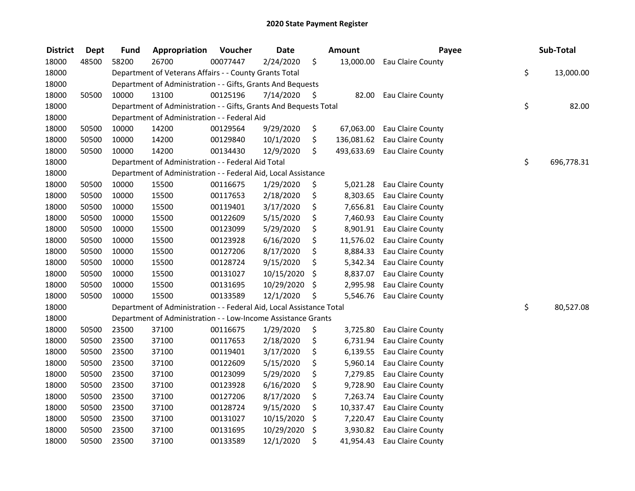| <b>District</b> | <b>Dept</b> | <b>Fund</b> | Appropriation                                                        | Voucher  | <b>Date</b> |     | <b>Amount</b> | Payee             | Sub-Total        |
|-----------------|-------------|-------------|----------------------------------------------------------------------|----------|-------------|-----|---------------|-------------------|------------------|
| 18000           | 48500       | 58200       | 26700                                                                | 00077447 | 2/24/2020   | \$  | 13,000.00     | Eau Claire County |                  |
| 18000           |             |             | Department of Veterans Affairs - - County Grants Total               |          |             |     |               |                   | \$<br>13,000.00  |
| 18000           |             |             | Department of Administration - - Gifts, Grants And Bequests          |          |             |     |               |                   |                  |
| 18000           | 50500       | 10000       | 13100                                                                | 00125196 | 7/14/2020   | \$. | 82.00         | Eau Claire County |                  |
| 18000           |             |             | Department of Administration - - Gifts, Grants And Bequests Total    |          |             |     |               |                   | \$<br>82.00      |
| 18000           |             |             | Department of Administration - - Federal Aid                         |          |             |     |               |                   |                  |
| 18000           | 50500       | 10000       | 14200                                                                | 00129564 | 9/29/2020   | \$  | 67,063.00     | Eau Claire County |                  |
| 18000           | 50500       | 10000       | 14200                                                                | 00129840 | 10/1/2020   | \$  | 136,081.62    | Eau Claire County |                  |
| 18000           | 50500       | 10000       | 14200                                                                | 00134430 | 12/9/2020   | \$  | 493,633.69    | Eau Claire County |                  |
| 18000           |             |             | Department of Administration - - Federal Aid Total                   |          |             |     |               |                   | \$<br>696,778.31 |
| 18000           |             |             | Department of Administration - - Federal Aid, Local Assistance       |          |             |     |               |                   |                  |
| 18000           | 50500       | 10000       | 15500                                                                | 00116675 | 1/29/2020   | \$  | 5,021.28      | Eau Claire County |                  |
| 18000           | 50500       | 10000       | 15500                                                                | 00117653 | 2/18/2020   | \$  | 8,303.65      | Eau Claire County |                  |
| 18000           | 50500       | 10000       | 15500                                                                | 00119401 | 3/17/2020   | \$  | 7,656.81      | Eau Claire County |                  |
| 18000           | 50500       | 10000       | 15500                                                                | 00122609 | 5/15/2020   | \$  | 7,460.93      | Eau Claire County |                  |
| 18000           | 50500       | 10000       | 15500                                                                | 00123099 | 5/29/2020   | \$  | 8,901.91      | Eau Claire County |                  |
| 18000           | 50500       | 10000       | 15500                                                                | 00123928 | 6/16/2020   | \$  | 11,576.02     | Eau Claire County |                  |
| 18000           | 50500       | 10000       | 15500                                                                | 00127206 | 8/17/2020   | \$  | 8,884.33      | Eau Claire County |                  |
| 18000           | 50500       | 10000       | 15500                                                                | 00128724 | 9/15/2020   | \$  | 5,342.34      | Eau Claire County |                  |
| 18000           | 50500       | 10000       | 15500                                                                | 00131027 | 10/15/2020  | \$  | 8,837.07      | Eau Claire County |                  |
| 18000           | 50500       | 10000       | 15500                                                                | 00131695 | 10/29/2020  | \$  | 2,995.98      | Eau Claire County |                  |
| 18000           | 50500       | 10000       | 15500                                                                | 00133589 | 12/1/2020   | \$  | 5,546.76      | Eau Claire County |                  |
| 18000           |             |             | Department of Administration - - Federal Aid, Local Assistance Total |          |             |     |               |                   | \$<br>80,527.08  |
| 18000           |             |             | Department of Administration - - Low-Income Assistance Grants        |          |             |     |               |                   |                  |
| 18000           | 50500       | 23500       | 37100                                                                | 00116675 | 1/29/2020   | \$  | 3,725.80      | Eau Claire County |                  |
| 18000           | 50500       | 23500       | 37100                                                                | 00117653 | 2/18/2020   | \$  | 6,731.94      | Eau Claire County |                  |
| 18000           | 50500       | 23500       | 37100                                                                | 00119401 | 3/17/2020   | \$  | 6,139.55      | Eau Claire County |                  |
| 18000           | 50500       | 23500       | 37100                                                                | 00122609 | 5/15/2020   | \$  | 5,960.14      | Eau Claire County |                  |
| 18000           | 50500       | 23500       | 37100                                                                | 00123099 | 5/29/2020   | \$  | 7,279.85      | Eau Claire County |                  |
| 18000           | 50500       | 23500       | 37100                                                                | 00123928 | 6/16/2020   | \$  | 9,728.90      | Eau Claire County |                  |
| 18000           | 50500       | 23500       | 37100                                                                | 00127206 | 8/17/2020   | \$  | 7,263.74      | Eau Claire County |                  |
| 18000           | 50500       | 23500       | 37100                                                                | 00128724 | 9/15/2020   | \$  | 10,337.47     | Eau Claire County |                  |
| 18000           | 50500       | 23500       | 37100                                                                | 00131027 | 10/15/2020  | \$  | 7,220.47      | Eau Claire County |                  |
| 18000           | 50500       | 23500       | 37100                                                                | 00131695 | 10/29/2020  | \$  | 3,930.82      | Eau Claire County |                  |
| 18000           | 50500       | 23500       | 37100                                                                | 00133589 | 12/1/2020   | \$  | 41,954.43     | Eau Claire County |                  |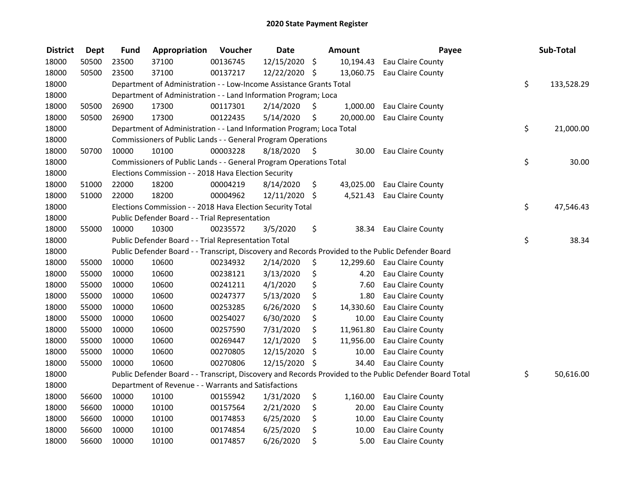| <b>District</b> | <b>Dept</b> | <b>Fund</b> | Appropriation                                                         | Voucher  | <b>Date</b>   |      | <b>Amount</b> | Payee                                                                                                   | Sub-Total        |
|-----------------|-------------|-------------|-----------------------------------------------------------------------|----------|---------------|------|---------------|---------------------------------------------------------------------------------------------------------|------------------|
| 18000           | 50500       | 23500       | 37100                                                                 | 00136745 | 12/15/2020 \$ |      |               | 10,194.43 Eau Claire County                                                                             |                  |
| 18000           | 50500       | 23500       | 37100                                                                 | 00137217 | 12/22/2020 \$ |      |               | 13,060.75 Eau Claire County                                                                             |                  |
| 18000           |             |             | Department of Administration - - Low-Income Assistance Grants Total   |          |               |      |               |                                                                                                         | \$<br>133,528.29 |
| 18000           |             |             | Department of Administration - - Land Information Program; Loca       |          |               |      |               |                                                                                                         |                  |
| 18000           | 50500       | 26900       | 17300                                                                 | 00117301 | 2/14/2020     | \$   | 1,000.00      | Eau Claire County                                                                                       |                  |
| 18000           | 50500       | 26900       | 17300                                                                 | 00122435 | 5/14/2020     | \$   | 20,000.00     | Eau Claire County                                                                                       |                  |
| 18000           |             |             | Department of Administration - - Land Information Program; Loca Total |          |               |      |               |                                                                                                         | \$<br>21,000.00  |
| 18000           |             |             | Commissioners of Public Lands - - General Program Operations          |          |               |      |               |                                                                                                         |                  |
| 18000           | 50700       | 10000       | 10100                                                                 | 00003228 | 8/18/2020     | - \$ | 30.00         | Eau Claire County                                                                                       |                  |
| 18000           |             |             | Commissioners of Public Lands - - General Program Operations Total    |          |               |      |               |                                                                                                         | \$<br>30.00      |
| 18000           |             |             | Elections Commission - - 2018 Hava Election Security                  |          |               |      |               |                                                                                                         |                  |
| 18000           | 51000       | 22000       | 18200                                                                 | 00004219 | 8/14/2020     | \$   | 43,025.00     | Eau Claire County                                                                                       |                  |
| 18000           | 51000       | 22000       | 18200                                                                 | 00004962 | 12/11/2020 \$ |      |               | 4,521.43 Eau Claire County                                                                              |                  |
| 18000           |             |             | Elections Commission - - 2018 Hava Election Security Total            |          |               |      |               |                                                                                                         | \$<br>47,546.43  |
| 18000           |             |             | Public Defender Board - - Trial Representation                        |          |               |      |               |                                                                                                         |                  |
| 18000           | 55000       | 10000       | 10300                                                                 | 00235572 | 3/5/2020      | \$   | 38.34         | <b>Eau Claire County</b>                                                                                |                  |
| 18000           |             |             | Public Defender Board - - Trial Representation Total                  |          |               |      |               |                                                                                                         | \$<br>38.34      |
| 18000           |             |             |                                                                       |          |               |      |               | Public Defender Board - - Transcript, Discovery and Records Provided to the Public Defender Board       |                  |
| 18000           | 55000       | 10000       | 10600                                                                 | 00234932 | 2/14/2020     | \$   |               | 12,299.60 Eau Claire County                                                                             |                  |
| 18000           | 55000       | 10000       | 10600                                                                 | 00238121 | 3/13/2020     | \$   | 4.20          | Eau Claire County                                                                                       |                  |
| 18000           | 55000       | 10000       | 10600                                                                 | 00241211 | 4/1/2020      | \$   | 7.60          | Eau Claire County                                                                                       |                  |
| 18000           | 55000       | 10000       | 10600                                                                 | 00247377 | 5/13/2020     | \$   | 1.80          | Eau Claire County                                                                                       |                  |
| 18000           | 55000       | 10000       | 10600                                                                 | 00253285 | 6/26/2020     | \$   | 14,330.60     | <b>Eau Claire County</b>                                                                                |                  |
| 18000           | 55000       | 10000       | 10600                                                                 | 00254027 | 6/30/2020     | \$   | 10.00         | Eau Claire County                                                                                       |                  |
| 18000           | 55000       | 10000       | 10600                                                                 | 00257590 | 7/31/2020     | \$   | 11,961.80     | Eau Claire County                                                                                       |                  |
| 18000           | 55000       | 10000       | 10600                                                                 | 00269447 | 12/1/2020     | \$   | 11,956.00     | Eau Claire County                                                                                       |                  |
| 18000           | 55000       | 10000       | 10600                                                                 | 00270805 | 12/15/2020    | \$   | 10.00         | Eau Claire County                                                                                       |                  |
| 18000           | 55000       | 10000       | 10600                                                                 | 00270806 | 12/15/2020 \$ |      | 34.40         | Eau Claire County                                                                                       |                  |
| 18000           |             |             |                                                                       |          |               |      |               | Public Defender Board - - Transcript, Discovery and Records Provided to the Public Defender Board Total | \$<br>50,616.00  |
| 18000           |             |             | Department of Revenue - - Warrants and Satisfactions                  |          |               |      |               |                                                                                                         |                  |
| 18000           | 56600       | 10000       | 10100                                                                 | 00155942 | 1/31/2020     | \$   | 1,160.00      | Eau Claire County                                                                                       |                  |
| 18000           | 56600       | 10000       | 10100                                                                 | 00157564 | 2/21/2020     | \$   | 20.00         | Eau Claire County                                                                                       |                  |
| 18000           | 56600       | 10000       | 10100                                                                 | 00174853 | 6/25/2020     | \$   | 10.00         | Eau Claire County                                                                                       |                  |
| 18000           | 56600       | 10000       | 10100                                                                 | 00174854 | 6/25/2020     | \$   | 10.00         | Eau Claire County                                                                                       |                  |
| 18000           | 56600       | 10000       | 10100                                                                 | 00174857 | 6/26/2020     | \$   | 5.00          | Eau Claire County                                                                                       |                  |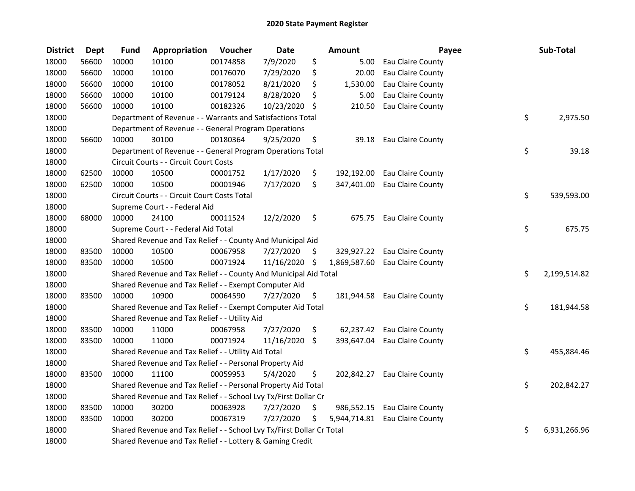| <b>District</b> | <b>Dept</b> | <b>Fund</b> | Appropriation                                                         | Voucher  | <b>Date</b> |     | Amount       | Payee                          | Sub-Total          |
|-----------------|-------------|-------------|-----------------------------------------------------------------------|----------|-------------|-----|--------------|--------------------------------|--------------------|
| 18000           | 56600       | 10000       | 10100                                                                 | 00174858 | 7/9/2020    | \$  | 5.00         | Eau Claire County              |                    |
| 18000           | 56600       | 10000       | 10100                                                                 | 00176070 | 7/29/2020   | \$  | 20.00        | Eau Claire County              |                    |
| 18000           | 56600       | 10000       | 10100                                                                 | 00178052 | 8/21/2020   | \$  | 1,530.00     | Eau Claire County              |                    |
| 18000           | 56600       | 10000       | 10100                                                                 | 00179124 | 8/28/2020   | \$  | 5.00         | Eau Claire County              |                    |
| 18000           | 56600       | 10000       | 10100                                                                 | 00182326 | 10/23/2020  | \$  | 210.50       | Eau Claire County              |                    |
| 18000           |             |             | Department of Revenue - - Warrants and Satisfactions Total            |          |             |     |              |                                | \$<br>2,975.50     |
| 18000           |             |             | Department of Revenue - - General Program Operations                  |          |             |     |              |                                |                    |
| 18000           | 56600       | 10000       | 30100                                                                 | 00180364 | 9/25/2020   | \$  | 39.18        | <b>Eau Claire County</b>       |                    |
| 18000           |             |             | Department of Revenue - - General Program Operations Total            |          |             |     |              |                                | \$<br>39.18        |
| 18000           |             |             | Circuit Courts - - Circuit Court Costs                                |          |             |     |              |                                |                    |
| 18000           | 62500       | 10000       | 10500                                                                 | 00001752 | 1/17/2020   | \$  | 192,192.00   | Eau Claire County              |                    |
| 18000           | 62500       | 10000       | 10500                                                                 | 00001946 | 7/17/2020   | \$  | 347,401.00   | Eau Claire County              |                    |
| 18000           |             |             | Circuit Courts - - Circuit Court Costs Total                          |          |             |     |              |                                | \$<br>539,593.00   |
| 18000           |             |             | Supreme Court - - Federal Aid                                         |          |             |     |              |                                |                    |
| 18000           | 68000       | 10000       | 24100                                                                 | 00011524 | 12/2/2020   | \$  | 675.75       | <b>Eau Claire County</b>       |                    |
| 18000           |             |             | Supreme Court - - Federal Aid Total                                   |          |             |     |              |                                | \$<br>675.75       |
| 18000           |             |             | Shared Revenue and Tax Relief - - County And Municipal Aid            |          |             |     |              |                                |                    |
| 18000           | 83500       | 10000       | 10500                                                                 | 00067958 | 7/27/2020   | \$  | 329,927.22   | Eau Claire County              |                    |
| 18000           | 83500       | 10000       | 10500                                                                 | 00071924 | 11/16/2020  | -\$ | 1,869,587.60 | Eau Claire County              |                    |
| 18000           |             |             | Shared Revenue and Tax Relief - - County And Municipal Aid Total      |          |             |     |              |                                | \$<br>2,199,514.82 |
| 18000           |             |             | Shared Revenue and Tax Relief - - Exempt Computer Aid                 |          |             |     |              |                                |                    |
| 18000           | 83500       | 10000       | 10900                                                                 | 00064590 | 7/27/2020   | \$. |              | 181,944.58 Eau Claire County   |                    |
| 18000           |             |             | Shared Revenue and Tax Relief - - Exempt Computer Aid Total           |          |             |     |              |                                | \$<br>181,944.58   |
| 18000           |             |             | Shared Revenue and Tax Relief - - Utility Aid                         |          |             |     |              |                                |                    |
| 18000           | 83500       | 10000       | 11000                                                                 | 00067958 | 7/27/2020   | \$  |              | 62,237.42 Eau Claire County    |                    |
| 18000           | 83500       | 10000       | 11000                                                                 | 00071924 | 11/16/2020  | \$  | 393,647.04   | Eau Claire County              |                    |
| 18000           |             |             | Shared Revenue and Tax Relief - - Utility Aid Total                   |          |             |     |              |                                | \$<br>455,884.46   |
| 18000           |             |             | Shared Revenue and Tax Relief - - Personal Property Aid               |          |             |     |              |                                |                    |
| 18000           | 83500       | 10000       | 11100                                                                 | 00059953 | 5/4/2020    | \$  |              | 202,842.27 Eau Claire County   |                    |
| 18000           |             |             | Shared Revenue and Tax Relief - - Personal Property Aid Total         |          |             |     |              |                                | \$<br>202,842.27   |
| 18000           |             |             | Shared Revenue and Tax Relief - - School Lvy Tx/First Dollar Cr       |          |             |     |              |                                |                    |
| 18000           | 83500       | 10000       | 30200                                                                 | 00063928 | 7/27/2020   | \$  |              | 986,552.15 Eau Claire County   |                    |
| 18000           | 83500       | 10000       | 30200                                                                 | 00067319 | 7/27/2020   | \$  |              | 5,944,714.81 Eau Claire County |                    |
| 18000           |             |             | Shared Revenue and Tax Relief - - School Lvy Tx/First Dollar Cr Total |          |             |     |              |                                | \$<br>6,931,266.96 |
| 18000           |             |             | Shared Revenue and Tax Relief - - Lottery & Gaming Credit             |          |             |     |              |                                |                    |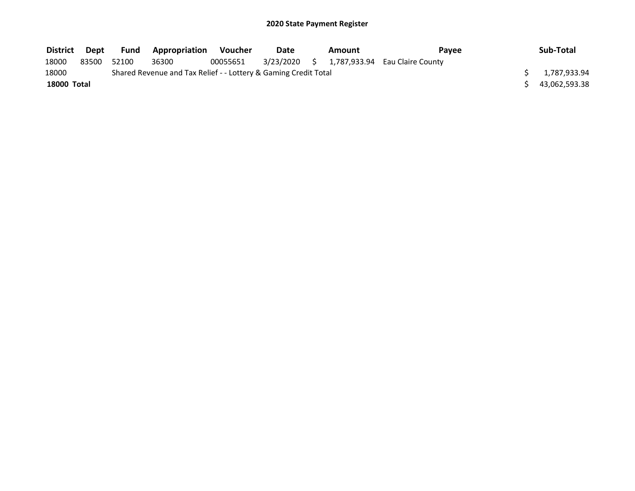| <b>District</b> | Dept  | <b>Fund</b> | <b>Appropriation</b>                                            | Voucher  | Date | Amount | Pavee                                       | Sub-Total     |
|-----------------|-------|-------------|-----------------------------------------------------------------|----------|------|--------|---------------------------------------------|---------------|
| 18000           | 83500 | 52100       | 36300                                                           | 00055651 |      |        | 3/23/2020 \$ 1,787,933.94 Eau Claire County |               |
| 18000           |       |             | Shared Revenue and Tax Relief - - Lottery & Gaming Credit Total |          |      |        |                                             | 1,787,933.94  |
| 18000 Total     |       |             |                                                                 |          |      |        |                                             | 43,062,593.38 |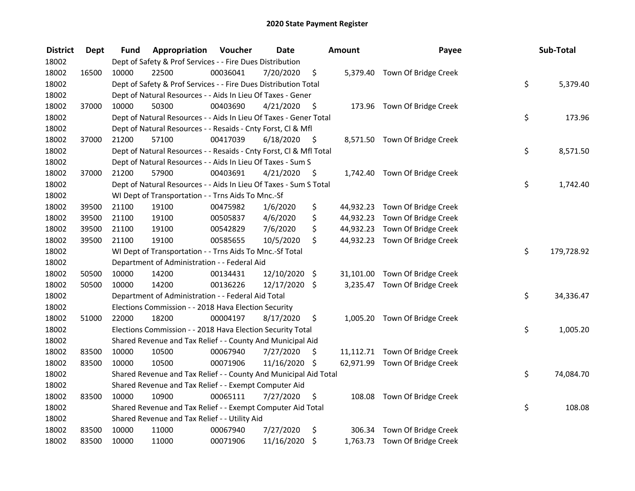| <b>District</b> | <b>Dept</b> | Fund  | Appropriation                                                      | Voucher  | <b>Date</b>   |      | <b>Amount</b> | Payee                          | Sub-Total        |
|-----------------|-------------|-------|--------------------------------------------------------------------|----------|---------------|------|---------------|--------------------------------|------------------|
| 18002           |             |       | Dept of Safety & Prof Services - - Fire Dues Distribution          |          |               |      |               |                                |                  |
| 18002           | 16500       | 10000 | 22500                                                              | 00036041 | 7/20/2020     | \$   |               | 5,379.40 Town Of Bridge Creek  |                  |
| 18002           |             |       | Dept of Safety & Prof Services - - Fire Dues Distribution Total    |          |               |      |               |                                | \$<br>5,379.40   |
| 18002           |             |       | Dept of Natural Resources - - Aids In Lieu Of Taxes - Gener        |          |               |      |               |                                |                  |
| 18002           | 37000       | 10000 | 50300                                                              | 00403690 | 4/21/2020     | - \$ |               | 173.96 Town Of Bridge Creek    |                  |
| 18002           |             |       | Dept of Natural Resources - - Aids In Lieu Of Taxes - Gener Total  |          |               |      |               |                                | \$<br>173.96     |
| 18002           |             |       | Dept of Natural Resources - - Resaids - Cnty Forst, Cl & Mfl       |          |               |      |               |                                |                  |
| 18002           | 37000       | 21200 | 57100                                                              | 00417039 | 6/18/2020     | - \$ |               | 8,571.50 Town Of Bridge Creek  |                  |
| 18002           |             |       | Dept of Natural Resources - - Resaids - Cnty Forst, Cl & Mfl Total |          |               |      |               |                                | \$<br>8,571.50   |
| 18002           |             |       | Dept of Natural Resources - - Aids In Lieu Of Taxes - Sum S        |          |               |      |               |                                |                  |
| 18002           | 37000       | 21200 | 57900                                                              | 00403691 | 4/21/2020     | - \$ |               | 1,742.40 Town Of Bridge Creek  |                  |
| 18002           |             |       | Dept of Natural Resources - - Aids In Lieu Of Taxes - Sum S Total  |          |               |      |               |                                | \$<br>1,742.40   |
| 18002           |             |       | WI Dept of Transportation - - Trns Aids To Mnc.-Sf                 |          |               |      |               |                                |                  |
| 18002           | 39500       | 21100 | 19100                                                              | 00475982 | 1/6/2020      | \$   |               | 44,932.23 Town Of Bridge Creek |                  |
| 18002           | 39500       | 21100 | 19100                                                              | 00505837 | 4/6/2020      | \$   |               | 44,932.23 Town Of Bridge Creek |                  |
| 18002           | 39500       | 21100 | 19100                                                              | 00542829 | 7/6/2020      | \$   |               | 44,932.23 Town Of Bridge Creek |                  |
| 18002           | 39500       | 21100 | 19100                                                              | 00585655 | 10/5/2020     | \$   |               | 44,932.23 Town Of Bridge Creek |                  |
| 18002           |             |       | WI Dept of Transportation - - Trns Aids To Mnc.-Sf Total           |          |               |      |               |                                | \$<br>179,728.92 |
| 18002           |             |       | Department of Administration - - Federal Aid                       |          |               |      |               |                                |                  |
| 18002           | 50500       | 10000 | 14200                                                              | 00134431 | 12/10/2020 \$ |      |               | 31,101.00 Town Of Bridge Creek |                  |
| 18002           | 50500       | 10000 | 14200                                                              | 00136226 | 12/17/2020 \$ |      |               | 3,235.47 Town Of Bridge Creek  |                  |
| 18002           |             |       | Department of Administration - - Federal Aid Total                 |          |               |      |               |                                | \$<br>34,336.47  |
| 18002           |             |       | Elections Commission - - 2018 Hava Election Security               |          |               |      |               |                                |                  |
| 18002           | 51000       | 22000 | 18200                                                              | 00004197 | 8/17/2020     | \$   |               | 1,005.20 Town Of Bridge Creek  |                  |
| 18002           |             |       | Elections Commission - - 2018 Hava Election Security Total         |          |               |      |               |                                | \$<br>1,005.20   |
| 18002           |             |       | Shared Revenue and Tax Relief - - County And Municipal Aid         |          |               |      |               |                                |                  |
| 18002           | 83500       | 10000 | 10500                                                              | 00067940 | 7/27/2020     | \$   |               | 11,112.71 Town Of Bridge Creek |                  |
| 18002           | 83500       | 10000 | 10500                                                              | 00071906 | 11/16/2020 \$ |      |               | 62,971.99 Town Of Bridge Creek |                  |
| 18002           |             |       | Shared Revenue and Tax Relief - - County And Municipal Aid Total   |          |               |      |               |                                | \$<br>74,084.70  |
| 18002           |             |       | Shared Revenue and Tax Relief - - Exempt Computer Aid              |          |               |      |               |                                |                  |
| 18002           | 83500       | 10000 | 10900                                                              | 00065111 | 7/27/2020     | \$   |               | 108.08 Town Of Bridge Creek    |                  |
| 18002           |             |       | Shared Revenue and Tax Relief - - Exempt Computer Aid Total        |          |               |      |               |                                | \$<br>108.08     |
| 18002           |             |       | Shared Revenue and Tax Relief - - Utility Aid                      |          |               |      |               |                                |                  |
| 18002           | 83500       | 10000 | 11000                                                              | 00067940 | 7/27/2020     | \$   |               | 306.34 Town Of Bridge Creek    |                  |
| 18002           | 83500       | 10000 | 11000                                                              | 00071906 | 11/16/2020    | \$   |               | 1,763.73 Town Of Bridge Creek  |                  |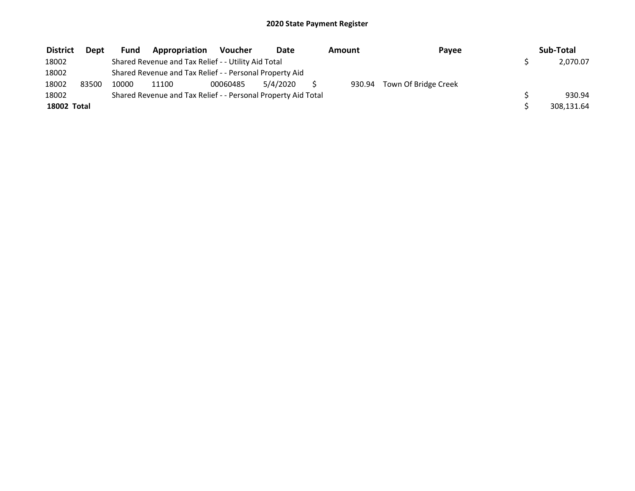| <b>District</b> | <b>Dept</b> | Fund  | Appropriation                                                 | <b>Voucher</b> | <b>Date</b> | Amount | Payee                | Sub-Total  |
|-----------------|-------------|-------|---------------------------------------------------------------|----------------|-------------|--------|----------------------|------------|
| 18002           |             |       | Shared Revenue and Tax Relief - - Utility Aid Total           |                |             |        |                      | 2,070.07   |
| 18002           |             |       | Shared Revenue and Tax Relief - - Personal Property Aid       |                |             |        |                      |            |
| 18002           | 83500       | 10000 | 11100                                                         | 00060485       | 5/4/2020    | 930.94 | Town Of Bridge Creek |            |
| 18002           |             |       | Shared Revenue and Tax Relief - - Personal Property Aid Total |                |             |        |                      | 930.94     |
| 18002 Total     |             |       |                                                               |                |             |        |                      | 308,131.64 |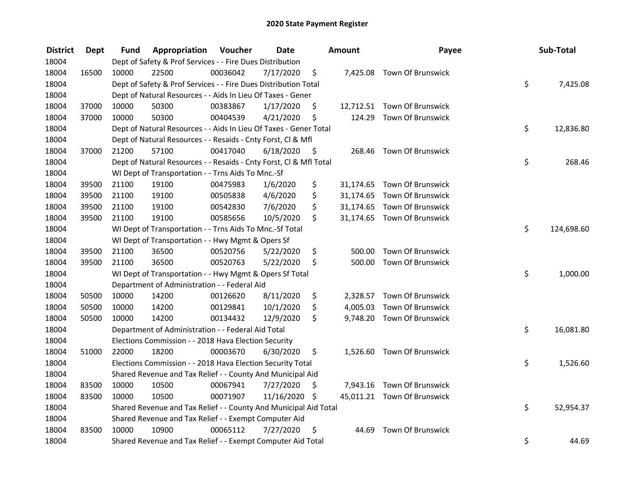| <b>District</b> | <b>Dept</b> | Fund  | Appropriation                                                      | Voucher  | <b>Date</b>   |      | <b>Amount</b> | Payee                       | Sub-Total        |
|-----------------|-------------|-------|--------------------------------------------------------------------|----------|---------------|------|---------------|-----------------------------|------------------|
| 18004           |             |       | Dept of Safety & Prof Services - - Fire Dues Distribution          |          |               |      |               |                             |                  |
| 18004           | 16500       | 10000 | 22500                                                              | 00036042 | 7/17/2020     | \$   |               | 7,425.08 Town Of Brunswick  |                  |
| 18004           |             |       | Dept of Safety & Prof Services - - Fire Dues Distribution Total    |          |               |      |               |                             | \$<br>7,425.08   |
| 18004           |             |       | Dept of Natural Resources - - Aids In Lieu Of Taxes - Gener        |          |               |      |               |                             |                  |
| 18004           | 37000       | 10000 | 50300                                                              | 00383867 | 1/17/2020     | \$   |               | 12,712.51 Town Of Brunswick |                  |
| 18004           | 37000       | 10000 | 50300                                                              | 00404539 | 4/21/2020     | \$   | 124.29        | Town Of Brunswick           |                  |
| 18004           |             |       | Dept of Natural Resources - - Aids In Lieu Of Taxes - Gener Total  |          |               |      |               |                             | \$<br>12,836.80  |
| 18004           |             |       | Dept of Natural Resources - - Resaids - Cnty Forst, Cl & Mfl       |          |               |      |               |                             |                  |
| 18004           | 37000       | 21200 | 57100                                                              | 00417040 | 6/18/2020     | - \$ |               | 268.46 Town Of Brunswick    |                  |
| 18004           |             |       | Dept of Natural Resources - - Resaids - Cnty Forst, Cl & Mfl Total |          |               |      |               |                             | \$<br>268.46     |
| 18004           |             |       | WI Dept of Transportation - - Trns Aids To Mnc.-Sf                 |          |               |      |               |                             |                  |
| 18004           | 39500       | 21100 | 19100                                                              | 00475983 | 1/6/2020      | \$   |               | 31,174.65 Town Of Brunswick |                  |
| 18004           | 39500       | 21100 | 19100                                                              | 00505838 | 4/6/2020      | \$   |               | 31,174.65 Town Of Brunswick |                  |
| 18004           | 39500       | 21100 | 19100                                                              | 00542830 | 7/6/2020      | \$   |               | 31,174.65 Town Of Brunswick |                  |
| 18004           | 39500       | 21100 | 19100                                                              | 00585656 | 10/5/2020     | \$   |               | 31,174.65 Town Of Brunswick |                  |
| 18004           |             |       | WI Dept of Transportation - - Trns Aids To Mnc.-Sf Total           |          |               |      |               |                             | \$<br>124,698.60 |
| 18004           |             |       | WI Dept of Transportation - - Hwy Mgmt & Opers Sf                  |          |               |      |               |                             |                  |
| 18004           | 39500       | 21100 | 36500                                                              | 00520756 | 5/22/2020     | \$   | 500.00        | Town Of Brunswick           |                  |
| 18004           | 39500       | 21100 | 36500                                                              | 00520763 | 5/22/2020     | \$   | 500.00        | <b>Town Of Brunswick</b>    |                  |
| 18004           |             |       | WI Dept of Transportation - - Hwy Mgmt & Opers Sf Total            |          |               |      |               |                             | \$<br>1,000.00   |
| 18004           |             |       | Department of Administration - - Federal Aid                       |          |               |      |               |                             |                  |
| 18004           | 50500       | 10000 | 14200                                                              | 00126620 | 8/11/2020     | \$   |               | 2,328.57 Town Of Brunswick  |                  |
| 18004           | 50500       | 10000 | 14200                                                              | 00129841 | 10/1/2020     | \$   | 4,005.03      | <b>Town Of Brunswick</b>    |                  |
| 18004           | 50500       | 10000 | 14200                                                              | 00134432 | 12/9/2020     | \$   |               | 9,748.20 Town Of Brunswick  |                  |
| 18004           |             |       | Department of Administration - - Federal Aid Total                 |          |               |      |               |                             | \$<br>16,081.80  |
| 18004           |             |       | Elections Commission - - 2018 Hava Election Security               |          |               |      |               |                             |                  |
| 18004           | 51000       | 22000 | 18200                                                              | 00003670 | 6/30/2020     | \$   |               | 1,526.60 Town Of Brunswick  |                  |
| 18004           |             |       | Elections Commission - - 2018 Hava Election Security Total         |          |               |      |               |                             | \$<br>1,526.60   |
| 18004           |             |       | Shared Revenue and Tax Relief - - County And Municipal Aid         |          |               |      |               |                             |                  |
| 18004           | 83500       | 10000 | 10500                                                              | 00067941 | 7/27/2020     | \$   |               | 7,943.16 Town Of Brunswick  |                  |
| 18004           | 83500       | 10000 | 10500                                                              | 00071907 | 11/16/2020 \$ |      |               | 45,011.21 Town Of Brunswick |                  |
| 18004           |             |       | Shared Revenue and Tax Relief - - County And Municipal Aid Total   |          |               |      |               |                             | \$<br>52,954.37  |
| 18004           |             |       | Shared Revenue and Tax Relief - - Exempt Computer Aid              |          |               |      |               |                             |                  |
| 18004           | 83500       | 10000 | 10900                                                              | 00065112 | 7/27/2020     | \$   | 44.69         | <b>Town Of Brunswick</b>    |                  |
| 18004           |             |       | Shared Revenue and Tax Relief - - Exempt Computer Aid Total        |          |               |      |               |                             | \$<br>44.69      |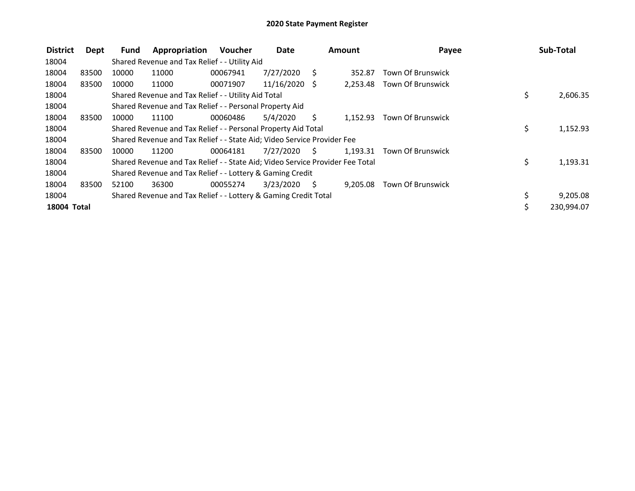| <b>District</b> | Dept  | Fund  | Appropriation                                                                 | <b>Voucher</b> | <b>Date</b>     |      | <b>Amount</b> | Payee                      | Sub-Total      |
|-----------------|-------|-------|-------------------------------------------------------------------------------|----------------|-----------------|------|---------------|----------------------------|----------------|
| 18004           |       |       | Shared Revenue and Tax Relief - - Utility Aid                                 |                |                 |      |               |                            |                |
| 18004           | 83500 | 10000 | 11000                                                                         | 00067941       | 7/27/2020       | S.   | 352.87        | <b>Town Of Brunswick</b>   |                |
| 18004           | 83500 | 10000 | 11000                                                                         | 00071907       | $11/16/2020$ \$ |      | 2,253.48      | <b>Town Of Brunswick</b>   |                |
| 18004           |       |       | Shared Revenue and Tax Relief - - Utility Aid Total                           |                |                 |      |               |                            | \$<br>2,606.35 |
| 18004           |       |       | Shared Revenue and Tax Relief - - Personal Property Aid                       |                |                 |      |               |                            |                |
| 18004           | 83500 | 10000 | 11100                                                                         | 00060486       | 5/4/2020        | S.   | 1.152.93      | Town Of Brunswick          |                |
| 18004           |       |       | Shared Revenue and Tax Relief - - Personal Property Aid Total                 |                |                 |      |               |                            | \$<br>1,152.93 |
| 18004           |       |       | Shared Revenue and Tax Relief - - State Aid; Video Service Provider Fee       |                |                 |      |               |                            |                |
| 18004           | 83500 | 10000 | 11200                                                                         | 00064181       | 7/27/2020       | S.   |               | 1,193.31 Town Of Brunswick |                |
| 18004           |       |       | Shared Revenue and Tax Relief - - State Aid; Video Service Provider Fee Total |                |                 |      |               |                            | \$<br>1,193.31 |
| 18004           |       |       | Shared Revenue and Tax Relief - - Lottery & Gaming Credit                     |                |                 |      |               |                            |                |
| 18004           | 83500 | 52100 | 36300                                                                         | 00055274       | 3/23/2020       | - \$ | 9.205.08      | <b>Town Of Brunswick</b>   |                |
| 18004           |       |       | Shared Revenue and Tax Relief - - Lottery & Gaming Credit Total               |                |                 |      |               |                            | 9,205.08       |
| 18004 Total     |       |       |                                                                               |                |                 |      |               |                            | 230,994.07     |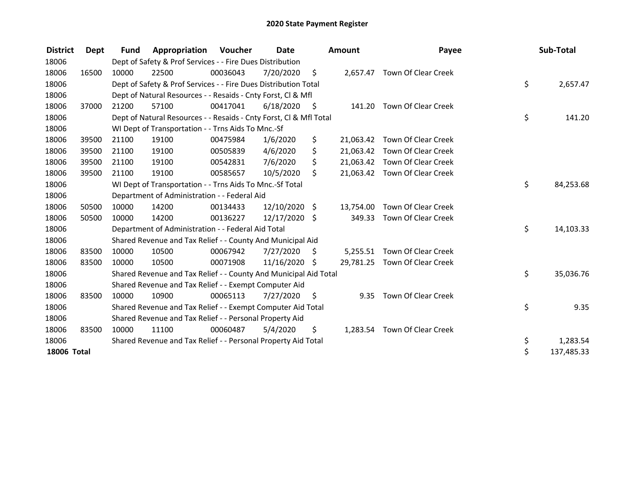| <b>District</b>    | Dept  | Fund  | Appropriation                                                      | Voucher  | Date          |                     | <b>Amount</b> | Payee                         | Sub-Total        |
|--------------------|-------|-------|--------------------------------------------------------------------|----------|---------------|---------------------|---------------|-------------------------------|------------------|
| 18006              |       |       | Dept of Safety & Prof Services - - Fire Dues Distribution          |          |               |                     |               |                               |                  |
| 18006              | 16500 | 10000 | 22500                                                              | 00036043 | 7/20/2020     | - \$                |               | 2,657.47 Town Of Clear Creek  |                  |
| 18006              |       |       | Dept of Safety & Prof Services - - Fire Dues Distribution Total    |          |               |                     |               |                               | \$<br>2,657.47   |
| 18006              |       |       | Dept of Natural Resources - - Resaids - Cnty Forst, CI & Mfl       |          |               |                     |               |                               |                  |
| 18006              | 37000 | 21200 | 57100                                                              | 00417041 | 6/18/2020     | $\ddot{\mathsf{s}}$ | 141.20        | <b>Town Of Clear Creek</b>    |                  |
| 18006              |       |       | Dept of Natural Resources - - Resaids - Cnty Forst, Cl & Mfl Total |          |               |                     |               |                               | \$<br>141.20     |
| 18006              |       |       | WI Dept of Transportation - - Trns Aids To Mnc.-Sf                 |          |               |                     |               |                               |                  |
| 18006              | 39500 | 21100 | 19100                                                              | 00475984 | 1/6/2020      | \$                  |               | 21,063.42 Town Of Clear Creek |                  |
| 18006              | 39500 | 21100 | 19100                                                              | 00505839 | 4/6/2020      | \$                  |               | 21,063.42 Town Of Clear Creek |                  |
| 18006              | 39500 | 21100 | 19100                                                              | 00542831 | 7/6/2020      | \$                  |               | 21,063.42 Town Of Clear Creek |                  |
| 18006              | 39500 | 21100 | 19100                                                              | 00585657 | 10/5/2020     | Ŝ.                  |               | 21,063.42 Town Of Clear Creek |                  |
| 18006              |       |       | WI Dept of Transportation - - Trns Aids To Mnc.-Sf Total           |          |               |                     |               |                               | \$<br>84,253.68  |
| 18006              |       |       | Department of Administration - - Federal Aid                       |          |               |                     |               |                               |                  |
| 18006              | 50500 | 10000 | 14200                                                              | 00134433 | 12/10/2020 \$ |                     | 13,754.00     | Town Of Clear Creek           |                  |
| 18006              | 50500 | 10000 | 14200                                                              | 00136227 | 12/17/2020 \$ |                     | 349.33        | Town Of Clear Creek           |                  |
| 18006              |       |       | Department of Administration - - Federal Aid Total                 |          |               |                     |               |                               | \$<br>14,103.33  |
| 18006              |       |       | Shared Revenue and Tax Relief - - County And Municipal Aid         |          |               |                     |               |                               |                  |
| 18006              | 83500 | 10000 | 10500                                                              | 00067942 | 7/27/2020     | \$                  | 5,255.51      | Town Of Clear Creek           |                  |
| 18006              | 83500 | 10000 | 10500                                                              | 00071908 | 11/16/2020 \$ |                     |               | 29,781.25 Town Of Clear Creek |                  |
| 18006              |       |       | Shared Revenue and Tax Relief - - County And Municipal Aid Total   |          |               |                     |               |                               | \$<br>35,036.76  |
| 18006              |       |       | Shared Revenue and Tax Relief - - Exempt Computer Aid              |          |               |                     |               |                               |                  |
| 18006              | 83500 | 10000 | 10900                                                              | 00065113 | 7/27/2020     | -\$                 | 9.35          | Town Of Clear Creek           |                  |
| 18006              |       |       | Shared Revenue and Tax Relief - - Exempt Computer Aid Total        |          |               |                     |               |                               | \$<br>9.35       |
| 18006              |       |       | Shared Revenue and Tax Relief - - Personal Property Aid            |          |               |                     |               |                               |                  |
| 18006              | 83500 | 10000 | 11100                                                              | 00060487 | 5/4/2020      | \$                  |               | 1,283.54 Town Of Clear Creek  |                  |
| 18006              |       |       | Shared Revenue and Tax Relief - - Personal Property Aid Total      |          |               |                     |               |                               | \$<br>1,283.54   |
| <b>18006 Total</b> |       |       |                                                                    |          |               |                     |               |                               | \$<br>137,485.33 |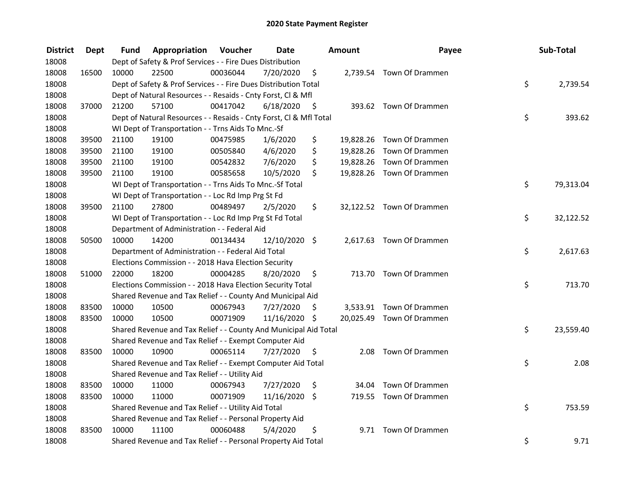| <b>District</b> | <b>Dept</b> | Fund  | Appropriation                                                      | Voucher  | <b>Date</b>   |      | Amount | Payee                     | Sub-Total       |
|-----------------|-------------|-------|--------------------------------------------------------------------|----------|---------------|------|--------|---------------------------|-----------------|
| 18008           |             |       | Dept of Safety & Prof Services - - Fire Dues Distribution          |          |               |      |        |                           |                 |
| 18008           | 16500       | 10000 | 22500                                                              | 00036044 | 7/20/2020     | \$   |        | 2,739.54 Town Of Drammen  |                 |
| 18008           |             |       | Dept of Safety & Prof Services - - Fire Dues Distribution Total    |          |               |      |        |                           | \$<br>2,739.54  |
| 18008           |             |       | Dept of Natural Resources - - Resaids - Cnty Forst, Cl & Mfl       |          |               |      |        |                           |                 |
| 18008           | 37000       | 21200 | 57100                                                              | 00417042 | 6/18/2020     | - \$ |        | 393.62 Town Of Drammen    |                 |
| 18008           |             |       | Dept of Natural Resources - - Resaids - Cnty Forst, Cl & Mfl Total |          |               |      |        |                           | \$<br>393.62    |
| 18008           |             |       | WI Dept of Transportation - - Trns Aids To Mnc.-Sf                 |          |               |      |        |                           |                 |
| 18008           | 39500       | 21100 | 19100                                                              | 00475985 | 1/6/2020      | \$   |        | 19,828.26 Town Of Drammen |                 |
| 18008           | 39500       | 21100 | 19100                                                              | 00505840 | 4/6/2020      | \$   |        | 19,828.26 Town Of Drammen |                 |
| 18008           | 39500       | 21100 | 19100                                                              | 00542832 | 7/6/2020      | \$   |        | 19,828.26 Town Of Drammen |                 |
| 18008           | 39500       | 21100 | 19100                                                              | 00585658 | 10/5/2020     | \$   |        | 19,828.26 Town Of Drammen |                 |
| 18008           |             |       | WI Dept of Transportation - - Trns Aids To Mnc.-Sf Total           |          |               |      |        |                           | \$<br>79,313.04 |
| 18008           |             |       | WI Dept of Transportation - - Loc Rd Imp Prg St Fd                 |          |               |      |        |                           |                 |
| 18008           | 39500       | 21100 | 27800                                                              | 00489497 | 2/5/2020      | \$   |        | 32,122.52 Town Of Drammen |                 |
| 18008           |             |       | WI Dept of Transportation - - Loc Rd Imp Prg St Fd Total           |          |               |      |        |                           | \$<br>32,122.52 |
| 18008           |             |       | Department of Administration - - Federal Aid                       |          |               |      |        |                           |                 |
| 18008           | 50500       | 10000 | 14200                                                              | 00134434 | 12/10/2020 \$ |      |        | 2,617.63 Town Of Drammen  |                 |
| 18008           |             |       | Department of Administration - - Federal Aid Total                 |          |               |      |        |                           | \$<br>2,617.63  |
| 18008           |             |       | Elections Commission - - 2018 Hava Election Security               |          |               |      |        |                           |                 |
| 18008           | 51000       | 22000 | 18200                                                              | 00004285 | 8/20/2020     | \$   |        | 713.70 Town Of Drammen    |                 |
| 18008           |             |       | Elections Commission - - 2018 Hava Election Security Total         |          |               |      |        |                           | \$<br>713.70    |
| 18008           |             |       | Shared Revenue and Tax Relief - - County And Municipal Aid         |          |               |      |        |                           |                 |
| 18008           | 83500       | 10000 | 10500                                                              | 00067943 | 7/27/2020     | S    |        | 3,533.91 Town Of Drammen  |                 |
| 18008           | 83500       | 10000 | 10500                                                              | 00071909 | 11/16/2020 \$ |      |        | 20,025.49 Town Of Drammen |                 |
| 18008           |             |       | Shared Revenue and Tax Relief - - County And Municipal Aid Total   |          |               |      |        |                           | \$<br>23,559.40 |
| 18008           |             |       | Shared Revenue and Tax Relief - - Exempt Computer Aid              |          |               |      |        |                           |                 |
| 18008           | 83500       | 10000 | 10900                                                              | 00065114 | 7/27/2020     | \$   | 2.08   | Town Of Drammen           |                 |
| 18008           |             |       | Shared Revenue and Tax Relief - - Exempt Computer Aid Total        |          |               |      |        |                           | \$<br>2.08      |
| 18008           |             |       | Shared Revenue and Tax Relief - - Utility Aid                      |          |               |      |        |                           |                 |
| 18008           | 83500       | 10000 | 11000                                                              | 00067943 | 7/27/2020     | \$   |        | 34.04 Town Of Drammen     |                 |
| 18008           | 83500       | 10000 | 11000                                                              | 00071909 | 11/16/2020 \$ |      |        | 719.55 Town Of Drammen    |                 |
| 18008           |             |       | Shared Revenue and Tax Relief - - Utility Aid Total                |          |               |      |        |                           | \$<br>753.59    |
| 18008           |             |       | Shared Revenue and Tax Relief - - Personal Property Aid            |          |               |      |        |                           |                 |
| 18008           | 83500       | 10000 | 11100                                                              | 00060488 | 5/4/2020      | \$   |        | 9.71 Town Of Drammen      |                 |
| 18008           |             |       | Shared Revenue and Tax Relief - - Personal Property Aid Total      |          |               |      |        |                           | \$<br>9.71      |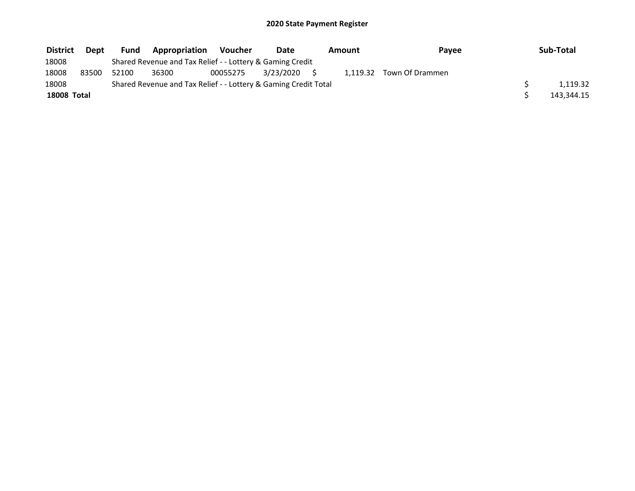| <b>District</b>    | Dept  | <b>Fund</b> | <b>Appropriation</b>                                            | Voucher  | Date         | Amount | Payee                    | Sub-Total  |
|--------------------|-------|-------------|-----------------------------------------------------------------|----------|--------------|--------|--------------------------|------------|
| 18008              |       |             | Shared Revenue and Tax Relief - - Lottery & Gaming Credit       |          |              |        |                          |            |
| 18008              | 83500 | 52100       | 36300                                                           | 00055275 | 3/23/2020 \$ |        | 1,119.32 Town Of Drammen |            |
| 18008              |       |             | Shared Revenue and Tax Relief - - Lottery & Gaming Credit Total |          |              |        |                          | 1.119.32   |
| <b>18008 Total</b> |       |             |                                                                 |          |              |        |                          | 143,344.15 |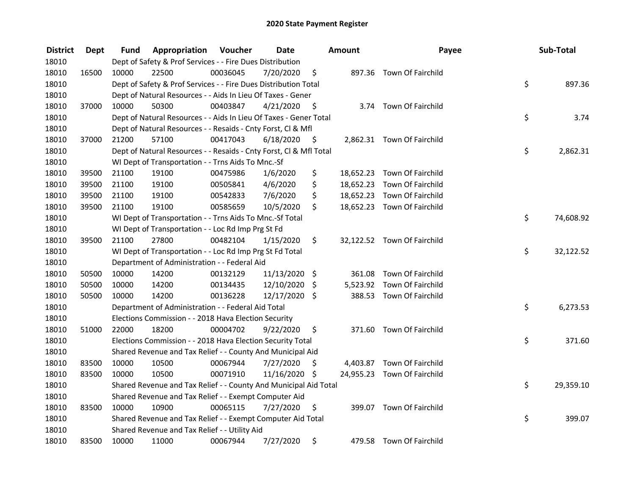| <b>District</b> | <b>Dept</b> | Fund  | Appropriation                                                      | Voucher  | <b>Date</b>   |      | <b>Amount</b> | Payee                       | Sub-Total       |
|-----------------|-------------|-------|--------------------------------------------------------------------|----------|---------------|------|---------------|-----------------------------|-----------------|
| 18010           |             |       | Dept of Safety & Prof Services - - Fire Dues Distribution          |          |               |      |               |                             |                 |
| 18010           | 16500       | 10000 | 22500                                                              | 00036045 | 7/20/2020     | \$   |               | 897.36 Town Of Fairchild    |                 |
| 18010           |             |       | Dept of Safety & Prof Services - - Fire Dues Distribution Total    |          |               |      |               |                             | \$<br>897.36    |
| 18010           |             |       | Dept of Natural Resources - - Aids In Lieu Of Taxes - Gener        |          |               |      |               |                             |                 |
| 18010           | 37000       | 10000 | 50300                                                              | 00403847 | 4/21/2020     | -\$  |               | 3.74 Town Of Fairchild      |                 |
| 18010           |             |       | Dept of Natural Resources - - Aids In Lieu Of Taxes - Gener Total  |          |               |      |               |                             | \$<br>3.74      |
| 18010           |             |       | Dept of Natural Resources - - Resaids - Cnty Forst, Cl & Mfl       |          |               |      |               |                             |                 |
| 18010           | 37000       | 21200 | 57100                                                              | 00417043 | 6/18/2020     | - \$ |               | 2,862.31 Town Of Fairchild  |                 |
| 18010           |             |       | Dept of Natural Resources - - Resaids - Cnty Forst, Cl & Mfl Total |          |               |      |               |                             | \$<br>2,862.31  |
| 18010           |             |       | WI Dept of Transportation - - Trns Aids To Mnc.-Sf                 |          |               |      |               |                             |                 |
| 18010           | 39500       | 21100 | 19100                                                              | 00475986 | 1/6/2020      | \$   |               | 18,652.23 Town Of Fairchild |                 |
| 18010           | 39500       | 21100 | 19100                                                              | 00505841 | 4/6/2020      | \$   |               | 18,652.23 Town Of Fairchild |                 |
| 18010           | 39500       | 21100 | 19100                                                              | 00542833 | 7/6/2020      | \$   |               | 18,652.23 Town Of Fairchild |                 |
| 18010           | 39500       | 21100 | 19100                                                              | 00585659 | 10/5/2020     | \$   |               | 18,652.23 Town Of Fairchild |                 |
| 18010           |             |       | WI Dept of Transportation - - Trns Aids To Mnc.-Sf Total           |          |               |      |               |                             | \$<br>74,608.92 |
| 18010           |             |       | WI Dept of Transportation - - Loc Rd Imp Prg St Fd                 |          |               |      |               |                             |                 |
| 18010           | 39500       | 21100 | 27800                                                              | 00482104 | 1/15/2020     | \$   |               | 32,122.52 Town Of Fairchild |                 |
| 18010           |             |       | WI Dept of Transportation - - Loc Rd Imp Prg St Fd Total           |          |               |      |               |                             | \$<br>32,122.52 |
| 18010           |             |       | Department of Administration - - Federal Aid                       |          |               |      |               |                             |                 |
| 18010           | 50500       | 10000 | 14200                                                              | 00132129 | 11/13/2020 \$ |      |               | 361.08 Town Of Fairchild    |                 |
| 18010           | 50500       | 10000 | 14200                                                              | 00134435 | 12/10/2020    | \$   |               | 5,523.92 Town Of Fairchild  |                 |
| 18010           | 50500       | 10000 | 14200                                                              | 00136228 | 12/17/2020 \$ |      |               | 388.53 Town Of Fairchild    |                 |
| 18010           |             |       | Department of Administration - - Federal Aid Total                 |          |               |      |               |                             | \$<br>6,273.53  |
| 18010           |             |       | Elections Commission - - 2018 Hava Election Security               |          |               |      |               |                             |                 |
| 18010           | 51000       | 22000 | 18200                                                              | 00004702 | 9/22/2020     | \$   |               | 371.60 Town Of Fairchild    |                 |
| 18010           |             |       | Elections Commission - - 2018 Hava Election Security Total         |          |               |      |               |                             | \$<br>371.60    |
| 18010           |             |       | Shared Revenue and Tax Relief - - County And Municipal Aid         |          |               |      |               |                             |                 |
| 18010           | 83500       | 10000 | 10500                                                              | 00067944 | 7/27/2020     | \$   |               | 4,403.87 Town Of Fairchild  |                 |
| 18010           | 83500       | 10000 | 10500                                                              | 00071910 | 11/16/2020 \$ |      |               | 24,955.23 Town Of Fairchild |                 |
| 18010           |             |       | Shared Revenue and Tax Relief - - County And Municipal Aid Total   |          |               |      |               |                             | \$<br>29,359.10 |
| 18010           |             |       | Shared Revenue and Tax Relief - - Exempt Computer Aid              |          |               |      |               |                             |                 |
| 18010           | 83500       | 10000 | 10900                                                              | 00065115 | 7/27/2020     | \$   |               | 399.07 Town Of Fairchild    |                 |
| 18010           |             |       | Shared Revenue and Tax Relief - - Exempt Computer Aid Total        |          |               |      |               |                             | \$<br>399.07    |
| 18010           |             |       | Shared Revenue and Tax Relief - - Utility Aid                      |          |               |      |               |                             |                 |
| 18010           | 83500       | 10000 | 11000                                                              | 00067944 | 7/27/2020     | \$   |               | 479.58 Town Of Fairchild    |                 |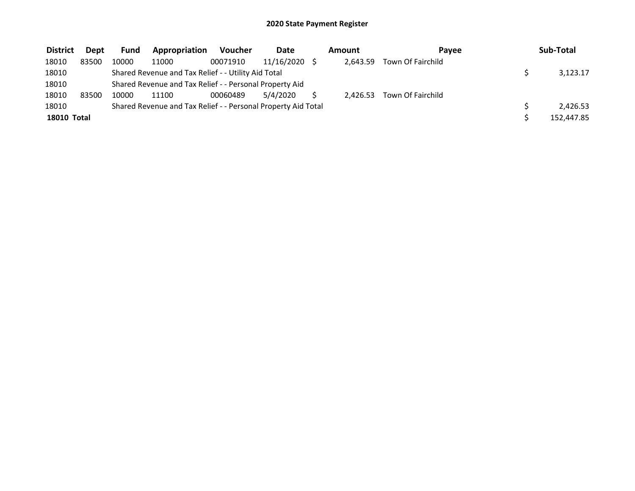| <b>District</b> | Dept  | <b>Fund</b> | Appropriation                                                 | <b>Voucher</b> | <b>Date</b> | Amount<br>Pavee |          |                            | Sub-Total  |
|-----------------|-------|-------------|---------------------------------------------------------------|----------------|-------------|-----------------|----------|----------------------------|------------|
| 18010           | 83500 | 10000       | 11000                                                         | 00071910       | 11/16/2020  |                 | 2.643.59 | Town Of Fairchild          |            |
| 18010           |       |             | Shared Revenue and Tax Relief - - Utility Aid Total           |                |             |                 |          |                            | 3,123.17   |
| 18010           |       |             | Shared Revenue and Tax Relief - - Personal Property Aid       |                |             |                 |          |                            |            |
| 18010           | 83500 | 10000       | 11100                                                         | 00060489       | 5/4/2020    |                 |          | 2.426.53 Town Of Fairchild |            |
| 18010           |       |             | Shared Revenue and Tax Relief - - Personal Property Aid Total |                |             |                 |          |                            | 2.426.53   |
| 18010 Total     |       |             |                                                               |                |             |                 |          |                            | 152,447.85 |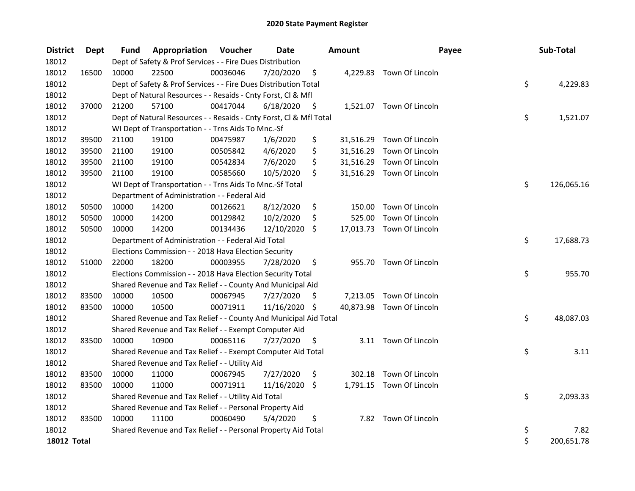| <b>District</b>    | Dept  | Fund  | Appropriation                                                      | Voucher  | <b>Date</b>   |      | Amount    | Payee                     | Sub-Total        |
|--------------------|-------|-------|--------------------------------------------------------------------|----------|---------------|------|-----------|---------------------------|------------------|
| 18012              |       |       | Dept of Safety & Prof Services - - Fire Dues Distribution          |          |               |      |           |                           |                  |
| 18012              | 16500 | 10000 | 22500                                                              | 00036046 | 7/20/2020     | \$   |           | 4,229.83 Town Of Lincoln  |                  |
| 18012              |       |       | Dept of Safety & Prof Services - - Fire Dues Distribution Total    |          |               |      |           |                           | \$<br>4,229.83   |
| 18012              |       |       | Dept of Natural Resources - - Resaids - Cnty Forst, Cl & Mfl       |          |               |      |           |                           |                  |
| 18012              | 37000 | 21200 | 57100                                                              | 00417044 | 6/18/2020     | - \$ |           | 1,521.07 Town Of Lincoln  |                  |
| 18012              |       |       | Dept of Natural Resources - - Resaids - Cnty Forst, Cl & Mfl Total |          |               |      |           |                           | \$<br>1,521.07   |
| 18012              |       |       | WI Dept of Transportation - - Trns Aids To Mnc.-Sf                 |          |               |      |           |                           |                  |
| 18012              | 39500 | 21100 | 19100                                                              | 00475987 | 1/6/2020      | \$   |           | 31,516.29 Town Of Lincoln |                  |
| 18012              | 39500 | 21100 | 19100                                                              | 00505842 | 4/6/2020      | \$   | 31,516.29 | Town Of Lincoln           |                  |
| 18012              | 39500 | 21100 | 19100                                                              | 00542834 | 7/6/2020      | \$   |           | 31,516.29 Town Of Lincoln |                  |
| 18012              | 39500 | 21100 | 19100                                                              | 00585660 | 10/5/2020     | \$   |           | 31,516.29 Town Of Lincoln |                  |
| 18012              |       |       | WI Dept of Transportation - - Trns Aids To Mnc.-Sf Total           |          |               |      |           |                           | \$<br>126,065.16 |
| 18012              |       |       | Department of Administration - - Federal Aid                       |          |               |      |           |                           |                  |
| 18012              | 50500 | 10000 | 14200                                                              | 00126621 | 8/12/2020     | \$   | 150.00    | Town Of Lincoln           |                  |
| 18012              | 50500 | 10000 | 14200                                                              | 00129842 | 10/2/2020     | \$   | 525.00    | Town Of Lincoln           |                  |
| 18012              | 50500 | 10000 | 14200                                                              | 00134436 | 12/10/2020    | \$   |           | 17,013.73 Town Of Lincoln |                  |
| 18012              |       |       | Department of Administration - - Federal Aid Total                 |          |               |      |           |                           | \$<br>17,688.73  |
| 18012              |       |       | Elections Commission - - 2018 Hava Election Security               |          |               |      |           |                           |                  |
| 18012              | 51000 | 22000 | 18200                                                              | 00003955 | 7/28/2020     | \$   |           | 955.70 Town Of Lincoln    |                  |
| 18012              |       |       | Elections Commission - - 2018 Hava Election Security Total         |          |               |      |           |                           | \$<br>955.70     |
| 18012              |       |       | Shared Revenue and Tax Relief - - County And Municipal Aid         |          |               |      |           |                           |                  |
| 18012              | 83500 | 10000 | 10500                                                              | 00067945 | 7/27/2020     | \$   |           | 7,213.05 Town Of Lincoln  |                  |
| 18012              | 83500 | 10000 | 10500                                                              | 00071911 | 11/16/2020 \$ |      |           | 40,873.98 Town Of Lincoln |                  |
| 18012              |       |       | Shared Revenue and Tax Relief - - County And Municipal Aid Total   |          |               |      |           |                           | \$<br>48,087.03  |
| 18012              |       |       | Shared Revenue and Tax Relief - - Exempt Computer Aid              |          |               |      |           |                           |                  |
| 18012              | 83500 | 10000 | 10900                                                              | 00065116 | 7/27/2020     | \$   |           | 3.11 Town Of Lincoln      |                  |
| 18012              |       |       | Shared Revenue and Tax Relief - - Exempt Computer Aid Total        |          |               |      |           |                           | \$<br>3.11       |
| 18012              |       |       | Shared Revenue and Tax Relief - - Utility Aid                      |          |               |      |           |                           |                  |
| 18012              | 83500 | 10000 | 11000                                                              | 00067945 | 7/27/2020     | \$   |           | 302.18 Town Of Lincoln    |                  |
| 18012              | 83500 | 10000 | 11000                                                              | 00071911 | 11/16/2020    | \$   |           | 1,791.15 Town Of Lincoln  |                  |
| 18012              |       |       | Shared Revenue and Tax Relief - - Utility Aid Total                |          |               |      |           |                           | \$<br>2,093.33   |
| 18012              |       |       | Shared Revenue and Tax Relief - - Personal Property Aid            |          |               |      |           |                           |                  |
| 18012              | 83500 | 10000 | 11100                                                              | 00060490 | 5/4/2020      | \$   |           | 7.82 Town Of Lincoln      |                  |
| 18012              |       |       | Shared Revenue and Tax Relief - - Personal Property Aid Total      |          |               |      |           |                           | \$<br>7.82       |
| <b>18012 Total</b> |       |       |                                                                    |          |               |      |           |                           | \$<br>200,651.78 |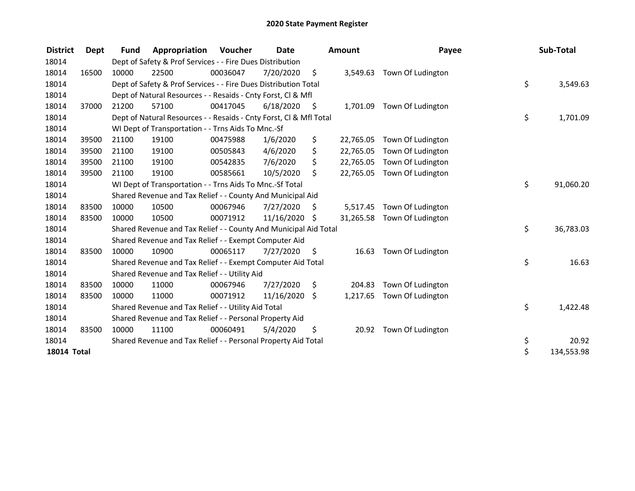| <b>District</b>    | Dept  | <b>Fund</b> | Appropriation                                                      | Voucher  | <b>Date</b>   |      | <b>Amount</b> | Payee                      | Sub-Total        |
|--------------------|-------|-------------|--------------------------------------------------------------------|----------|---------------|------|---------------|----------------------------|------------------|
| 18014              |       |             | Dept of Safety & Prof Services - - Fire Dues Distribution          |          |               |      |               |                            |                  |
| 18014              | 16500 | 10000       | 22500                                                              | 00036047 | 7/20/2020     | \$   | 3,549.63      | Town Of Ludington          |                  |
| 18014              |       |             | Dept of Safety & Prof Services - - Fire Dues Distribution Total    |          |               |      |               |                            | \$<br>3,549.63   |
| 18014              |       |             | Dept of Natural Resources - - Resaids - Cnty Forst, CI & Mfl       |          |               |      |               |                            |                  |
| 18014              | 37000 | 21200       | 57100                                                              | 00417045 | 6/18/2020     | - \$ |               | 1,701.09 Town Of Ludington |                  |
| 18014              |       |             | Dept of Natural Resources - - Resaids - Cnty Forst, Cl & Mfl Total |          |               |      |               |                            | \$<br>1,701.09   |
| 18014              |       |             | WI Dept of Transportation - - Trns Aids To Mnc.-Sf                 |          |               |      |               |                            |                  |
| 18014              | 39500 | 21100       | 19100                                                              | 00475988 | 1/6/2020      | \$   | 22,765.05     | Town Of Ludington          |                  |
| 18014              | 39500 | 21100       | 19100                                                              | 00505843 | 4/6/2020      | \$   | 22,765.05     | Town Of Ludington          |                  |
| 18014              | 39500 | 21100       | 19100                                                              | 00542835 | 7/6/2020      | \$   | 22,765.05     | Town Of Ludington          |                  |
| 18014              | 39500 | 21100       | 19100                                                              | 00585661 | 10/5/2020     | \$   | 22,765.05     | Town Of Ludington          |                  |
| 18014              |       |             | WI Dept of Transportation - - Trns Aids To Mnc.-Sf Total           |          |               |      |               |                            | \$<br>91,060.20  |
| 18014              |       |             | Shared Revenue and Tax Relief - - County And Municipal Aid         |          |               |      |               |                            |                  |
| 18014              | 83500 | 10000       | 10500                                                              | 00067946 | 7/27/2020     | \$   | 5,517.45      | Town Of Ludington          |                  |
| 18014              | 83500 | 10000       | 10500                                                              | 00071912 | 11/16/2020 \$ |      | 31,265.58     | Town Of Ludington          |                  |
| 18014              |       |             | Shared Revenue and Tax Relief - - County And Municipal Aid Total   |          |               |      |               |                            | \$<br>36,783.03  |
| 18014              |       |             | Shared Revenue and Tax Relief - - Exempt Computer Aid              |          |               |      |               |                            |                  |
| 18014              | 83500 | 10000       | 10900                                                              | 00065117 | 7/27/2020     | \$.  | 16.63         | Town Of Ludington          |                  |
| 18014              |       |             | Shared Revenue and Tax Relief - - Exempt Computer Aid Total        |          |               |      |               |                            | \$<br>16.63      |
| 18014              |       |             | Shared Revenue and Tax Relief - - Utility Aid                      |          |               |      |               |                            |                  |
| 18014              | 83500 | 10000       | 11000                                                              | 00067946 | 7/27/2020     | \$   | 204.83        | Town Of Ludington          |                  |
| 18014              | 83500 | 10000       | 11000                                                              | 00071912 | 11/16/2020    | \$   | 1,217.65      | Town Of Ludington          |                  |
| 18014              |       |             | Shared Revenue and Tax Relief - - Utility Aid Total                |          |               |      |               |                            | \$<br>1,422.48   |
| 18014              |       |             | Shared Revenue and Tax Relief - - Personal Property Aid            |          |               |      |               |                            |                  |
| 18014              | 83500 | 10000       | 11100                                                              | 00060491 | 5/4/2020      | \$   | 20.92         | Town Of Ludington          |                  |
| 18014              |       |             | Shared Revenue and Tax Relief - - Personal Property Aid Total      |          |               |      |               |                            | \$<br>20.92      |
| <b>18014 Total</b> |       |             |                                                                    |          |               |      |               |                            | \$<br>134,553.98 |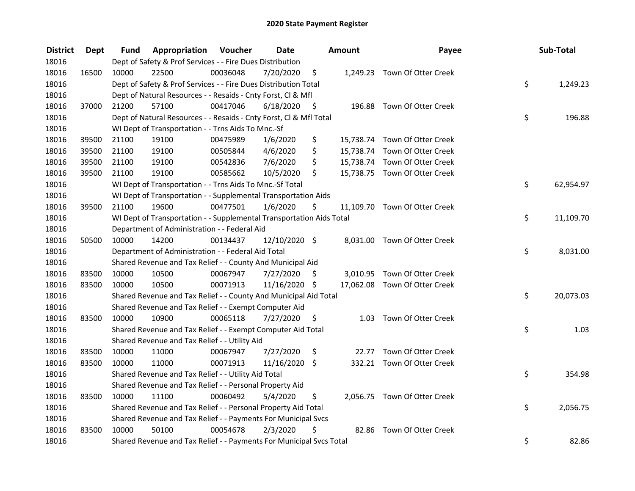| <b>District</b> | <b>Dept</b> | Fund  | Appropriation                                                        | Voucher  | <b>Date</b>   |                     | Amount | Payee                         | Sub-Total       |
|-----------------|-------------|-------|----------------------------------------------------------------------|----------|---------------|---------------------|--------|-------------------------------|-----------------|
| 18016           |             |       | Dept of Safety & Prof Services - - Fire Dues Distribution            |          |               |                     |        |                               |                 |
| 18016           | 16500       | 10000 | 22500                                                                | 00036048 | 7/20/2020     | \$                  |        | 1,249.23 Town Of Otter Creek  |                 |
| 18016           |             |       | Dept of Safety & Prof Services - - Fire Dues Distribution Total      |          |               |                     |        |                               | \$<br>1,249.23  |
| 18016           |             |       | Dept of Natural Resources - - Resaids - Cnty Forst, Cl & Mfl         |          |               |                     |        |                               |                 |
| 18016           | 37000       | 21200 | 57100                                                                | 00417046 | 6/18/2020     | $\ddot{\mathsf{s}}$ |        | 196.88 Town Of Otter Creek    |                 |
| 18016           |             |       | Dept of Natural Resources - - Resaids - Cnty Forst, Cl & Mfl Total   |          |               |                     |        |                               | \$<br>196.88    |
| 18016           |             |       | WI Dept of Transportation - - Trns Aids To Mnc.-Sf                   |          |               |                     |        |                               |                 |
| 18016           | 39500       | 21100 | 19100                                                                | 00475989 | 1/6/2020      | \$                  |        | 15,738.74 Town Of Otter Creek |                 |
| 18016           | 39500       | 21100 | 19100                                                                | 00505844 | 4/6/2020      | \$                  |        | 15,738.74 Town Of Otter Creek |                 |
| 18016           | 39500       | 21100 | 19100                                                                | 00542836 | 7/6/2020      | \$                  |        | 15,738.74 Town Of Otter Creek |                 |
| 18016           | 39500       | 21100 | 19100                                                                | 00585662 | 10/5/2020     | \$                  |        | 15,738.75 Town Of Otter Creek |                 |
| 18016           |             |       | WI Dept of Transportation - - Trns Aids To Mnc.-Sf Total             |          |               |                     |        |                               | \$<br>62,954.97 |
| 18016           |             |       | WI Dept of Transportation - - Supplemental Transportation Aids       |          |               |                     |        |                               |                 |
| 18016           | 39500       | 21100 | 19600                                                                | 00477501 | 1/6/2020      | \$                  |        | 11,109.70 Town Of Otter Creek |                 |
| 18016           |             |       | WI Dept of Transportation - - Supplemental Transportation Aids Total |          |               |                     |        |                               | \$<br>11,109.70 |
| 18016           |             |       | Department of Administration - - Federal Aid                         |          |               |                     |        |                               |                 |
| 18016           | 50500       | 10000 | 14200                                                                | 00134437 | 12/10/2020 \$ |                     |        | 8,031.00 Town Of Otter Creek  |                 |
| 18016           |             |       | Department of Administration - - Federal Aid Total                   |          |               |                     |        |                               | \$<br>8,031.00  |
| 18016           |             |       | Shared Revenue and Tax Relief - - County And Municipal Aid           |          |               |                     |        |                               |                 |
| 18016           | 83500       | 10000 | 10500                                                                | 00067947 | 7/27/2020     | \$                  |        | 3,010.95 Town Of Otter Creek  |                 |
| 18016           | 83500       | 10000 | 10500                                                                | 00071913 | 11/16/2020 \$ |                     |        | 17,062.08 Town Of Otter Creek |                 |
| 18016           |             |       | Shared Revenue and Tax Relief - - County And Municipal Aid Total     |          |               |                     |        |                               | \$<br>20,073.03 |
| 18016           |             |       | Shared Revenue and Tax Relief - - Exempt Computer Aid                |          |               |                     |        |                               |                 |
| 18016           | 83500       | 10000 | 10900                                                                | 00065118 | 7/27/2020     | \$                  |        | 1.03 Town Of Otter Creek      |                 |
| 18016           |             |       | Shared Revenue and Tax Relief - - Exempt Computer Aid Total          |          |               |                     |        |                               | \$<br>1.03      |
| 18016           |             |       | Shared Revenue and Tax Relief - - Utility Aid                        |          |               |                     |        |                               |                 |
| 18016           | 83500       | 10000 | 11000                                                                | 00067947 | 7/27/2020     | \$                  |        | 22.77 Town Of Otter Creek     |                 |
| 18016           | 83500       | 10000 | 11000                                                                | 00071913 | 11/16/2020 \$ |                     |        | 332.21 Town Of Otter Creek    |                 |
| 18016           |             |       | Shared Revenue and Tax Relief - - Utility Aid Total                  |          |               |                     |        |                               | \$<br>354.98    |
| 18016           |             |       | Shared Revenue and Tax Relief - - Personal Property Aid              |          |               |                     |        |                               |                 |
| 18016           | 83500       | 10000 | 11100                                                                | 00060492 | 5/4/2020      | \$                  |        | 2,056.75 Town Of Otter Creek  |                 |
| 18016           |             |       | Shared Revenue and Tax Relief - - Personal Property Aid Total        |          |               |                     |        |                               | \$<br>2,056.75  |
| 18016           |             |       | Shared Revenue and Tax Relief - - Payments For Municipal Svcs        |          |               |                     |        |                               |                 |
| 18016           | 83500       | 10000 | 50100                                                                | 00054678 | 2/3/2020      | \$                  | 82.86  | Town Of Otter Creek           |                 |
| 18016           |             |       | Shared Revenue and Tax Relief - - Payments For Municipal Svcs Total  |          |               |                     |        |                               | \$<br>82.86     |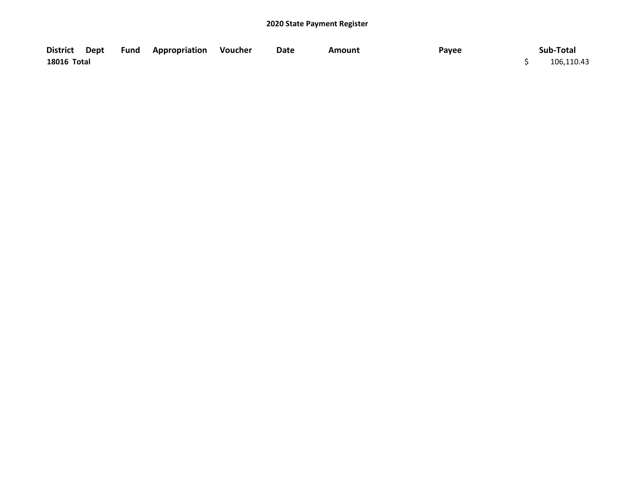|             |  | District Dept Fund Appropriation Voucher | Date | Amount | Payee | Sub-Total  |
|-------------|--|------------------------------------------|------|--------|-------|------------|
| 18016 Total |  |                                          |      |        |       | 106,110.43 |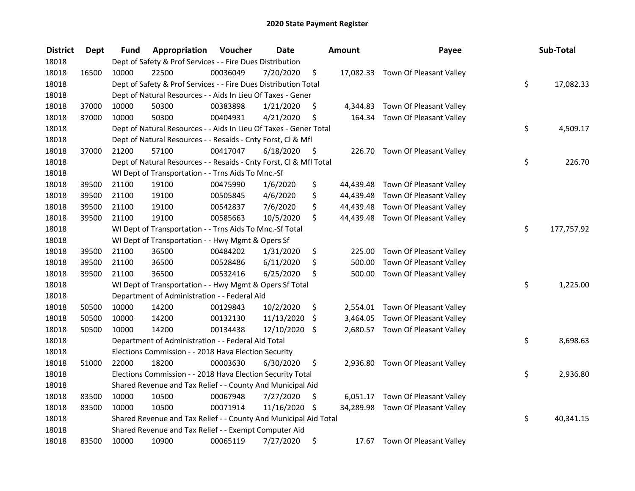| <b>District</b> | <b>Dept</b> | Fund  | Appropriation                                                      | Voucher  | <b>Date</b>   |      | <b>Amount</b> | Payee                             | Sub-Total        |
|-----------------|-------------|-------|--------------------------------------------------------------------|----------|---------------|------|---------------|-----------------------------------|------------------|
| 18018           |             |       | Dept of Safety & Prof Services - - Fire Dues Distribution          |          |               |      |               |                                   |                  |
| 18018           | 16500       | 10000 | 22500                                                              | 00036049 | 7/20/2020     | \$   |               | 17,082.33 Town Of Pleasant Valley |                  |
| 18018           |             |       | Dept of Safety & Prof Services - - Fire Dues Distribution Total    |          |               |      |               |                                   | \$<br>17,082.33  |
| 18018           |             |       | Dept of Natural Resources - - Aids In Lieu Of Taxes - Gener        |          |               |      |               |                                   |                  |
| 18018           | 37000       | 10000 | 50300                                                              | 00383898 | 1/21/2020     | \$   |               | 4,344.83 Town Of Pleasant Valley  |                  |
| 18018           | 37000       | 10000 | 50300                                                              | 00404931 | 4/21/2020     | \$   |               | 164.34 Town Of Pleasant Valley    |                  |
| 18018           |             |       | Dept of Natural Resources - - Aids In Lieu Of Taxes - Gener Total  |          |               |      |               |                                   | \$<br>4,509.17   |
| 18018           |             |       | Dept of Natural Resources - - Resaids - Cnty Forst, Cl & Mfl       |          |               |      |               |                                   |                  |
| 18018           | 37000       | 21200 | 57100                                                              | 00417047 | 6/18/2020     | - \$ |               | 226.70 Town Of Pleasant Valley    |                  |
| 18018           |             |       | Dept of Natural Resources - - Resaids - Cnty Forst, Cl & Mfl Total |          |               |      |               |                                   | \$<br>226.70     |
| 18018           |             |       | WI Dept of Transportation - - Trns Aids To Mnc.-Sf                 |          |               |      |               |                                   |                  |
| 18018           | 39500       | 21100 | 19100                                                              | 00475990 | 1/6/2020      | \$   | 44,439.48     | Town Of Pleasant Valley           |                  |
| 18018           | 39500       | 21100 | 19100                                                              | 00505845 | 4/6/2020      | \$   |               | 44,439.48 Town Of Pleasant Valley |                  |
| 18018           | 39500       | 21100 | 19100                                                              | 00542837 | 7/6/2020      | \$   |               | 44,439.48 Town Of Pleasant Valley |                  |
| 18018           | 39500       | 21100 | 19100                                                              | 00585663 | 10/5/2020     | \$   |               | 44,439.48 Town Of Pleasant Valley |                  |
| 18018           |             |       | WI Dept of Transportation - - Trns Aids To Mnc.-Sf Total           |          |               |      |               |                                   | \$<br>177,757.92 |
| 18018           |             |       | WI Dept of Transportation - - Hwy Mgmt & Opers Sf                  |          |               |      |               |                                   |                  |
| 18018           | 39500       | 21100 | 36500                                                              | 00484202 | 1/31/2020     | \$   | 225.00        | Town Of Pleasant Valley           |                  |
| 18018           | 39500       | 21100 | 36500                                                              | 00528486 | 6/11/2020     | \$   | 500.00        | Town Of Pleasant Valley           |                  |
| 18018           | 39500       | 21100 | 36500                                                              | 00532416 | 6/25/2020     | \$   | 500.00        | Town Of Pleasant Valley           |                  |
| 18018           |             |       | WI Dept of Transportation - - Hwy Mgmt & Opers Sf Total            |          |               |      |               |                                   | \$<br>1,225.00   |
| 18018           |             |       | Department of Administration - - Federal Aid                       |          |               |      |               |                                   |                  |
| 18018           | 50500       | 10000 | 14200                                                              | 00129843 | 10/2/2020     | \$   |               | 2,554.01 Town Of Pleasant Valley  |                  |
| 18018           | 50500       | 10000 | 14200                                                              | 00132130 | 11/13/2020    | \$   | 3,464.05      | Town Of Pleasant Valley           |                  |
| 18018           | 50500       | 10000 | 14200                                                              | 00134438 | 12/10/2020    | \$   |               | 2,680.57 Town Of Pleasant Valley  |                  |
| 18018           |             |       | Department of Administration - - Federal Aid Total                 |          |               |      |               |                                   | \$<br>8,698.63   |
| 18018           |             |       | Elections Commission - - 2018 Hava Election Security               |          |               |      |               |                                   |                  |
| 18018           | 51000       | 22000 | 18200                                                              | 00003630 | 6/30/2020     | \$   |               | 2,936.80 Town Of Pleasant Valley  |                  |
| 18018           |             |       | Elections Commission - - 2018 Hava Election Security Total         |          |               |      |               |                                   | \$<br>2,936.80   |
| 18018           |             |       | Shared Revenue and Tax Relief - - County And Municipal Aid         |          |               |      |               |                                   |                  |
| 18018           | 83500       | 10000 | 10500                                                              | 00067948 | 7/27/2020     | \$   |               | 6,051.17 Town Of Pleasant Valley  |                  |
| 18018           | 83500       | 10000 | 10500                                                              | 00071914 | 11/16/2020 \$ |      |               | 34,289.98 Town Of Pleasant Valley |                  |
| 18018           |             |       | Shared Revenue and Tax Relief - - County And Municipal Aid Total   |          |               |      |               |                                   | \$<br>40,341.15  |
| 18018           |             |       | Shared Revenue and Tax Relief - - Exempt Computer Aid              |          |               |      |               |                                   |                  |
| 18018           | 83500       | 10000 | 10900                                                              | 00065119 | 7/27/2020     | \$   | 17.67         | Town Of Pleasant Valley           |                  |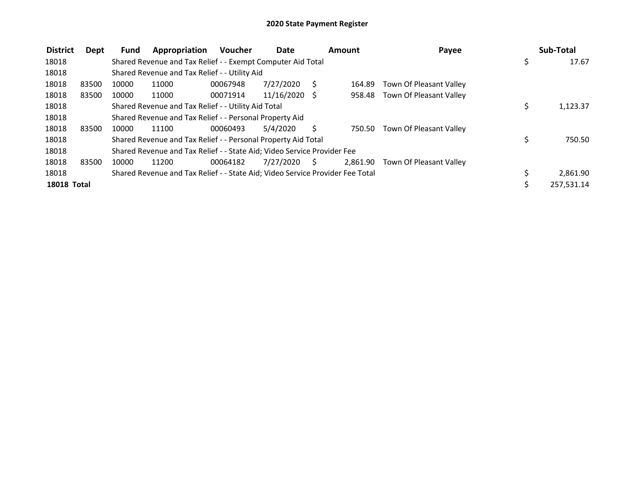| <b>District</b>    | Dept  | <b>Fund</b> | Appropriation                                                                 | <b>Voucher</b> | Date            |      | Amount   | Payee                   | Sub-Total    |
|--------------------|-------|-------------|-------------------------------------------------------------------------------|----------------|-----------------|------|----------|-------------------------|--------------|
| 18018              |       |             | Shared Revenue and Tax Relief - - Exempt Computer Aid Total                   |                |                 |      |          |                         | \$<br>17.67  |
| 18018              |       |             | Shared Revenue and Tax Relief - - Utility Aid                                 |                |                 |      |          |                         |              |
| 18018              | 83500 | 10000       | 11000                                                                         | 00067948       | 7/27/2020       | S    | 164.89   | Town Of Pleasant Valley |              |
| 18018              | 83500 | 10000       | 11000                                                                         | 00071914       | $11/16/2020$ \$ |      | 958.48   | Town Of Pleasant Valley |              |
| 18018              |       |             | Shared Revenue and Tax Relief - - Utility Aid Total                           |                |                 |      |          |                         | 1,123.37     |
| 18018              |       |             | Shared Revenue and Tax Relief - - Personal Property Aid                       |                |                 |      |          |                         |              |
| 18018              | 83500 | 10000       | 11100                                                                         | 00060493       | 5/4/2020        | S    | 750.50   | Town Of Pleasant Valley |              |
| 18018              |       |             | Shared Revenue and Tax Relief - - Personal Property Aid Total                 |                |                 |      |          |                         | \$<br>750.50 |
| 18018              |       |             | Shared Revenue and Tax Relief - - State Aid; Video Service Provider Fee       |                |                 |      |          |                         |              |
| 18018              | 83500 | 10000       | 11200                                                                         | 00064182       | 7/27/2020       | - \$ | 2.861.90 | Town Of Pleasant Valley |              |
| 18018              |       |             | Shared Revenue and Tax Relief - - State Aid; Video Service Provider Fee Total |                |                 |      |          |                         | 2,861.90     |
| <b>18018 Total</b> |       |             |                                                                               |                |                 |      |          |                         | 257,531.14   |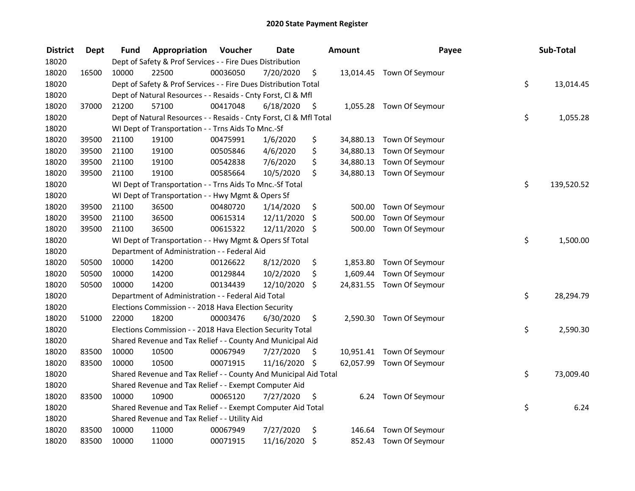| <b>District</b> | <b>Dept</b> | <b>Fund</b> | Appropriation                                                      | Voucher  | <b>Date</b>   |         | Amount    | Payee                     | Sub-Total        |
|-----------------|-------------|-------------|--------------------------------------------------------------------|----------|---------------|---------|-----------|---------------------------|------------------|
| 18020           |             |             | Dept of Safety & Prof Services - - Fire Dues Distribution          |          |               |         |           |                           |                  |
| 18020           | 16500       | 10000       | 22500                                                              | 00036050 | 7/20/2020     | \$      |           | 13,014.45 Town Of Seymour |                  |
| 18020           |             |             | Dept of Safety & Prof Services - - Fire Dues Distribution Total    |          |               |         |           |                           | \$<br>13,014.45  |
| 18020           |             |             | Dept of Natural Resources - - Resaids - Cnty Forst, Cl & Mfl       |          |               |         |           |                           |                  |
| 18020           | 37000       | 21200       | 57100                                                              | 00417048 | 6/18/2020     | - \$    |           | 1,055.28 Town Of Seymour  |                  |
| 18020           |             |             | Dept of Natural Resources - - Resaids - Cnty Forst, Cl & Mfl Total |          |               |         |           |                           | \$<br>1,055.28   |
| 18020           |             |             | WI Dept of Transportation - - Trns Aids To Mnc.-Sf                 |          |               |         |           |                           |                  |
| 18020           | 39500       | 21100       | 19100                                                              | 00475991 | 1/6/2020      | \$      |           | 34,880.13 Town Of Seymour |                  |
| 18020           | 39500       | 21100       | 19100                                                              | 00505846 | 4/6/2020      | \$      | 34,880.13 | Town Of Seymour           |                  |
| 18020           | 39500       | 21100       | 19100                                                              | 00542838 | 7/6/2020      | \$      |           | 34,880.13 Town Of Seymour |                  |
| 18020           | 39500       | 21100       | 19100                                                              | 00585664 | 10/5/2020     | \$      |           | 34,880.13 Town Of Seymour |                  |
| 18020           |             |             | WI Dept of Transportation - - Trns Aids To Mnc.-Sf Total           |          |               |         |           |                           | \$<br>139,520.52 |
| 18020           |             |             | WI Dept of Transportation - - Hwy Mgmt & Opers Sf                  |          |               |         |           |                           |                  |
| 18020           | 39500       | 21100       | 36500                                                              | 00480720 | 1/14/2020     | \$      | 500.00    | Town Of Seymour           |                  |
| 18020           | 39500       | 21100       | 36500                                                              | 00615314 | 12/11/2020    | \$      | 500.00    | Town Of Seymour           |                  |
| 18020           | 39500       | 21100       | 36500                                                              | 00615322 | 12/11/2020    | \$      | 500.00    | Town Of Seymour           |                  |
| 18020           |             |             | WI Dept of Transportation - - Hwy Mgmt & Opers Sf Total            |          |               |         |           |                           | \$<br>1,500.00   |
| 18020           |             |             | Department of Administration - - Federal Aid                       |          |               |         |           |                           |                  |
| 18020           | 50500       | 10000       | 14200                                                              | 00126622 | 8/12/2020     | \$      | 1,853.80  | Town Of Seymour           |                  |
| 18020           | 50500       | 10000       | 14200                                                              | 00129844 | 10/2/2020     | \$      | 1,609.44  | Town Of Seymour           |                  |
| 18020           | 50500       | 10000       | 14200                                                              | 00134439 | 12/10/2020    | \$      |           | 24,831.55 Town Of Seymour |                  |
| 18020           |             |             | Department of Administration - - Federal Aid Total                 |          |               |         |           |                           | \$<br>28,294.79  |
| 18020           |             |             | Elections Commission - - 2018 Hava Election Security               |          |               |         |           |                           |                  |
| 18020           | 51000       | 22000       | 18200                                                              | 00003476 | 6/30/2020     | \$.     |           | 2,590.30 Town Of Seymour  |                  |
| 18020           |             |             | Elections Commission - - 2018 Hava Election Security Total         |          |               |         |           |                           | \$<br>2,590.30   |
| 18020           |             |             | Shared Revenue and Tax Relief - - County And Municipal Aid         |          |               |         |           |                           |                  |
| 18020           | 83500       | 10000       | 10500                                                              | 00067949 | 7/27/2020     | \$      |           | 10,951.41 Town Of Seymour |                  |
| 18020           | 83500       | 10000       | 10500                                                              | 00071915 | 11/16/2020 \$ |         |           | 62,057.99 Town Of Seymour |                  |
| 18020           |             |             | Shared Revenue and Tax Relief - - County And Municipal Aid Total   |          |               |         |           |                           | \$<br>73,009.40  |
| 18020           |             |             | Shared Revenue and Tax Relief - - Exempt Computer Aid              |          |               |         |           |                           |                  |
| 18020           | 83500       | 10000       | 10900                                                              | 00065120 | 7/27/2020     | \$      | 6.24      | Town Of Seymour           |                  |
| 18020           |             |             | Shared Revenue and Tax Relief - - Exempt Computer Aid Total        |          |               |         |           |                           | \$<br>6.24       |
| 18020           |             |             | Shared Revenue and Tax Relief - - Utility Aid                      |          |               |         |           |                           |                  |
| 18020           | 83500       | 10000       | 11000                                                              | 00067949 | 7/27/2020     | \$      | 146.64    | Town Of Seymour           |                  |
| 18020           | 83500       | 10000       | 11000                                                              | 00071915 | 11/16/2020    | $\zeta$ |           | 852.43 Town Of Seymour    |                  |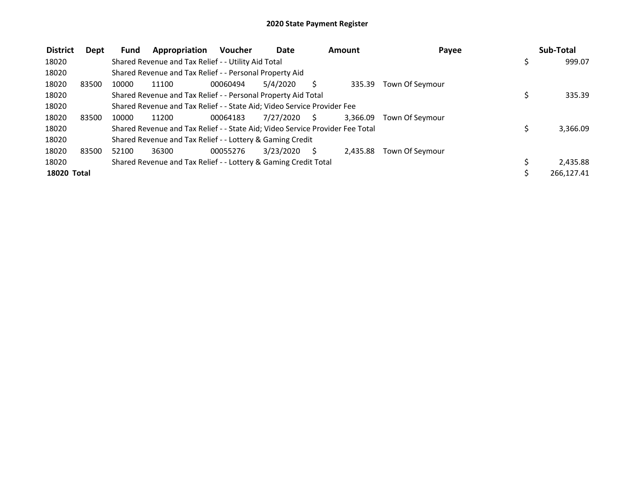| <b>District</b>    | Dept  | <b>Fund</b> | Appropriation                                                                 | <b>Voucher</b> | Date      |    | Amount   | Payee           | Sub-Total  |
|--------------------|-------|-------------|-------------------------------------------------------------------------------|----------------|-----------|----|----------|-----------------|------------|
| 18020              |       |             | Shared Revenue and Tax Relief - - Utility Aid Total                           |                |           |    |          |                 | 999.07     |
| 18020              |       |             | Shared Revenue and Tax Relief - - Personal Property Aid                       |                |           |    |          |                 |            |
| 18020              | 83500 | 10000       | 11100                                                                         | 00060494       | 5/4/2020  |    | 335.39   | Town Of Seymour |            |
| 18020              |       |             | Shared Revenue and Tax Relief - - Personal Property Aid Total                 |                |           |    |          |                 | 335.39     |
| 18020              |       |             | Shared Revenue and Tax Relief - - State Aid; Video Service Provider Fee       |                |           |    |          |                 |            |
| 18020              | 83500 | 10000       | 11200                                                                         | 00064183       | 7/27/2020 | S. | 3.366.09 | Town Of Sevmour |            |
| 18020              |       |             | Shared Revenue and Tax Relief - - State Aid; Video Service Provider Fee Total |                |           |    |          |                 | 3,366.09   |
| 18020              |       |             | Shared Revenue and Tax Relief - - Lottery & Gaming Credit                     |                |           |    |          |                 |            |
| 18020              | 83500 | 52100       | 36300                                                                         | 00055276       | 3/23/2020 | S. | 2.435.88 | Town Of Seymour |            |
| 18020              |       |             | Shared Revenue and Tax Relief - - Lottery & Gaming Credit Total               |                |           |    |          |                 | 2,435.88   |
| <b>18020 Total</b> |       |             |                                                                               |                |           |    |          |                 | 266,127.41 |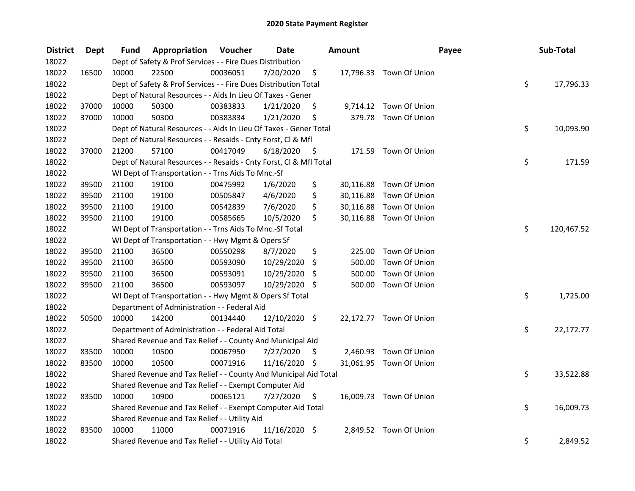| <b>District</b> | Dept  | Fund  | Appropriation                                                      | Voucher  | <b>Date</b>     |      | Amount    |                         | Payee | Sub-Total  |
|-----------------|-------|-------|--------------------------------------------------------------------|----------|-----------------|------|-----------|-------------------------|-------|------------|
| 18022           |       |       | Dept of Safety & Prof Services - - Fire Dues Distribution          |          |                 |      |           |                         |       |            |
| 18022           | 16500 | 10000 | 22500                                                              | 00036051 | 7/20/2020       | \$   |           | 17,796.33 Town Of Union |       |            |
| 18022           |       |       | Dept of Safety & Prof Services - - Fire Dues Distribution Total    |          |                 |      |           |                         | \$    | 17,796.33  |
| 18022           |       |       | Dept of Natural Resources - - Aids In Lieu Of Taxes - Gener        |          |                 |      |           |                         |       |            |
| 18022           | 37000 | 10000 | 50300                                                              | 00383833 | 1/21/2020       | \$   |           | 9,714.12 Town Of Union  |       |            |
| 18022           | 37000 | 10000 | 50300                                                              | 00383834 | 1/21/2020       | \$   |           | 379.78 Town Of Union    |       |            |
| 18022           |       |       | Dept of Natural Resources - - Aids In Lieu Of Taxes - Gener Total  |          |                 |      |           |                         | \$    | 10,093.90  |
| 18022           |       |       | Dept of Natural Resources - - Resaids - Cnty Forst, Cl & Mfl       |          |                 |      |           |                         |       |            |
| 18022           | 37000 | 21200 | 57100                                                              | 00417049 | 6/18/2020       | - \$ |           | 171.59 Town Of Union    |       |            |
| 18022           |       |       | Dept of Natural Resources - - Resaids - Cnty Forst, Cl & Mfl Total |          |                 |      |           |                         | \$    | 171.59     |
| 18022           |       |       | WI Dept of Transportation - - Trns Aids To Mnc.-Sf                 |          |                 |      |           |                         |       |            |
| 18022           | 39500 | 21100 | 19100                                                              | 00475992 | 1/6/2020        | \$   | 30,116.88 | Town Of Union           |       |            |
| 18022           | 39500 | 21100 | 19100                                                              | 00505847 | 4/6/2020        | \$   |           | 30,116.88 Town Of Union |       |            |
| 18022           | 39500 | 21100 | 19100                                                              | 00542839 | 7/6/2020        | \$   | 30,116.88 | Town Of Union           |       |            |
| 18022           | 39500 | 21100 | 19100                                                              | 00585665 | 10/5/2020       | \$   |           | 30,116.88 Town Of Union |       |            |
| 18022           |       |       | WI Dept of Transportation - - Trns Aids To Mnc.-Sf Total           |          |                 |      |           |                         | \$    | 120,467.52 |
| 18022           |       |       | WI Dept of Transportation - - Hwy Mgmt & Opers Sf                  |          |                 |      |           |                         |       |            |
| 18022           | 39500 | 21100 | 36500                                                              | 00550298 | 8/7/2020        | \$   | 225.00    | Town Of Union           |       |            |
| 18022           | 39500 | 21100 | 36500                                                              | 00593090 | 10/29/2020      | \$   | 500.00    | Town Of Union           |       |            |
| 18022           | 39500 | 21100 | 36500                                                              | 00593091 | 10/29/2020      | \$   | 500.00    | Town Of Union           |       |            |
| 18022           | 39500 | 21100 | 36500                                                              | 00593097 | 10/29/2020 \$   |      | 500.00    | Town Of Union           |       |            |
| 18022           |       |       | WI Dept of Transportation - - Hwy Mgmt & Opers Sf Total            |          |                 |      |           |                         | \$    | 1,725.00   |
| 18022           |       |       | Department of Administration - - Federal Aid                       |          |                 |      |           |                         |       |            |
| 18022           | 50500 | 10000 | 14200                                                              | 00134440 | 12/10/2020 \$   |      |           | 22,172.77 Town Of Union |       |            |
| 18022           |       |       | Department of Administration - - Federal Aid Total                 |          |                 |      |           |                         | \$    | 22,172.77  |
| 18022           |       |       | Shared Revenue and Tax Relief - - County And Municipal Aid         |          |                 |      |           |                         |       |            |
| 18022           | 83500 | 10000 | 10500                                                              | 00067950 | 7/27/2020       | \$   |           | 2,460.93 Town Of Union  |       |            |
| 18022           | 83500 | 10000 | 10500                                                              | 00071916 | 11/16/2020 \$   |      |           | 31,061.95 Town Of Union |       |            |
| 18022           |       |       | Shared Revenue and Tax Relief - - County And Municipal Aid Total   |          |                 |      |           |                         | \$    | 33,522.88  |
| 18022           |       |       | Shared Revenue and Tax Relief - - Exempt Computer Aid              |          |                 |      |           |                         |       |            |
| 18022           | 83500 | 10000 | 10900                                                              | 00065121 | 7/27/2020       | \$   |           | 16,009.73 Town Of Union |       |            |
| 18022           |       |       | Shared Revenue and Tax Relief - - Exempt Computer Aid Total        |          |                 |      |           |                         | \$    | 16,009.73  |
| 18022           |       |       | Shared Revenue and Tax Relief - - Utility Aid                      |          |                 |      |           |                         |       |            |
| 18022           | 83500 | 10000 | 11000                                                              | 00071916 | $11/16/2020$ \$ |      |           | 2,849.52 Town Of Union  |       |            |
| 18022           |       |       | Shared Revenue and Tax Relief - - Utility Aid Total                |          |                 |      |           |                         | \$    | 2,849.52   |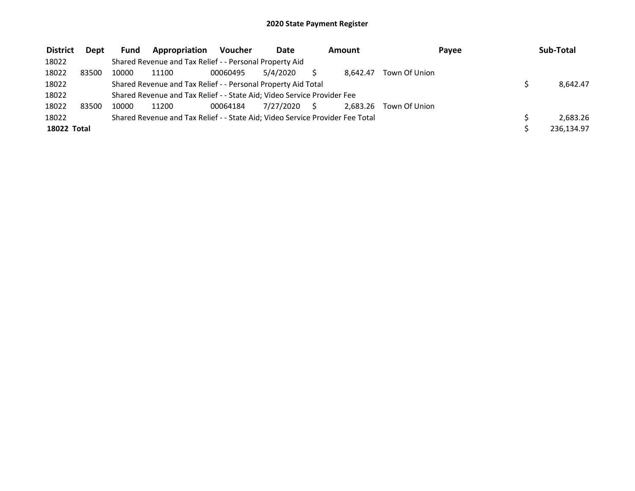| <b>District</b> | Dept  | <b>Fund</b> | Appropriation                                                                 | Voucher  | Date         | Amount   | Payee         | Sub-Total  |
|-----------------|-------|-------------|-------------------------------------------------------------------------------|----------|--------------|----------|---------------|------------|
| 18022           |       |             | Shared Revenue and Tax Relief - - Personal Property Aid                       |          |              |          |               |            |
| 18022           | 83500 | 10000       | 11100                                                                         | 00060495 | 5/4/2020     | 8.642.47 | Town Of Union |            |
| 18022           |       |             | Shared Revenue and Tax Relief - - Personal Property Aid Total                 |          |              |          |               | 8.642.47   |
| 18022           |       |             | Shared Revenue and Tax Relief - - State Aid; Video Service Provider Fee       |          |              |          |               |            |
| 18022           | 83500 | 10000       | 11200                                                                         | 00064184 | 7/27/2020 \$ | 2.683.26 | Town Of Union |            |
| 18022           |       |             | Shared Revenue and Tax Relief - - State Aid; Video Service Provider Fee Total |          |              |          |               | 2.683.26   |
| 18022 Total     |       |             |                                                                               |          |              |          |               | 236,134.97 |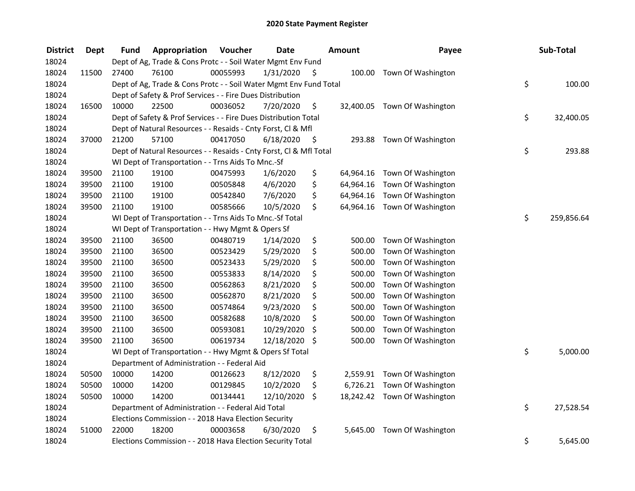| <b>District</b> | <b>Dept</b> | Fund  | Appropriation                                                      | Voucher  | <b>Date</b>   |      | <b>Amount</b> | Payee                        | Sub-Total        |
|-----------------|-------------|-------|--------------------------------------------------------------------|----------|---------------|------|---------------|------------------------------|------------------|
| 18024           |             |       | Dept of Ag, Trade & Cons Protc - - Soil Water Mgmt Env Fund        |          |               |      |               |                              |                  |
| 18024           | 11500       | 27400 | 76100                                                              | 00055993 | 1/31/2020     | \$   |               | 100.00 Town Of Washington    |                  |
| 18024           |             |       | Dept of Ag, Trade & Cons Protc - - Soil Water Mgmt Env Fund Total  |          |               |      |               |                              | \$<br>100.00     |
| 18024           |             |       | Dept of Safety & Prof Services - - Fire Dues Distribution          |          |               |      |               |                              |                  |
| 18024           | 16500       | 10000 | 22500                                                              | 00036052 | 7/20/2020     | \$   |               | 32,400.05 Town Of Washington |                  |
| 18024           |             |       | Dept of Safety & Prof Services - - Fire Dues Distribution Total    |          |               |      |               |                              | \$<br>32,400.05  |
| 18024           |             |       | Dept of Natural Resources - - Resaids - Cnty Forst, Cl & Mfl       |          |               |      |               |                              |                  |
| 18024           | 37000       | 21200 | 57100                                                              | 00417050 | 6/18/2020     | - \$ |               | 293.88 Town Of Washington    |                  |
| 18024           |             |       | Dept of Natural Resources - - Resaids - Cnty Forst, Cl & Mfl Total |          |               |      |               |                              | \$<br>293.88     |
| 18024           |             |       | WI Dept of Transportation - - Trns Aids To Mnc.-Sf                 |          |               |      |               |                              |                  |
| 18024           | 39500       | 21100 | 19100                                                              | 00475993 | 1/6/2020      | \$   | 64,964.16     | Town Of Washington           |                  |
| 18024           | 39500       | 21100 | 19100                                                              | 00505848 | 4/6/2020      | \$   | 64,964.16     | Town Of Washington           |                  |
| 18024           | 39500       | 21100 | 19100                                                              | 00542840 | 7/6/2020      | \$   | 64,964.16     | Town Of Washington           |                  |
| 18024           | 39500       | 21100 | 19100                                                              | 00585666 | 10/5/2020     | \$   |               | 64,964.16 Town Of Washington |                  |
| 18024           |             |       | WI Dept of Transportation - - Trns Aids To Mnc.-Sf Total           |          |               |      |               |                              | \$<br>259,856.64 |
| 18024           |             |       | WI Dept of Transportation - - Hwy Mgmt & Opers Sf                  |          |               |      |               |                              |                  |
| 18024           | 39500       | 21100 | 36500                                                              | 00480719 | 1/14/2020     | \$   | 500.00        | Town Of Washington           |                  |
| 18024           | 39500       | 21100 | 36500                                                              | 00523429 | 5/29/2020     | \$   | 500.00        | Town Of Washington           |                  |
| 18024           | 39500       | 21100 | 36500                                                              | 00523433 | 5/29/2020     | \$   | 500.00        | Town Of Washington           |                  |
| 18024           | 39500       | 21100 | 36500                                                              | 00553833 | 8/14/2020     | \$   | 500.00        | Town Of Washington           |                  |
| 18024           | 39500       | 21100 | 36500                                                              | 00562863 | 8/21/2020     | \$   | 500.00        | Town Of Washington           |                  |
| 18024           | 39500       | 21100 | 36500                                                              | 00562870 | 8/21/2020     | \$   | 500.00        | Town Of Washington           |                  |
| 18024           | 39500       | 21100 | 36500                                                              | 00574864 | 9/23/2020     | \$   | 500.00        | Town Of Washington           |                  |
| 18024           | 39500       | 21100 | 36500                                                              | 00582688 | 10/8/2020     | \$   | 500.00        | Town Of Washington           |                  |
| 18024           | 39500       | 21100 | 36500                                                              | 00593081 | 10/29/2020    | \$   | 500.00        | Town Of Washington           |                  |
| 18024           | 39500       | 21100 | 36500                                                              | 00619734 | 12/18/2020 \$ |      | 500.00        | Town Of Washington           |                  |
| 18024           |             |       | WI Dept of Transportation - - Hwy Mgmt & Opers Sf Total            |          |               |      |               |                              | \$<br>5,000.00   |
| 18024           |             |       | Department of Administration - - Federal Aid                       |          |               |      |               |                              |                  |
| 18024           | 50500       | 10000 | 14200                                                              | 00126623 | 8/12/2020     | \$   |               | 2,559.91 Town Of Washington  |                  |
| 18024           | 50500       | 10000 | 14200                                                              | 00129845 | 10/2/2020     | \$   | 6,726.21      | Town Of Washington           |                  |
| 18024           | 50500       | 10000 | 14200                                                              | 00134441 | 12/10/2020    | \$   |               | 18,242.42 Town Of Washington |                  |
| 18024           |             |       | Department of Administration - - Federal Aid Total                 |          |               |      |               |                              | \$<br>27,528.54  |
| 18024           |             |       | Elections Commission - - 2018 Hava Election Security               |          |               |      |               |                              |                  |
| 18024           | 51000       | 22000 | 18200                                                              | 00003658 | 6/30/2020     | \$   | 5,645.00      | Town Of Washington           |                  |
| 18024           |             |       | Elections Commission - - 2018 Hava Election Security Total         |          |               |      |               |                              | \$<br>5,645.00   |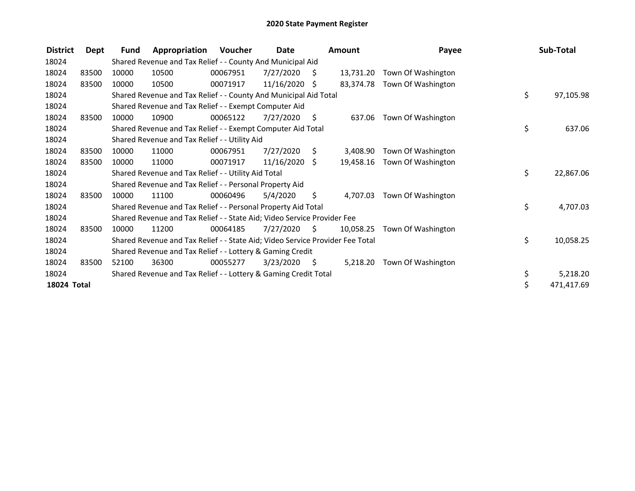| <b>District</b>    | Dept  | Fund  | Appropriation                                                                 | <b>Voucher</b> | Date            |    | Amount    | Payee              | Sub-Total        |
|--------------------|-------|-------|-------------------------------------------------------------------------------|----------------|-----------------|----|-----------|--------------------|------------------|
| 18024              |       |       | Shared Revenue and Tax Relief - - County And Municipal Aid                    |                |                 |    |           |                    |                  |
| 18024              | 83500 | 10000 | 10500                                                                         | 00067951       | 7/27/2020       | S  | 13,731.20 | Town Of Washington |                  |
| 18024              | 83500 | 10000 | 10500                                                                         | 00071917       | 11/16/2020      | Ŝ. | 83,374.78 | Town Of Washington |                  |
| 18024              |       |       | Shared Revenue and Tax Relief - - County And Municipal Aid Total              |                |                 |    |           |                    | \$<br>97,105.98  |
| 18024              |       |       | Shared Revenue and Tax Relief - - Exempt Computer Aid                         |                |                 |    |           |                    |                  |
| 18024              | 83500 | 10000 | 10900                                                                         | 00065122       | 7/27/2020       | \$ | 637.06    | Town Of Washington |                  |
| 18024              |       |       | Shared Revenue and Tax Relief - - Exempt Computer Aid Total                   |                |                 |    |           |                    | \$<br>637.06     |
| 18024              |       |       | Shared Revenue and Tax Relief - - Utility Aid                                 |                |                 |    |           |                    |                  |
| 18024              | 83500 | 10000 | 11000                                                                         | 00067951       | 7/27/2020       | S. | 3,408.90  | Town Of Washington |                  |
| 18024              | 83500 | 10000 | 11000                                                                         | 00071917       | $11/16/2020$ \$ |    | 19,458.16 | Town Of Washington |                  |
| 18024              |       |       | Shared Revenue and Tax Relief - - Utility Aid Total                           |                |                 |    |           |                    | \$<br>22,867.06  |
| 18024              |       |       | Shared Revenue and Tax Relief - - Personal Property Aid                       |                |                 |    |           |                    |                  |
| 18024              | 83500 | 10000 | 11100                                                                         | 00060496       | 5/4/2020        | \$ | 4,707.03  | Town Of Washington |                  |
| 18024              |       |       | Shared Revenue and Tax Relief - - Personal Property Aid Total                 |                |                 |    |           |                    | \$<br>4,707.03   |
| 18024              |       |       | Shared Revenue and Tax Relief - - State Aid; Video Service Provider Fee       |                |                 |    |           |                    |                  |
| 18024              | 83500 | 10000 | 11200                                                                         | 00064185       | 7/27/2020       | S  | 10,058.25 | Town Of Washington |                  |
| 18024              |       |       | Shared Revenue and Tax Relief - - State Aid; Video Service Provider Fee Total |                |                 |    |           |                    | \$<br>10,058.25  |
| 18024              |       |       | Shared Revenue and Tax Relief - - Lottery & Gaming Credit                     |                |                 |    |           |                    |                  |
| 18024              | 83500 | 52100 | 36300                                                                         | 00055277       | 3/23/2020       | \$ | 5,218.20  | Town Of Washington |                  |
| 18024              |       |       | Shared Revenue and Tax Relief - - Lottery & Gaming Credit Total               |                |                 |    |           |                    | \$<br>5,218.20   |
| <b>18024 Total</b> |       |       |                                                                               |                |                 |    |           |                    | \$<br>471,417.69 |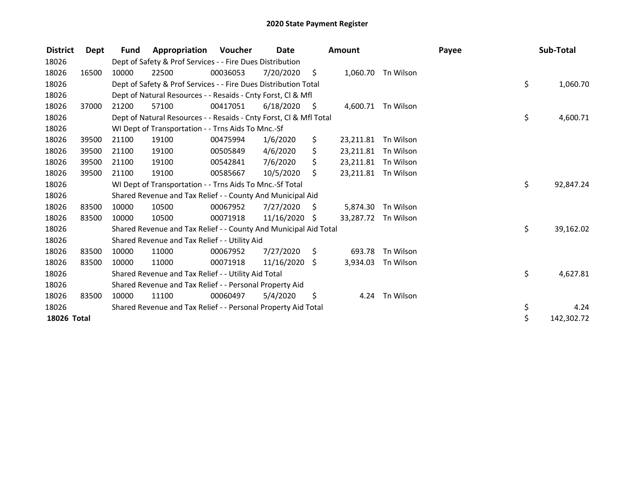| <b>District</b> | Dept  | Fund  | Appropriation                                                      | Voucher  | Date            |      | Amount              |                    | Payee | Sub-Total        |
|-----------------|-------|-------|--------------------------------------------------------------------|----------|-----------------|------|---------------------|--------------------|-------|------------------|
| 18026           |       |       | Dept of Safety & Prof Services - - Fire Dues Distribution          |          |                 |      |                     |                    |       |                  |
| 18026           | 16500 | 10000 | 22500                                                              | 00036053 | 7/20/2020       | -\$  |                     | 1,060.70 Tn Wilson |       |                  |
| 18026           |       |       | Dept of Safety & Prof Services - - Fire Dues Distribution Total    |          |                 |      |                     |                    |       | \$<br>1,060.70   |
| 18026           |       |       | Dept of Natural Resources - - Resaids - Cnty Forst, CI & Mfl       |          |                 |      |                     |                    |       |                  |
| 18026           | 37000 | 21200 | 57100                                                              | 00417051 | 6/18/2020       | - \$ |                     | 4,600.71 Tn Wilson |       |                  |
| 18026           |       |       | Dept of Natural Resources - - Resaids - Cnty Forst, Cl & Mfl Total |          |                 |      |                     |                    |       | \$<br>4,600.71   |
| 18026           |       |       | WI Dept of Transportation - - Trns Aids To Mnc.-Sf                 |          |                 |      |                     |                    |       |                  |
| 18026           | 39500 | 21100 | 19100                                                              | 00475994 | 1/6/2020        | \$   | 23,211.81           | Tn Wilson          |       |                  |
| 18026           | 39500 | 21100 | 19100                                                              | 00505849 | 4/6/2020        | \$   | 23,211.81           | Tn Wilson          |       |                  |
| 18026           | 39500 | 21100 | 19100                                                              | 00542841 | 7/6/2020        | \$   | 23,211.81 Tn Wilson |                    |       |                  |
| 18026           | 39500 | 21100 | 19100                                                              | 00585667 | 10/5/2020       | \$   | 23,211.81 Tn Wilson |                    |       |                  |
| 18026           |       |       | WI Dept of Transportation - - Trns Aids To Mnc.-Sf Total           |          |                 |      |                     |                    |       | \$<br>92,847.24  |
| 18026           |       |       | Shared Revenue and Tax Relief - - County And Municipal Aid         |          |                 |      |                     |                    |       |                  |
| 18026           | 83500 | 10000 | 10500                                                              | 00067952 | 7/27/2020       | -\$  | 5,874.30            | Tn Wilson          |       |                  |
| 18026           | 83500 | 10000 | 10500                                                              | 00071918 | 11/16/2020 \$   |      | 33,287.72 Tn Wilson |                    |       |                  |
| 18026           |       |       | Shared Revenue and Tax Relief - - County And Municipal Aid Total   |          |                 |      |                     |                    |       | \$<br>39,162.02  |
| 18026           |       |       | Shared Revenue and Tax Relief - - Utility Aid                      |          |                 |      |                     |                    |       |                  |
| 18026           | 83500 | 10000 | 11000                                                              | 00067952 | 7/27/2020       | - \$ | 693.78              | Tn Wilson          |       |                  |
| 18026           | 83500 | 10000 | 11000                                                              | 00071918 | $11/16/2020$ \$ |      | 3,934.03            | Tn Wilson          |       |                  |
| 18026           |       |       | Shared Revenue and Tax Relief - - Utility Aid Total                |          |                 |      |                     |                    |       | \$<br>4,627.81   |
| 18026           |       |       | Shared Revenue and Tax Relief - - Personal Property Aid            |          |                 |      |                     |                    |       |                  |
| 18026           | 83500 | 10000 | 11100                                                              | 00060497 | 5/4/2020        | S    |                     | 4.24 Tn Wilson     |       |                  |
| 18026           |       |       | Shared Revenue and Tax Relief - - Personal Property Aid Total      |          |                 |      |                     |                    |       | \$<br>4.24       |
| 18026 Total     |       |       |                                                                    |          |                 |      |                     |                    |       | \$<br>142,302.72 |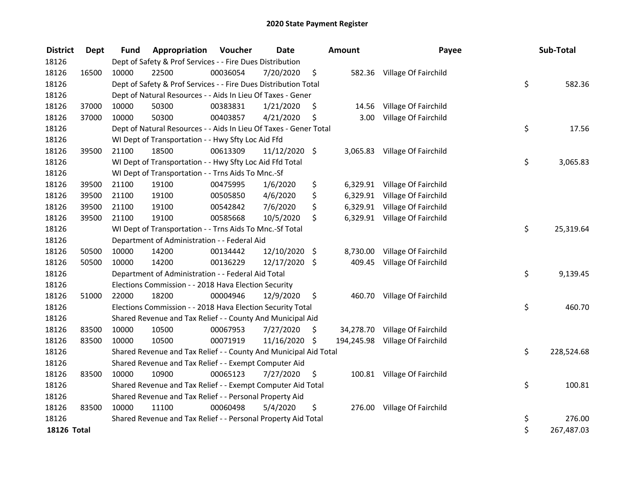| <b>District</b> | <b>Dept</b> | <b>Fund</b> | Appropriation                                                     | Voucher  | <b>Date</b>   | Amount          | Payee                           | Sub-Total        |
|-----------------|-------------|-------------|-------------------------------------------------------------------|----------|---------------|-----------------|---------------------------------|------------------|
| 18126           |             |             | Dept of Safety & Prof Services - - Fire Dues Distribution         |          |               |                 |                                 |                  |
| 18126           | 16500       | 10000       | 22500                                                             | 00036054 | 7/20/2020     | \$              | 582.36 Village Of Fairchild     |                  |
| 18126           |             |             | Dept of Safety & Prof Services - - Fire Dues Distribution Total   |          |               |                 |                                 | \$<br>582.36     |
| 18126           |             |             | Dept of Natural Resources - - Aids In Lieu Of Taxes - Gener       |          |               |                 |                                 |                  |
| 18126           | 37000       | 10000       | 50300                                                             | 00383831 | 1/21/2020     | \$<br>14.56     | Village Of Fairchild            |                  |
| 18126           | 37000       | 10000       | 50300                                                             | 00403857 | 4/21/2020     | \$<br>3.00      | Village Of Fairchild            |                  |
| 18126           |             |             | Dept of Natural Resources - - Aids In Lieu Of Taxes - Gener Total |          |               |                 |                                 | \$<br>17.56      |
| 18126           |             |             | WI Dept of Transportation - - Hwy Sfty Loc Aid Ffd                |          |               |                 |                                 |                  |
| 18126           | 39500       | 21100       | 18500                                                             | 00613309 | 11/12/2020 \$ |                 | 3,065.83 Village Of Fairchild   |                  |
| 18126           |             |             | WI Dept of Transportation - - Hwy Sfty Loc Aid Ffd Total          |          |               |                 |                                 | \$<br>3,065.83   |
| 18126           |             |             | WI Dept of Transportation - - Trns Aids To Mnc.-Sf                |          |               |                 |                                 |                  |
| 18126           | 39500       | 21100       | 19100                                                             | 00475995 | 1/6/2020      | \$              | 6,329.91 Village Of Fairchild   |                  |
| 18126           | 39500       | 21100       | 19100                                                             | 00505850 | 4/6/2020      | \$              | 6,329.91 Village Of Fairchild   |                  |
| 18126           | 39500       | 21100       | 19100                                                             | 00542842 | 7/6/2020      | \$              | 6,329.91 Village Of Fairchild   |                  |
| 18126           | 39500       | 21100       | 19100                                                             | 00585668 | 10/5/2020     | \$              | 6,329.91 Village Of Fairchild   |                  |
| 18126           |             |             | WI Dept of Transportation - - Trns Aids To Mnc.-Sf Total          |          |               |                 |                                 | \$<br>25,319.64  |
| 18126           |             |             | Department of Administration - - Federal Aid                      |          |               |                 |                                 |                  |
| 18126           | 50500       | 10000       | 14200                                                             | 00134442 | 12/10/2020 \$ | 8,730.00        | Village Of Fairchild            |                  |
| 18126           | 50500       | 10000       | 14200                                                             | 00136229 | 12/17/2020 \$ | 409.45          | Village Of Fairchild            |                  |
| 18126           |             |             | Department of Administration - - Federal Aid Total                |          |               |                 |                                 | \$<br>9,139.45   |
| 18126           |             |             | Elections Commission - - 2018 Hava Election Security              |          |               |                 |                                 |                  |
| 18126           | 51000       | 22000       | 18200                                                             | 00004946 | 12/9/2020     | \$              | 460.70 Village Of Fairchild     |                  |
| 18126           |             |             | Elections Commission - - 2018 Hava Election Security Total        |          |               |                 |                                 | \$<br>460.70     |
| 18126           |             |             | Shared Revenue and Tax Relief - - County And Municipal Aid        |          |               |                 |                                 |                  |
| 18126           | 83500       | 10000       | 10500                                                             | 00067953 | 7/27/2020     | \$<br>34,278.70 | Village Of Fairchild            |                  |
| 18126           | 83500       | 10000       | 10500                                                             | 00071919 | 11/16/2020 \$ |                 | 194,245.98 Village Of Fairchild |                  |
| 18126           |             |             | Shared Revenue and Tax Relief - - County And Municipal Aid Total  |          |               |                 |                                 | \$<br>228,524.68 |
| 18126           |             |             | Shared Revenue and Tax Relief - - Exempt Computer Aid             |          |               |                 |                                 |                  |
| 18126           | 83500       | 10000       | 10900                                                             | 00065123 | 7/27/2020     | \$              | 100.81 Village Of Fairchild     |                  |
| 18126           |             |             | Shared Revenue and Tax Relief - - Exempt Computer Aid Total       |          |               |                 |                                 | \$<br>100.81     |
| 18126           |             |             | Shared Revenue and Tax Relief - - Personal Property Aid           |          |               |                 |                                 |                  |
| 18126           | 83500       | 10000       | 11100                                                             | 00060498 | 5/4/2020      | \$<br>276.00    | Village Of Fairchild            |                  |
| 18126           |             |             | Shared Revenue and Tax Relief - - Personal Property Aid Total     |          |               |                 |                                 | \$<br>276.00     |
| 18126 Total     |             |             |                                                                   |          |               |                 |                                 | \$<br>267,487.03 |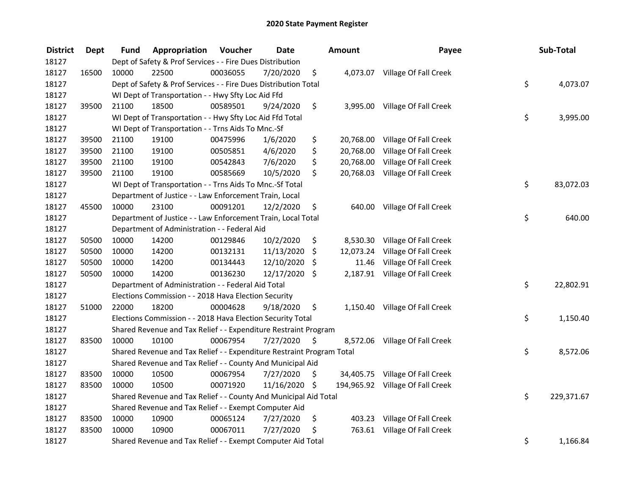| <b>District</b> | <b>Dept</b> | Fund  | Appropriation                                                         | Voucher  | <b>Date</b>   |    | <b>Amount</b> | Payee                            | Sub-Total        |
|-----------------|-------------|-------|-----------------------------------------------------------------------|----------|---------------|----|---------------|----------------------------------|------------------|
| 18127           |             |       | Dept of Safety & Prof Services - - Fire Dues Distribution             |          |               |    |               |                                  |                  |
| 18127           | 16500       | 10000 | 22500                                                                 | 00036055 | 7/20/2020     | \$ |               | 4,073.07 Village Of Fall Creek   |                  |
| 18127           |             |       | Dept of Safety & Prof Services - - Fire Dues Distribution Total       |          |               |    |               |                                  | \$<br>4,073.07   |
| 18127           |             |       | WI Dept of Transportation - - Hwy Sfty Loc Aid Ffd                    |          |               |    |               |                                  |                  |
| 18127           | 39500       | 21100 | 18500                                                                 | 00589501 | 9/24/2020     | \$ |               | 3,995.00 Village Of Fall Creek   |                  |
| 18127           |             |       | WI Dept of Transportation - - Hwy Sfty Loc Aid Ffd Total              |          |               |    |               |                                  | \$<br>3,995.00   |
| 18127           |             |       | WI Dept of Transportation - - Trns Aids To Mnc.-Sf                    |          |               |    |               |                                  |                  |
| 18127           | 39500       | 21100 | 19100                                                                 | 00475996 | 1/6/2020      | \$ |               | 20,768.00 Village Of Fall Creek  |                  |
| 18127           | 39500       | 21100 | 19100                                                                 | 00505851 | 4/6/2020      | \$ | 20,768.00     | Village Of Fall Creek            |                  |
| 18127           | 39500       | 21100 | 19100                                                                 | 00542843 | 7/6/2020      | \$ | 20,768.00     | Village Of Fall Creek            |                  |
| 18127           | 39500       | 21100 | 19100                                                                 | 00585669 | 10/5/2020     | \$ | 20,768.03     | Village Of Fall Creek            |                  |
| 18127           |             |       | WI Dept of Transportation - - Trns Aids To Mnc.-Sf Total              |          |               |    |               |                                  | \$<br>83,072.03  |
| 18127           |             |       | Department of Justice - - Law Enforcement Train, Local                |          |               |    |               |                                  |                  |
| 18127           | 45500       | 10000 | 23100                                                                 | 00091201 | 12/2/2020     | \$ | 640.00        | Village Of Fall Creek            |                  |
| 18127           |             |       | Department of Justice - - Law Enforcement Train, Local Total          |          |               |    |               |                                  | \$<br>640.00     |
| 18127           |             |       | Department of Administration - - Federal Aid                          |          |               |    |               |                                  |                  |
| 18127           | 50500       | 10000 | 14200                                                                 | 00129846 | 10/2/2020     | \$ | 8,530.30      | Village Of Fall Creek            |                  |
| 18127           | 50500       | 10000 | 14200                                                                 | 00132131 | 11/13/2020    | \$ | 12,073.24     | Village Of Fall Creek            |                  |
| 18127           | 50500       | 10000 | 14200                                                                 | 00134443 | 12/10/2020    | \$ | 11.46         | Village Of Fall Creek            |                  |
| 18127           | 50500       | 10000 | 14200                                                                 | 00136230 | 12/17/2020 \$ |    |               | 2,187.91 Village Of Fall Creek   |                  |
| 18127           |             |       | Department of Administration - - Federal Aid Total                    |          |               |    |               |                                  | \$<br>22,802.91  |
| 18127           |             |       | Elections Commission - - 2018 Hava Election Security                  |          |               |    |               |                                  |                  |
| 18127           | 51000       | 22000 | 18200                                                                 | 00004628 | 9/18/2020     | \$ |               | 1,150.40 Village Of Fall Creek   |                  |
| 18127           |             |       | Elections Commission - - 2018 Hava Election Security Total            |          |               |    |               |                                  | \$<br>1,150.40   |
| 18127           |             |       | Shared Revenue and Tax Relief - - Expenditure Restraint Program       |          |               |    |               |                                  |                  |
| 18127           | 83500       | 10000 | 10100                                                                 | 00067954 | 7/27/2020     | -S | 8,572.06      | Village Of Fall Creek            |                  |
| 18127           |             |       | Shared Revenue and Tax Relief - - Expenditure Restraint Program Total |          |               |    |               |                                  | \$<br>8,572.06   |
| 18127           |             |       | Shared Revenue and Tax Relief - - County And Municipal Aid            |          |               |    |               |                                  |                  |
| 18127           | 83500       | 10000 | 10500                                                                 | 00067954 | 7/27/2020     | \$ |               | 34,405.75 Village Of Fall Creek  |                  |
| 18127           | 83500       | 10000 | 10500                                                                 | 00071920 | 11/16/2020 \$ |    |               | 194,965.92 Village Of Fall Creek |                  |
| 18127           |             |       | Shared Revenue and Tax Relief - - County And Municipal Aid Total      |          |               |    |               |                                  | \$<br>229,371.67 |
| 18127           |             |       | Shared Revenue and Tax Relief - - Exempt Computer Aid                 |          |               |    |               |                                  |                  |
| 18127           | 83500       | 10000 | 10900                                                                 | 00065124 | 7/27/2020     | \$ |               | 403.23 Village Of Fall Creek     |                  |
| 18127           | 83500       | 10000 | 10900                                                                 | 00067011 | 7/27/2020     | \$ |               | 763.61 Village Of Fall Creek     |                  |
| 18127           |             |       | Shared Revenue and Tax Relief - - Exempt Computer Aid Total           |          |               |    |               |                                  | \$<br>1,166.84   |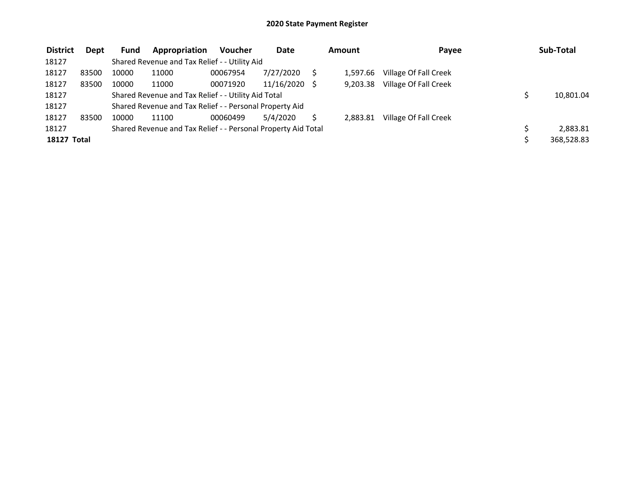| <b>District</b> | Dept  | <b>Fund</b> | Appropriation                                                 | <b>Voucher</b> | <b>Date</b> | Amount   | Payee                 | Sub-Total  |
|-----------------|-------|-------------|---------------------------------------------------------------|----------------|-------------|----------|-----------------------|------------|
| 18127           |       |             | Shared Revenue and Tax Relief - - Utility Aid                 |                |             |          |                       |            |
| 18127           | 83500 | 10000       | 11000                                                         | 00067954       | 7/27/2020   | 1.597.66 | Village Of Fall Creek |            |
| 18127           | 83500 | 10000       | 11000                                                         | 00071920       | 11/16/2020  | 9,203.38 | Village Of Fall Creek |            |
| 18127           |       |             | Shared Revenue and Tax Relief - - Utility Aid Total           |                |             |          |                       | 10,801.04  |
| 18127           |       |             | Shared Revenue and Tax Relief - - Personal Property Aid       |                |             |          |                       |            |
| 18127           | 83500 | 10000       | 11100                                                         | 00060499       | 5/4/2020    | 2,883.81 | Village Of Fall Creek |            |
| 18127           |       |             | Shared Revenue and Tax Relief - - Personal Property Aid Total |                |             |          |                       | 2.883.81   |
| 18127 Total     |       |             |                                                               |                |             |          |                       | 368,528.83 |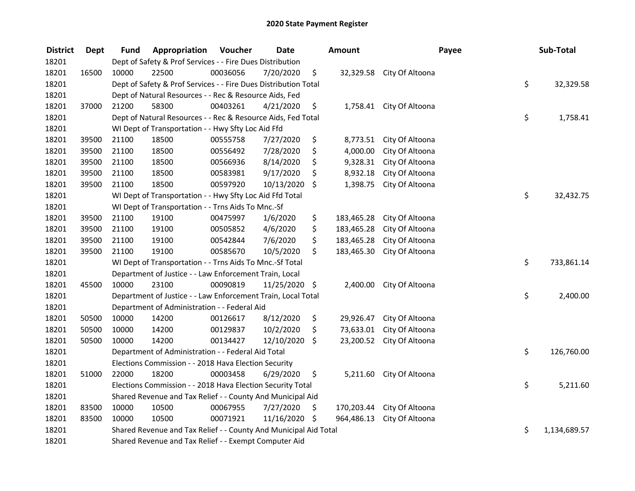| <b>District</b> | <b>Dept</b> | Fund  | Appropriation                                                    | Voucher  | <b>Date</b>   |      | <b>Amount</b> |                            | Payee | Sub-Total    |
|-----------------|-------------|-------|------------------------------------------------------------------|----------|---------------|------|---------------|----------------------------|-------|--------------|
| 18201           |             |       | Dept of Safety & Prof Services - - Fire Dues Distribution        |          |               |      |               |                            |       |              |
| 18201           | 16500       | 10000 | 22500                                                            | 00036056 | 7/20/2020     | \$   |               | 32,329.58 City Of Altoona  |       |              |
| 18201           |             |       | Dept of Safety & Prof Services - - Fire Dues Distribution Total  |          |               |      |               |                            | \$    | 32,329.58    |
| 18201           |             |       | Dept of Natural Resources - - Rec & Resource Aids, Fed           |          |               |      |               |                            |       |              |
| 18201           | 37000       | 21200 | 58300                                                            | 00403261 | 4/21/2020     | \$   |               | 1,758.41 City Of Altoona   |       |              |
| 18201           |             |       | Dept of Natural Resources - - Rec & Resource Aids, Fed Total     |          |               |      |               |                            | \$    | 1,758.41     |
| 18201           |             |       | WI Dept of Transportation - - Hwy Sfty Loc Aid Ffd               |          |               |      |               |                            |       |              |
| 18201           | 39500       | 21100 | 18500                                                            | 00555758 | 7/27/2020     | \$   |               | 8,773.51 City Of Altoona   |       |              |
| 18201           | 39500       | 21100 | 18500                                                            | 00556492 | 7/28/2020     | \$   | 4,000.00      | City Of Altoona            |       |              |
| 18201           | 39500       | 21100 | 18500                                                            | 00566936 | 8/14/2020     | \$   | 9,328.31      | City Of Altoona            |       |              |
| 18201           | 39500       | 21100 | 18500                                                            | 00583981 | 9/17/2020     | \$   | 8,932.18      | City Of Altoona            |       |              |
| 18201           | 39500       | 21100 | 18500                                                            | 00597920 | 10/13/2020    | \$   | 1,398.75      | City Of Altoona            |       |              |
| 18201           |             |       | WI Dept of Transportation - - Hwy Sfty Loc Aid Ffd Total         |          |               |      |               |                            | \$    | 32,432.75    |
| 18201           |             |       | WI Dept of Transportation - - Trns Aids To Mnc.-Sf               |          |               |      |               |                            |       |              |
| 18201           | 39500       | 21100 | 19100                                                            | 00475997 | 1/6/2020      | \$   | 183,465.28    | City Of Altoona            |       |              |
| 18201           | 39500       | 21100 | 19100                                                            | 00505852 | 4/6/2020      | \$   | 183,465.28    | City Of Altoona            |       |              |
| 18201           | 39500       | 21100 | 19100                                                            | 00542844 | 7/6/2020      | \$   | 183,465.28    | City Of Altoona            |       |              |
| 18201           | 39500       | 21100 | 19100                                                            | 00585670 | 10/5/2020     | \$   | 183,465.30    | City Of Altoona            |       |              |
| 18201           |             |       | WI Dept of Transportation - - Trns Aids To Mnc.-Sf Total         |          |               |      |               |                            | \$    | 733,861.14   |
| 18201           |             |       | Department of Justice - - Law Enforcement Train, Local           |          |               |      |               |                            |       |              |
| 18201           | 45500       | 10000 | 23100                                                            | 00090819 | 11/25/2020 \$ |      | 2,400.00      | City Of Altoona            |       |              |
| 18201           |             |       | Department of Justice - - Law Enforcement Train, Local Total     |          |               |      |               |                            | \$    | 2,400.00     |
| 18201           |             |       | Department of Administration - - Federal Aid                     |          |               |      |               |                            |       |              |
| 18201           | 50500       | 10000 | 14200                                                            | 00126617 | 8/12/2020     | \$   | 29,926.47     | City Of Altoona            |       |              |
| 18201           | 50500       | 10000 | 14200                                                            | 00129837 | 10/2/2020     | \$   | 73,633.01     | City Of Altoona            |       |              |
| 18201           | 50500       | 10000 | 14200                                                            | 00134427 | 12/10/2020    | \$   | 23,200.52     | City Of Altoona            |       |              |
| 18201           |             |       | Department of Administration - - Federal Aid Total               |          |               |      |               |                            | \$    | 126,760.00   |
| 18201           |             |       | Elections Commission - - 2018 Hava Election Security             |          |               |      |               |                            |       |              |
| 18201           | 51000       | 22000 | 18200                                                            | 00003458 | 6/29/2020     | \$   |               | 5,211.60 City Of Altoona   |       |              |
| 18201           |             |       | Elections Commission - - 2018 Hava Election Security Total       |          |               |      |               |                            | \$    | 5,211.60     |
| 18201           |             |       | Shared Revenue and Tax Relief - - County And Municipal Aid       |          |               |      |               |                            |       |              |
| 18201           | 83500       | 10000 | 10500                                                            | 00067955 | 7/27/2020     | \$   |               | 170,203.44 City Of Altoona |       |              |
| 18201           | 83500       | 10000 | 10500                                                            | 00071921 | 11/16/2020    | - \$ |               | 964,486.13 City Of Altoona |       |              |
| 18201           |             |       | Shared Revenue and Tax Relief - - County And Municipal Aid Total |          |               |      |               |                            | \$    | 1,134,689.57 |
| 18201           |             |       | Shared Revenue and Tax Relief - - Exempt Computer Aid            |          |               |      |               |                            |       |              |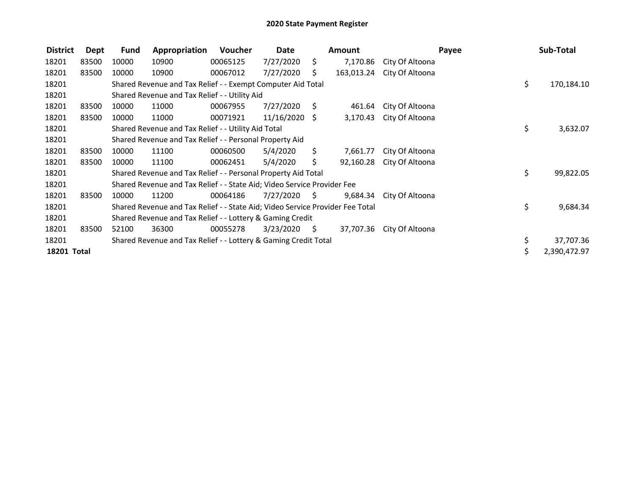| <b>District</b> | <b>Dept</b> | <b>Fund</b> | Appropriation                                                                 | Voucher  | Date            |                     | Amount     |                 | Payee | Sub-Total    |
|-----------------|-------------|-------------|-------------------------------------------------------------------------------|----------|-----------------|---------------------|------------|-----------------|-------|--------------|
| 18201           | 83500       | 10000       | 10900                                                                         | 00065125 | 7/27/2020       | \$.                 | 7,170.86   | City Of Altoona |       |              |
| 18201           | 83500       | 10000       | 10900                                                                         | 00067012 | 7/27/2020       | S.                  | 163,013.24 | City Of Altoona |       |              |
| 18201           |             |             | Shared Revenue and Tax Relief - - Exempt Computer Aid Total                   |          |                 |                     |            |                 | \$    | 170,184.10   |
| 18201           |             |             | Shared Revenue and Tax Relief - - Utility Aid                                 |          |                 |                     |            |                 |       |              |
| 18201           | 83500       | 10000       | 11000                                                                         | 00067955 | 7/27/2020       | \$                  | 461.64     | City Of Altoona |       |              |
| 18201           | 83500       | 10000       | 11000                                                                         | 00071921 | $11/16/2020$ \$ |                     | 3,170.43   | City Of Altoona |       |              |
| 18201           |             |             | Shared Revenue and Tax Relief - - Utility Aid Total                           |          |                 |                     |            |                 | \$    | 3,632.07     |
| 18201           |             |             | Shared Revenue and Tax Relief - - Personal Property Aid                       |          |                 |                     |            |                 |       |              |
| 18201           | 83500       | 10000       | 11100                                                                         | 00060500 | 5/4/2020        | S.                  | 7,661.77   | City Of Altoona |       |              |
| 18201           | 83500       | 10000       | 11100                                                                         | 00062451 | 5/4/2020        | \$.                 | 92,160.28  | City Of Altoona |       |              |
| 18201           |             |             | Shared Revenue and Tax Relief - - Personal Property Aid Total                 |          |                 |                     |            |                 | \$    | 99,822.05    |
| 18201           |             |             | Shared Revenue and Tax Relief - - State Aid; Video Service Provider Fee       |          |                 |                     |            |                 |       |              |
| 18201           | 83500       | 10000       | 11200                                                                         | 00064186 | 7/27/2020       | - S                 | 9,684.34   | City Of Altoona |       |              |
| 18201           |             |             | Shared Revenue and Tax Relief - - State Aid; Video Service Provider Fee Total |          |                 |                     |            |                 | \$    | 9,684.34     |
| 18201           |             |             | Shared Revenue and Tax Relief - - Lottery & Gaming Credit                     |          |                 |                     |            |                 |       |              |
| 18201           | 83500       | 52100       | 36300                                                                         | 00055278 | 3/23/2020       | $\ddot{\mathsf{s}}$ | 37,707.36  | City Of Altoona |       |              |
| 18201           |             |             | Shared Revenue and Tax Relief - - Lottery & Gaming Credit Total               |          |                 |                     |            |                 | \$    | 37,707.36    |
| 18201 Total     |             |             |                                                                               |          |                 |                     |            |                 | \$    | 2,390,472.97 |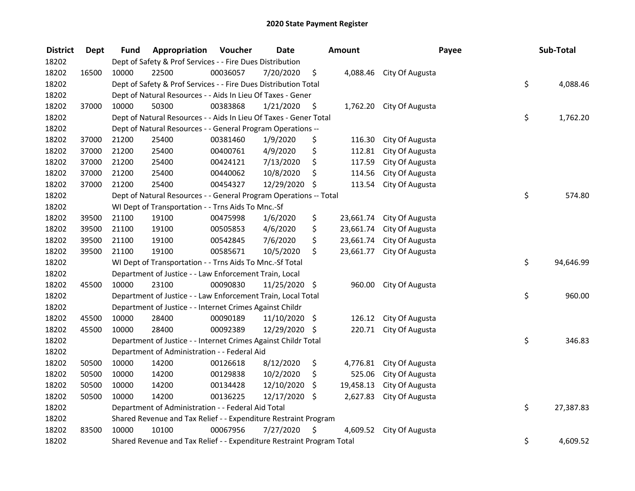| <b>District</b> | <b>Dept</b> | Fund  | Appropriation                                                         | Voucher  | <b>Date</b>   | <b>Amount</b>   | Payee                    | Sub-Total       |
|-----------------|-------------|-------|-----------------------------------------------------------------------|----------|---------------|-----------------|--------------------------|-----------------|
| 18202           |             |       | Dept of Safety & Prof Services - - Fire Dues Distribution             |          |               |                 |                          |                 |
| 18202           | 16500       | 10000 | 22500                                                                 | 00036057 | 7/20/2020     | \$              | 4,088.46 City Of Augusta |                 |
| 18202           |             |       | Dept of Safety & Prof Services - - Fire Dues Distribution Total       |          |               |                 |                          | \$<br>4,088.46  |
| 18202           |             |       | Dept of Natural Resources - - Aids In Lieu Of Taxes - Gener           |          |               |                 |                          |                 |
| 18202           | 37000       | 10000 | 50300                                                                 | 00383868 | 1/21/2020     | \$              | 1,762.20 City Of Augusta |                 |
| 18202           |             |       | Dept of Natural Resources - - Aids In Lieu Of Taxes - Gener Total     |          |               |                 |                          | \$<br>1,762.20  |
| 18202           |             |       | Dept of Natural Resources - - General Program Operations --           |          |               |                 |                          |                 |
| 18202           | 37000       | 21200 | 25400                                                                 | 00381460 | 1/9/2020      | \$<br>116.30    | City Of Augusta          |                 |
| 18202           | 37000       | 21200 | 25400                                                                 | 00400761 | 4/9/2020      | \$<br>112.81    | City Of Augusta          |                 |
| 18202           | 37000       | 21200 | 25400                                                                 | 00424121 | 7/13/2020     | \$<br>117.59    | City Of Augusta          |                 |
| 18202           | 37000       | 21200 | 25400                                                                 | 00440062 | 10/8/2020     | \$<br>114.56    | City Of Augusta          |                 |
| 18202           | 37000       | 21200 | 25400                                                                 | 00454327 | 12/29/2020    | \$<br>113.54    | City Of Augusta          |                 |
| 18202           |             |       | Dept of Natural Resources - - General Program Operations -- Total     |          |               |                 |                          | \$<br>574.80    |
| 18202           |             |       | WI Dept of Transportation - - Trns Aids To Mnc.-Sf                    |          |               |                 |                          |                 |
| 18202           | 39500       | 21100 | 19100                                                                 | 00475998 | 1/6/2020      | \$<br>23,661.74 | City Of Augusta          |                 |
| 18202           | 39500       | 21100 | 19100                                                                 | 00505853 | 4/6/2020      | \$<br>23,661.74 | City Of Augusta          |                 |
| 18202           | 39500       | 21100 | 19100                                                                 | 00542845 | 7/6/2020      | \$<br>23,661.74 | City Of Augusta          |                 |
| 18202           | 39500       | 21100 | 19100                                                                 | 00585671 | 10/5/2020     | \$<br>23,661.77 | City Of Augusta          |                 |
| 18202           |             |       | WI Dept of Transportation - - Trns Aids To Mnc.-Sf Total              |          |               |                 |                          | \$<br>94,646.99 |
| 18202           |             |       | Department of Justice - - Law Enforcement Train, Local                |          |               |                 |                          |                 |
| 18202           | 45500       | 10000 | 23100                                                                 | 00090830 | 11/25/2020 \$ | 960.00          | City Of Augusta          |                 |
| 18202           |             |       | Department of Justice - - Law Enforcement Train, Local Total          |          |               |                 |                          | \$<br>960.00    |
| 18202           |             |       | Department of Justice - - Internet Crimes Against Childr              |          |               |                 |                          |                 |
| 18202           | 45500       | 10000 | 28400                                                                 | 00090189 | 11/10/2020 \$ | 126.12          | City Of Augusta          |                 |
| 18202           | 45500       | 10000 | 28400                                                                 | 00092389 | 12/29/2020 \$ | 220.71          | City Of Augusta          |                 |
| 18202           |             |       | Department of Justice - - Internet Crimes Against Childr Total        |          |               |                 |                          | \$<br>346.83    |
| 18202           |             |       | Department of Administration - - Federal Aid                          |          |               |                 |                          |                 |
| 18202           | 50500       | 10000 | 14200                                                                 | 00126618 | 8/12/2020     | \$<br>4,776.81  | City Of Augusta          |                 |
| 18202           | 50500       | 10000 | 14200                                                                 | 00129838 | 10/2/2020     | \$<br>525.06    | City Of Augusta          |                 |
| 18202           | 50500       | 10000 | 14200                                                                 | 00134428 | 12/10/2020    | \$<br>19,458.13 | City Of Augusta          |                 |
| 18202           | 50500       | 10000 | 14200                                                                 | 00136225 | 12/17/2020 \$ | 2,627.83        | City Of Augusta          |                 |
| 18202           |             |       | Department of Administration - - Federal Aid Total                    |          |               |                 |                          | \$<br>27,387.83 |
| 18202           |             |       | Shared Revenue and Tax Relief - - Expenditure Restraint Program       |          |               |                 |                          |                 |
| 18202           | 83500       | 10000 | 10100                                                                 | 00067956 | 7/27/2020     | \$<br>4,609.52  | City Of Augusta          |                 |
| 18202           |             |       | Shared Revenue and Tax Relief - - Expenditure Restraint Program Total |          |               |                 |                          | \$<br>4,609.52  |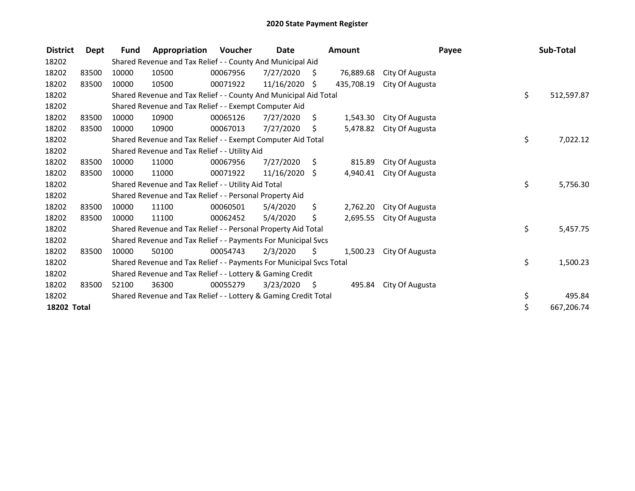| <b>District</b>    | Dept  | <b>Fund</b> | Appropriation                                                       | <b>Voucher</b> | Date            |      | Amount     |                 | Payee | Sub-Total  |
|--------------------|-------|-------------|---------------------------------------------------------------------|----------------|-----------------|------|------------|-----------------|-------|------------|
| 18202              |       |             | Shared Revenue and Tax Relief - - County And Municipal Aid          |                |                 |      |            |                 |       |            |
| 18202              | 83500 | 10000       | 10500                                                               | 00067956       | 7/27/2020       | -\$  | 76,889.68  | City Of Augusta |       |            |
| 18202              | 83500 | 10000       | 10500                                                               | 00071922       | $11/16/2020$ \$ |      | 435,708.19 | City Of Augusta |       |            |
| 18202              |       |             | Shared Revenue and Tax Relief - - County And Municipal Aid Total    |                |                 |      |            |                 | \$    | 512,597.87 |
| 18202              |       |             | Shared Revenue and Tax Relief - - Exempt Computer Aid               |                |                 |      |            |                 |       |            |
| 18202              | 83500 | 10000       | 10900                                                               | 00065126       | 7/27/2020       | S    | 1,543.30   | City Of Augusta |       |            |
| 18202              | 83500 | 10000       | 10900                                                               | 00067013       | 7/27/2020       | \$   | 5,478.82   | City Of Augusta |       |            |
| 18202              |       |             | Shared Revenue and Tax Relief - - Exempt Computer Aid Total         |                |                 |      |            |                 | \$    | 7,022.12   |
| 18202              |       |             | Shared Revenue and Tax Relief - - Utility Aid                       |                |                 |      |            |                 |       |            |
| 18202              | 83500 | 10000       | 11000                                                               | 00067956       | 7/27/2020       | \$   | 815.89     | City Of Augusta |       |            |
| 18202              | 83500 | 10000       | 11000                                                               | 00071922       | 11/16/2020      | Ŝ.   | 4,940.41   | City Of Augusta |       |            |
| 18202              |       |             | Shared Revenue and Tax Relief - - Utility Aid Total                 |                |                 |      |            |                 | \$.   | 5,756.30   |
| 18202              |       |             | Shared Revenue and Tax Relief - - Personal Property Aid             |                |                 |      |            |                 |       |            |
| 18202              | 83500 | 10000       | 11100                                                               | 00060501       | 5/4/2020        | \$.  | 2,762.20   | City Of Augusta |       |            |
| 18202              | 83500 | 10000       | 11100                                                               | 00062452       | 5/4/2020        | \$   | 2,695.55   | City Of Augusta |       |            |
| 18202              |       |             | Shared Revenue and Tax Relief - - Personal Property Aid Total       |                |                 |      |            |                 | \$    | 5,457.75   |
| 18202              |       |             | Shared Revenue and Tax Relief - - Payments For Municipal Svcs       |                |                 |      |            |                 |       |            |
| 18202              | 83500 | 10000       | 50100                                                               | 00054743       | 2/3/2020        | S.   | 1,500.23   | City Of Augusta |       |            |
| 18202              |       |             | Shared Revenue and Tax Relief - - Payments For Municipal Svcs Total |                |                 |      |            |                 | \$    | 1,500.23   |
| 18202              |       |             | Shared Revenue and Tax Relief - - Lottery & Gaming Credit           |                |                 |      |            |                 |       |            |
| 18202              | 83500 | 52100       | 36300                                                               | 00055279       | 3/23/2020       | - \$ | 495.84     | City Of Augusta |       |            |
| 18202              |       |             | Shared Revenue and Tax Relief - - Lottery & Gaming Credit Total     |                |                 |      |            |                 | \$    | 495.84     |
| <b>18202 Total</b> |       |             |                                                                     |                |                 |      |            |                 | \$    | 667,206.74 |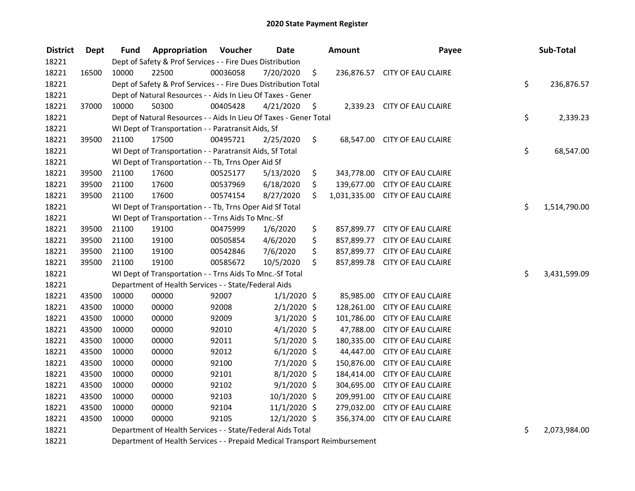| <b>District</b> | Dept  | <b>Fund</b> | Appropriation                                                     | Voucher  | <b>Date</b>    |      | <b>Amount</b> | Payee                           | Sub-Total          |
|-----------------|-------|-------------|-------------------------------------------------------------------|----------|----------------|------|---------------|---------------------------------|--------------------|
| 18221           |       |             | Dept of Safety & Prof Services - - Fire Dues Distribution         |          |                |      |               |                                 |                    |
| 18221           | 16500 | 10000       | 22500                                                             | 00036058 | 7/20/2020      | \$   |               | 236,876.57 CITY OF EAU CLAIRE   |                    |
| 18221           |       |             | Dept of Safety & Prof Services - - Fire Dues Distribution Total   |          |                |      |               |                                 | \$<br>236,876.57   |
| 18221           |       |             | Dept of Natural Resources - - Aids In Lieu Of Taxes - Gener       |          |                |      |               |                                 |                    |
| 18221           | 37000 | 10000       | 50300                                                             | 00405428 | 4/21/2020      | - \$ |               | 2,339.23 CITY OF EAU CLAIRE     |                    |
| 18221           |       |             | Dept of Natural Resources - - Aids In Lieu Of Taxes - Gener Total |          |                |      |               |                                 | \$<br>2,339.23     |
| 18221           |       |             | WI Dept of Transportation - - Paratransit Aids, Sf                |          |                |      |               |                                 |                    |
| 18221           | 39500 | 21100       | 17500                                                             | 00495721 | 2/25/2020      | Ş.   |               | 68,547.00 CITY OF EAU CLAIRE    |                    |
| 18221           |       |             | WI Dept of Transportation - - Paratransit Aids, Sf Total          |          |                |      |               |                                 | \$<br>68,547.00    |
| 18221           |       |             | WI Dept of Transportation - - Tb, Trns Oper Aid Sf                |          |                |      |               |                                 |                    |
| 18221           | 39500 | 21100       | 17600                                                             | 00525177 | 5/13/2020      | \$   | 343,778.00    | <b>CITY OF EAU CLAIRE</b>       |                    |
| 18221           | 39500 | 21100       | 17600                                                             | 00537969 | 6/18/2020      | \$   |               | 139,677.00 CITY OF EAU CLAIRE   |                    |
| 18221           | 39500 | 21100       | 17600                                                             | 00574154 | 8/27/2020      | Ś.   |               | 1,031,335.00 CITY OF EAU CLAIRE |                    |
| 18221           |       |             | WI Dept of Transportation - - Tb, Trns Oper Aid Sf Total          |          |                |      |               |                                 | \$<br>1,514,790.00 |
| 18221           |       |             | WI Dept of Transportation - - Trns Aids To Mnc.-Sf                |          |                |      |               |                                 |                    |
| 18221           | 39500 | 21100       | 19100                                                             | 00475999 | 1/6/2020       | \$   |               | 857,899.77 CITY OF EAU CLAIRE   |                    |
| 18221           | 39500 | 21100       | 19100                                                             | 00505854 | 4/6/2020       | \$   |               | 857,899.77 CITY OF EAU CLAIRE   |                    |
| 18221           | 39500 | 21100       | 19100                                                             | 00542846 | 7/6/2020       | \$   |               | 857,899.77 CITY OF EAU CLAIRE   |                    |
| 18221           | 39500 | 21100       | 19100                                                             | 00585672 | 10/5/2020      | Ś.   |               | 857,899.78 CITY OF EAU CLAIRE   |                    |
| 18221           |       |             | WI Dept of Transportation - - Trns Aids To Mnc.-Sf Total          |          |                |      |               |                                 | \$<br>3,431,599.09 |
| 18221           |       |             | Department of Health Services - - State/Federal Aids              |          |                |      |               |                                 |                    |
| 18221           | 43500 | 10000       | 00000                                                             | 92007    | $1/1/2020$ \$  |      | 85,985.00     | <b>CITY OF EAU CLAIRE</b>       |                    |
| 18221           | 43500 | 10000       | 00000                                                             | 92008    | $2/1/2020$ \$  |      | 128,261.00    | <b>CITY OF EAU CLAIRE</b>       |                    |
| 18221           | 43500 | 10000       | 00000                                                             | 92009    | $3/1/2020$ \$  |      | 101,786.00    | <b>CITY OF EAU CLAIRE</b>       |                    |
| 18221           | 43500 | 10000       | 00000                                                             | 92010    | $4/1/2020$ \$  |      | 47,788.00     | <b>CITY OF EAU CLAIRE</b>       |                    |
| 18221           | 43500 | 10000       | 00000                                                             | 92011    | $5/1/2020$ \$  |      | 180,335.00    | <b>CITY OF EAU CLAIRE</b>       |                    |
| 18221           | 43500 | 10000       | 00000                                                             | 92012    | $6/1/2020$ \$  |      | 44,447.00     | <b>CITY OF EAU CLAIRE</b>       |                    |
| 18221           | 43500 | 10000       | 00000                                                             | 92100    | $7/1/2020$ \$  |      | 150,876.00    | <b>CITY OF EAU CLAIRE</b>       |                    |
| 18221           | 43500 | 10000       | 00000                                                             | 92101    | $8/1/2020$ \$  |      | 184,414.00    | <b>CITY OF EAU CLAIRE</b>       |                    |
| 18221           | 43500 | 10000       | 00000                                                             | 92102    | $9/1/2020$ \$  |      | 304,695.00    | <b>CITY OF EAU CLAIRE</b>       |                    |
| 18221           | 43500 | 10000       | 00000                                                             | 92103    | 10/1/2020 \$   |      | 209,991.00    | <b>CITY OF EAU CLAIRE</b>       |                    |
| 18221           | 43500 | 10000       | 00000                                                             | 92104    | $11/1/2020$ \$ |      | 279,032.00    | <b>CITY OF EAU CLAIRE</b>       |                    |
| 18221           | 43500 | 10000       | 00000                                                             | 92105    | 12/1/2020 \$   |      | 356,374.00    | <b>CITY OF EAU CLAIRE</b>       |                    |
| 18221           |       |             | Department of Health Services - - State/Federal Aids Total        |          |                |      |               |                                 | \$<br>2,073,984.00 |

Department of Health Services - - Prepaid Medical Transport Reimbursement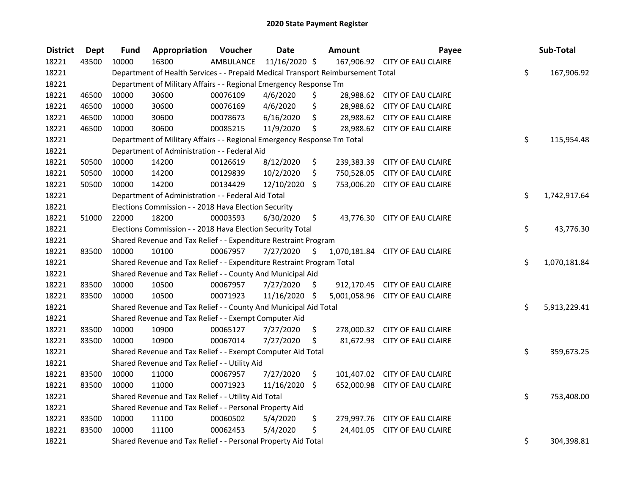| <b>District</b> | <b>Dept</b> | Fund  | Appropriation                                                                   | Voucher   | <b>Date</b>   | <b>Amount</b>      | Payee                           | Sub-Total          |
|-----------------|-------------|-------|---------------------------------------------------------------------------------|-----------|---------------|--------------------|---------------------------------|--------------------|
| 18221           | 43500       | 10000 | 16300                                                                           | AMBULANCE | 11/16/2020 \$ |                    | 167,906.92 CITY OF EAU CLAIRE   |                    |
| 18221           |             |       | Department of Health Services - - Prepaid Medical Transport Reimbursement Total |           |               |                    |                                 | \$<br>167,906.92   |
| 18221           |             |       | Department of Military Affairs - - Regional Emergency Response Tm               |           |               |                    |                                 |                    |
| 18221           | 46500       | 10000 | 30600                                                                           | 00076109  | 4/6/2020      | \$                 | 28,988.62 CITY OF EAU CLAIRE    |                    |
| 18221           | 46500       | 10000 | 30600                                                                           | 00076169  | 4/6/2020      | \$                 | 28,988.62 CITY OF EAU CLAIRE    |                    |
| 18221           | 46500       | 10000 | 30600                                                                           | 00078673  | 6/16/2020     | \$                 | 28,988.62 CITY OF EAU CLAIRE    |                    |
| 18221           | 46500       | 10000 | 30600                                                                           | 00085215  | 11/9/2020     | \$                 | 28,988.62 CITY OF EAU CLAIRE    |                    |
| 18221           |             |       | Department of Military Affairs - - Regional Emergency Response Tm Total         |           |               |                    |                                 | \$<br>115,954.48   |
| 18221           |             |       | Department of Administration - - Federal Aid                                    |           |               |                    |                                 |                    |
| 18221           | 50500       | 10000 | 14200                                                                           | 00126619  | 8/12/2020     | \$                 | 239,383.39 CITY OF EAU CLAIRE   |                    |
| 18221           | 50500       | 10000 | 14200                                                                           | 00129839  | 10/2/2020     | \$<br>750,528.05   | CITY OF EAU CLAIRE              |                    |
| 18221           | 50500       | 10000 | 14200                                                                           | 00134429  | 12/10/2020    | \$                 | 753,006.20 CITY OF EAU CLAIRE   |                    |
| 18221           |             |       | Department of Administration - - Federal Aid Total                              |           |               |                    |                                 | \$<br>1,742,917.64 |
| 18221           |             |       | Elections Commission - - 2018 Hava Election Security                            |           |               |                    |                                 |                    |
| 18221           | 51000       | 22000 | 18200                                                                           | 00003593  | 6/30/2020     | \$                 | 43,776.30 CITY OF EAU CLAIRE    |                    |
| 18221           |             |       | Elections Commission - - 2018 Hava Election Security Total                      |           |               |                    |                                 | \$<br>43,776.30    |
| 18221           |             |       | Shared Revenue and Tax Relief - - Expenditure Restraint Program                 |           |               |                    |                                 |                    |
| 18221           | 83500       | 10000 | 10100                                                                           | 00067957  | 7/27/2020     | \$<br>1,070,181.84 | <b>CITY OF EAU CLAIRE</b>       |                    |
| 18221           |             |       | Shared Revenue and Tax Relief - - Expenditure Restraint Program Total           |           |               |                    |                                 | \$<br>1,070,181.84 |
| 18221           |             |       | Shared Revenue and Tax Relief - - County And Municipal Aid                      |           |               |                    |                                 |                    |
| 18221           | 83500       | 10000 | 10500                                                                           | 00067957  | 7/27/2020     | \$                 | 912,170.45 CITY OF EAU CLAIRE   |                    |
| 18221           | 83500       | 10000 | 10500                                                                           | 00071923  | 11/16/2020 \$ |                    | 5,001,058.96 CITY OF EAU CLAIRE |                    |
| 18221           |             |       | Shared Revenue and Tax Relief - - County And Municipal Aid Total                |           |               |                    |                                 | \$<br>5,913,229.41 |
| 18221           |             |       | Shared Revenue and Tax Relief - - Exempt Computer Aid                           |           |               |                    |                                 |                    |
| 18221           | 83500       | 10000 | 10900                                                                           | 00065127  | 7/27/2020     | \$                 | 278,000.32 CITY OF EAU CLAIRE   |                    |
| 18221           | 83500       | 10000 | 10900                                                                           | 00067014  | 7/27/2020     | \$                 | 81,672.93 CITY OF EAU CLAIRE    |                    |
| 18221           |             |       | Shared Revenue and Tax Relief - - Exempt Computer Aid Total                     |           |               |                    |                                 | \$<br>359,673.25   |
| 18221           |             |       | Shared Revenue and Tax Relief - - Utility Aid                                   |           |               |                    |                                 |                    |
| 18221           | 83500       | 10000 | 11000                                                                           | 00067957  | 7/27/2020     | \$                 | 101,407.02 CITY OF EAU CLAIRE   |                    |
| 18221           | 83500       | 10000 | 11000                                                                           | 00071923  | 11/16/2020    | \$                 | 652,000.98 CITY OF EAU CLAIRE   |                    |
| 18221           |             |       | Shared Revenue and Tax Relief - - Utility Aid Total                             |           |               |                    |                                 | \$<br>753,408.00   |
| 18221           |             |       | Shared Revenue and Tax Relief - - Personal Property Aid                         |           |               |                    |                                 |                    |
| 18221           | 83500       | 10000 | 11100                                                                           | 00060502  | 5/4/2020      | \$                 | 279,997.76 CITY OF EAU CLAIRE   |                    |
| 18221           | 83500       | 10000 | 11100                                                                           | 00062453  | 5/4/2020      | \$<br>24,401.05    | <b>CITY OF EAU CLAIRE</b>       |                    |
| 18221           |             |       | Shared Revenue and Tax Relief - - Personal Property Aid Total                   |           |               |                    |                                 | \$<br>304,398.81   |